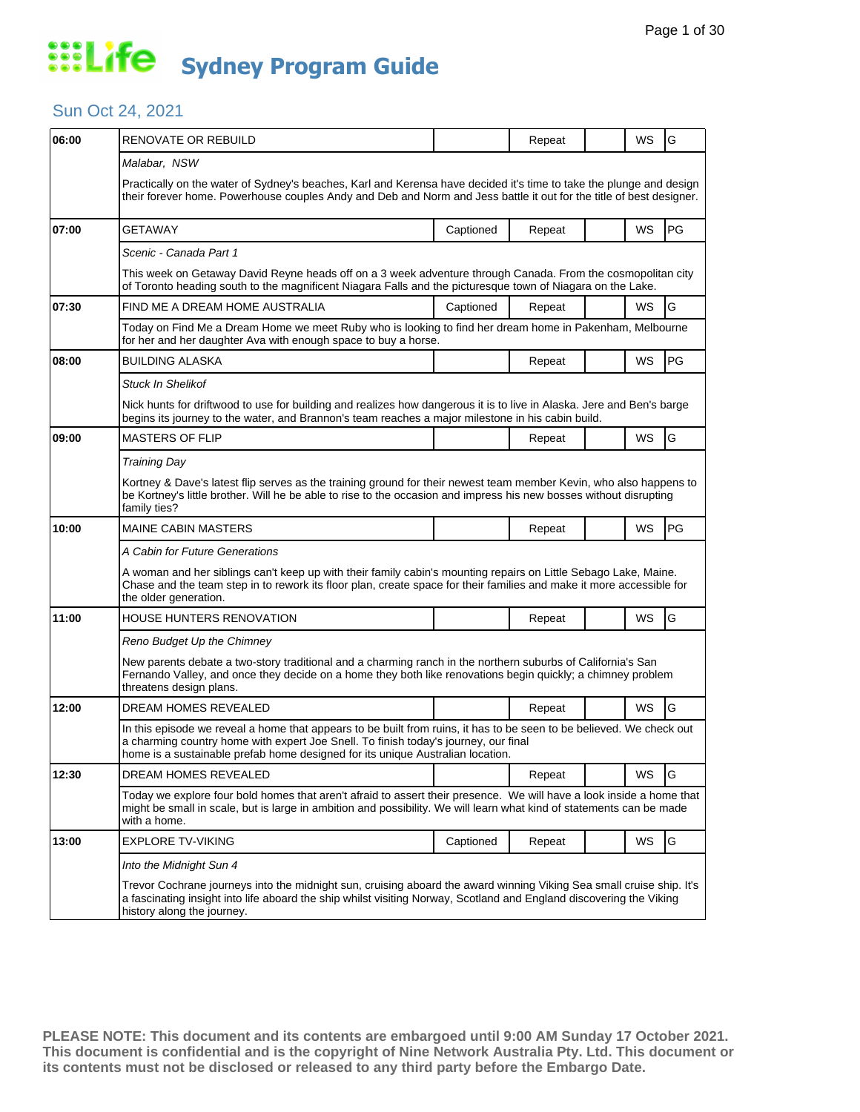### Sun Oct 24, 2021

| 06:00 | RENOVATE OR REBUILD                                                                                                                                                                                                                                                                           |           | Repeat |  | WS        | G         |  |  |
|-------|-----------------------------------------------------------------------------------------------------------------------------------------------------------------------------------------------------------------------------------------------------------------------------------------------|-----------|--------|--|-----------|-----------|--|--|
|       | Malabar, NSW                                                                                                                                                                                                                                                                                  |           |        |  |           |           |  |  |
|       | Practically on the water of Sydney's beaches, Karl and Kerensa have decided it's time to take the plunge and design<br>their forever home. Powerhouse couples Andy and Deb and Norm and Jess battle it out for the title of best designer.                                                    |           |        |  |           |           |  |  |
| 07:00 | GETAWAY                                                                                                                                                                                                                                                                                       | Captioned | Repeat |  | <b>WS</b> | PG        |  |  |
|       | Scenic - Canada Part 1                                                                                                                                                                                                                                                                        |           |        |  |           |           |  |  |
|       | This week on Getaway David Reyne heads off on a 3 week adventure through Canada. From the cosmopolitan city<br>of Toronto heading south to the magnificent Niagara Falls and the picturesque town of Niagara on the Lake.                                                                     |           |        |  |           |           |  |  |
| 07:30 | FIND ME A DREAM HOME AUSTRALIA                                                                                                                                                                                                                                                                | Captioned | Repeat |  | <b>WS</b> | G         |  |  |
|       | Today on Find Me a Dream Home we meet Ruby who is looking to find her dream home in Pakenham, Melbourne<br>for her and her daughter Ava with enough space to buy a horse.                                                                                                                     |           |        |  |           |           |  |  |
| 08:00 | <b>BUILDING ALASKA</b>                                                                                                                                                                                                                                                                        |           | Repeat |  | WS        | PG        |  |  |
|       | Stuck In Shelikof                                                                                                                                                                                                                                                                             |           |        |  |           |           |  |  |
|       | Nick hunts for driftwood to use for building and realizes how dangerous it is to live in Alaska. Jere and Ben's barge<br>begins its journey to the water, and Brannon's team reaches a major milestone in his cabin build.                                                                    |           |        |  |           |           |  |  |
| 09:00 | <b>MASTERS OF FLIP</b>                                                                                                                                                                                                                                                                        |           | Repeat |  | WS        | G         |  |  |
|       | <b>Training Day</b>                                                                                                                                                                                                                                                                           |           |        |  |           |           |  |  |
|       | Kortney & Dave's latest flip serves as the training ground for their newest team member Kevin, who also happens to<br>be Kortney's little brother. Will he be able to rise to the occasion and impress his new bosses without disrupting<br>family ties?                                      |           |        |  |           |           |  |  |
| 10:00 | <b>MAINE CABIN MASTERS</b>                                                                                                                                                                                                                                                                    |           | Repeat |  | WS        | <b>PG</b> |  |  |
|       | A Cabin for Future Generations                                                                                                                                                                                                                                                                |           |        |  |           |           |  |  |
|       | A woman and her siblings can't keep up with their family cabin's mounting repairs on Little Sebago Lake, Maine.<br>Chase and the team step in to rework its floor plan, create space for their families and make it more accessible for<br>the older generation.                              |           |        |  |           |           |  |  |
| 11:00 | HOUSE HUNTERS RENOVATION                                                                                                                                                                                                                                                                      |           | Repeat |  | WS        | G         |  |  |
|       | Reno Budget Up the Chimney                                                                                                                                                                                                                                                                    |           |        |  |           |           |  |  |
|       | New parents debate a two-story traditional and a charming ranch in the northern suburbs of California's San<br>Fernando Valley, and once they decide on a home they both like renovations begin quickly; a chimney problem<br>threatens design plans.                                         |           |        |  |           |           |  |  |
| 12:00 | DREAM HOMES REVEALED                                                                                                                                                                                                                                                                          |           | Repeat |  | WS.       | G         |  |  |
|       | In this episode we reveal a home that appears to be built from ruins, it has to be seen to be believed. We check out<br>a charming country home with expert Joe Snell. To finish today's journey, our final<br>home is a sustainable prefab home designed for its unique Australian location. |           |        |  |           |           |  |  |
| 12:30 | DREAM HOMES REVEALED                                                                                                                                                                                                                                                                          |           | Repeat |  | WS        | G         |  |  |
|       | Today we explore four bold homes that aren't afraid to assert their presence. We will have a look inside a home that<br>might be small in scale, but is large in ambition and possibility. We will learn what kind of statements can be made<br>with a home.                                  |           |        |  |           |           |  |  |
| 13:00 | <b>EXPLORE TV-VIKING</b>                                                                                                                                                                                                                                                                      | Captioned | Repeat |  | WS        | G         |  |  |
|       | Into the Midnight Sun 4                                                                                                                                                                                                                                                                       |           |        |  |           |           |  |  |
|       | Trevor Cochrane journeys into the midnight sun, cruising aboard the award winning Viking Sea small cruise ship. It's<br>a fascinating insight into life aboard the ship whilst visiting Norway, Scotland and England discovering the Viking<br>history along the journey.                     |           |        |  |           |           |  |  |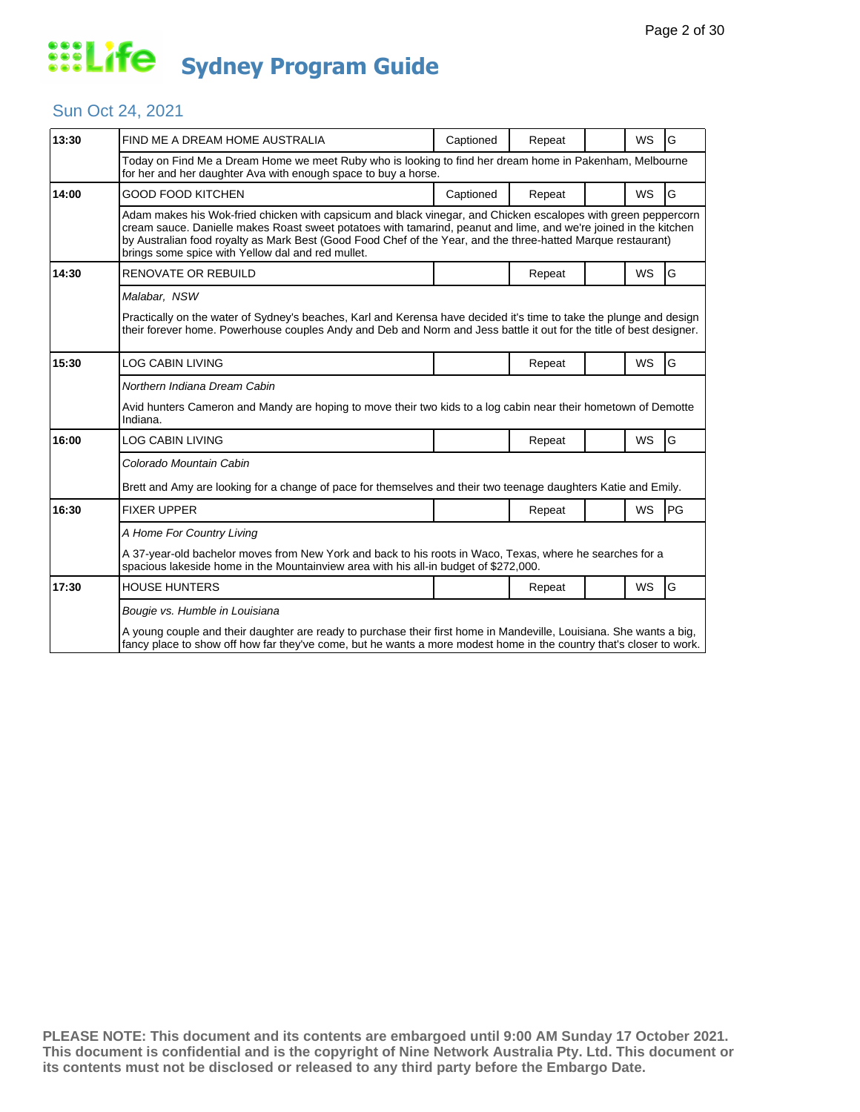### Sun Oct 24, 2021

| 13:30 | FIND ME A DREAM HOME AUSTRALIA                                                                                                                                                                                                                                                                                                                                                                         | Captioned | Repeat |  | <b>WS</b> | G  |  |  |
|-------|--------------------------------------------------------------------------------------------------------------------------------------------------------------------------------------------------------------------------------------------------------------------------------------------------------------------------------------------------------------------------------------------------------|-----------|--------|--|-----------|----|--|--|
|       | Today on Find Me a Dream Home we meet Ruby who is looking to find her dream home in Pakenham, Melbourne<br>for her and her daughter Ava with enough space to buy a horse.                                                                                                                                                                                                                              |           |        |  |           |    |  |  |
| 14:00 | <b>GOOD FOOD KITCHEN</b>                                                                                                                                                                                                                                                                                                                                                                               | Captioned | Repeat |  | <b>WS</b> | G  |  |  |
|       | Adam makes his Wok-fried chicken with capsicum and black vinegar, and Chicken escalopes with green peppercorn<br>cream sauce. Danielle makes Roast sweet potatoes with tamarind, peanut and lime, and we're joined in the kitchen<br>by Australian food royalty as Mark Best (Good Food Chef of the Year, and the three-hatted Marque restaurant)<br>brings some spice with Yellow dal and red mullet. |           |        |  |           |    |  |  |
| 14:30 | <b>RENOVATE OR REBUILD</b>                                                                                                                                                                                                                                                                                                                                                                             |           | Repeat |  | <b>WS</b> | G  |  |  |
|       | Malabar, NSW                                                                                                                                                                                                                                                                                                                                                                                           |           |        |  |           |    |  |  |
|       | Practically on the water of Sydney's beaches, Karl and Kerensa have decided it's time to take the plunge and design<br>their forever home. Powerhouse couples Andy and Deb and Norm and Jess battle it out for the title of best designer.                                                                                                                                                             |           |        |  |           |    |  |  |
| 15:30 | <b>LOG CABIN LIVING</b>                                                                                                                                                                                                                                                                                                                                                                                |           | Repeat |  | <b>WS</b> | G  |  |  |
|       | Northern Indiana Dream Cabin                                                                                                                                                                                                                                                                                                                                                                           |           |        |  |           |    |  |  |
|       | Avid hunters Cameron and Mandy are hoping to move their two kids to a log cabin near their hometown of Demotte<br>Indiana.                                                                                                                                                                                                                                                                             |           |        |  |           |    |  |  |
| 16:00 | LOG CABIN LIVING                                                                                                                                                                                                                                                                                                                                                                                       |           | Repeat |  | <b>WS</b> | G  |  |  |
|       | Colorado Mountain Cabin                                                                                                                                                                                                                                                                                                                                                                                |           |        |  |           |    |  |  |
|       | Brett and Amy are looking for a change of pace for themselves and their two teenage daughters Katie and Emily.                                                                                                                                                                                                                                                                                         |           |        |  |           |    |  |  |
| 16:30 | <b>FIXER UPPER</b>                                                                                                                                                                                                                                                                                                                                                                                     |           | Repeat |  | WS        | PG |  |  |
|       | A Home For Country Living                                                                                                                                                                                                                                                                                                                                                                              |           |        |  |           |    |  |  |
|       | A 37-year-old bachelor moves from New York and back to his roots in Waco, Texas, where he searches for a<br>spacious lakeside home in the Mountainview area with his all-in budget of \$272,000.                                                                                                                                                                                                       |           |        |  |           |    |  |  |
| 17:30 | <b>HOUSE HUNTERS</b>                                                                                                                                                                                                                                                                                                                                                                                   |           | Repeat |  | <b>WS</b> | G  |  |  |
|       | Bougie vs. Humble in Louisiana                                                                                                                                                                                                                                                                                                                                                                         |           |        |  |           |    |  |  |
|       | A young couple and their daughter are ready to purchase their first home in Mandeville, Louisiana. She wants a big,<br>fancy place to show off how far they've come, but he wants a more modest home in the country that's closer to work.                                                                                                                                                             |           |        |  |           |    |  |  |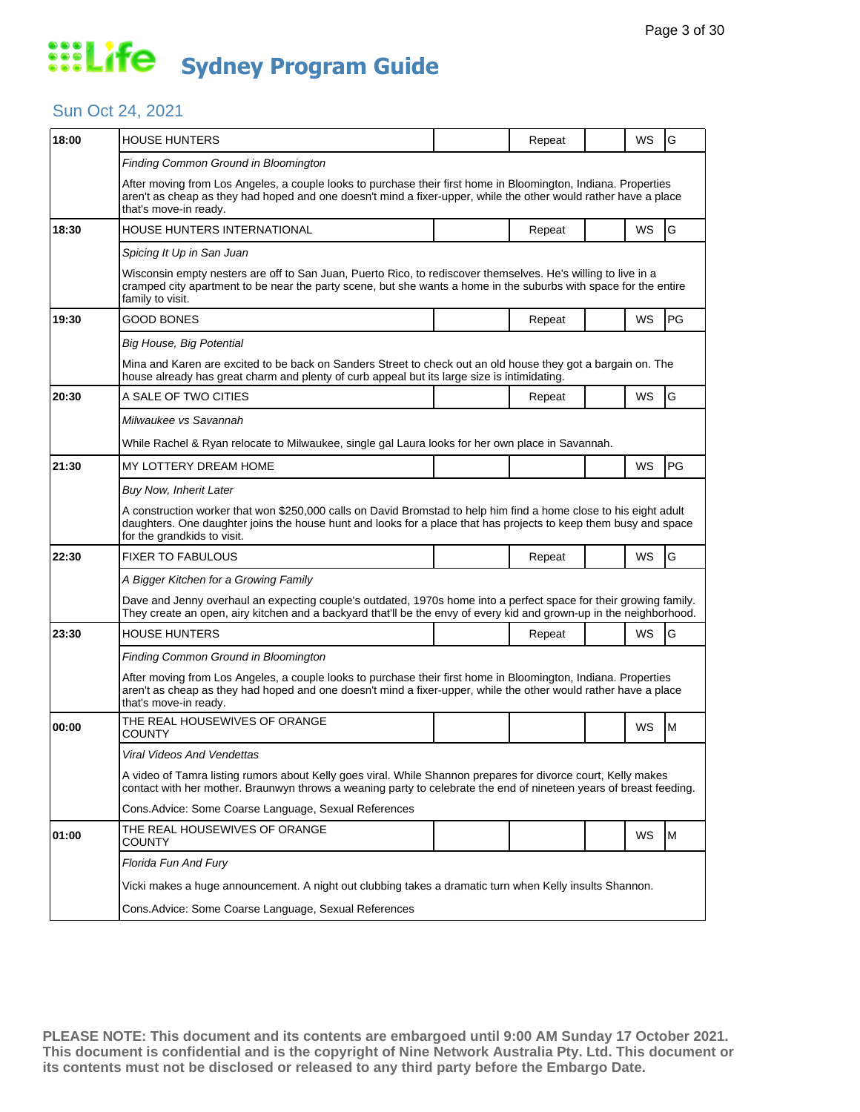### Sun Oct 24, 2021

| 18:00 | <b>HOUSE HUNTERS</b>                                                                                                                                                                                                                                                 |  | Repeat |  | WS        | G             |  |  |  |
|-------|----------------------------------------------------------------------------------------------------------------------------------------------------------------------------------------------------------------------------------------------------------------------|--|--------|--|-----------|---------------|--|--|--|
|       | Finding Common Ground in Bloomington                                                                                                                                                                                                                                 |  |        |  |           |               |  |  |  |
|       | After moving from Los Angeles, a couple looks to purchase their first home in Bloomington, Indiana. Properties<br>aren't as cheap as they had hoped and one doesn't mind a fixer-upper, while the other would rather have a place<br>that's move-in ready.           |  |        |  |           |               |  |  |  |
| 18:30 | HOUSE HUNTERS INTERNATIONAL                                                                                                                                                                                                                                          |  | Repeat |  | <b>WS</b> | ${\mathsf G}$ |  |  |  |
|       | Spicing It Up in San Juan                                                                                                                                                                                                                                            |  |        |  |           |               |  |  |  |
|       | Wisconsin empty nesters are off to San Juan, Puerto Rico, to rediscover themselves. He's willing to live in a<br>cramped city apartment to be near the party scene, but she wants a home in the suburbs with space for the entire<br>family to visit.                |  |        |  |           |               |  |  |  |
| 19:30 | GOOD BONES                                                                                                                                                                                                                                                           |  | Repeat |  | WS        | PG            |  |  |  |
|       | Big House, Big Potential                                                                                                                                                                                                                                             |  |        |  |           |               |  |  |  |
|       | Mina and Karen are excited to be back on Sanders Street to check out an old house they got a bargain on. The<br>house already has great charm and plenty of curb appeal but its large size is intimidating.                                                          |  |        |  |           |               |  |  |  |
| 20:30 | A SALE OF TWO CITIES                                                                                                                                                                                                                                                 |  | Repeat |  | WS        | G             |  |  |  |
|       | Milwaukee vs Savannah                                                                                                                                                                                                                                                |  |        |  |           |               |  |  |  |
|       | While Rachel & Ryan relocate to Milwaukee, single gal Laura looks for her own place in Savannah.                                                                                                                                                                     |  |        |  |           |               |  |  |  |
| 21:30 | MY LOTTERY DREAM HOME                                                                                                                                                                                                                                                |  |        |  | WS        | PG            |  |  |  |
|       | <b>Buy Now, Inherit Later</b>                                                                                                                                                                                                                                        |  |        |  |           |               |  |  |  |
|       | A construction worker that won \$250,000 calls on David Bromstad to help him find a home close to his eight adult<br>daughters. One daughter joins the house hunt and looks for a place that has projects to keep them busy and space<br>for the grandkids to visit. |  |        |  |           |               |  |  |  |
| 22:30 | <b>FIXER TO FABULOUS</b>                                                                                                                                                                                                                                             |  | Repeat |  | WS        | G             |  |  |  |
|       | A Bigger Kitchen for a Growing Family                                                                                                                                                                                                                                |  |        |  |           |               |  |  |  |
|       | Dave and Jenny overhaul an expecting couple's outdated, 1970s home into a perfect space for their growing family.<br>They create an open, airy kitchen and a backyard that'll be the envy of every kid and grown-up in the neighborhood.                             |  |        |  |           |               |  |  |  |
| 23:30 | HOUSE HUNTERS                                                                                                                                                                                                                                                        |  | Repeat |  | WS        | G             |  |  |  |
|       | Finding Common Ground in Bloomington                                                                                                                                                                                                                                 |  |        |  |           |               |  |  |  |
|       | After moving from Los Angeles, a couple looks to purchase their first home in Bloomington, Indiana. Properties<br>aren't as cheap as they had hoped and one doesn't mind a fixer-upper, while the other would rather have a place<br>that's move-in ready.           |  |        |  |           |               |  |  |  |
| 00:00 | THE REAL HOUSEWIVES OF ORANGE<br>COUNTY                                                                                                                                                                                                                              |  |        |  | WS        | M             |  |  |  |
|       | Viral Videos And Vendettas                                                                                                                                                                                                                                           |  |        |  |           |               |  |  |  |
|       | A video of Tamra listing rumors about Kelly goes viral. While Shannon prepares for divorce court, Kelly makes<br>contact with her mother. Braunwyn throws a weaning party to celebrate the end of nineteen years of breast feeding.                                  |  |        |  |           |               |  |  |  |
|       | Cons.Advice: Some Coarse Language, Sexual References                                                                                                                                                                                                                 |  |        |  |           |               |  |  |  |
| 01:00 | THE REAL HOUSEWIVES OF ORANGE<br>COUNTY                                                                                                                                                                                                                              |  |        |  | WS        | M             |  |  |  |
|       | Florida Fun And Fury                                                                                                                                                                                                                                                 |  |        |  |           |               |  |  |  |
|       | Vicki makes a huge announcement. A night out clubbing takes a dramatic turn when Kelly insults Shannon.                                                                                                                                                              |  |        |  |           |               |  |  |  |
|       | Cons. Advice: Some Coarse Language, Sexual References                                                                                                                                                                                                                |  |        |  |           |               |  |  |  |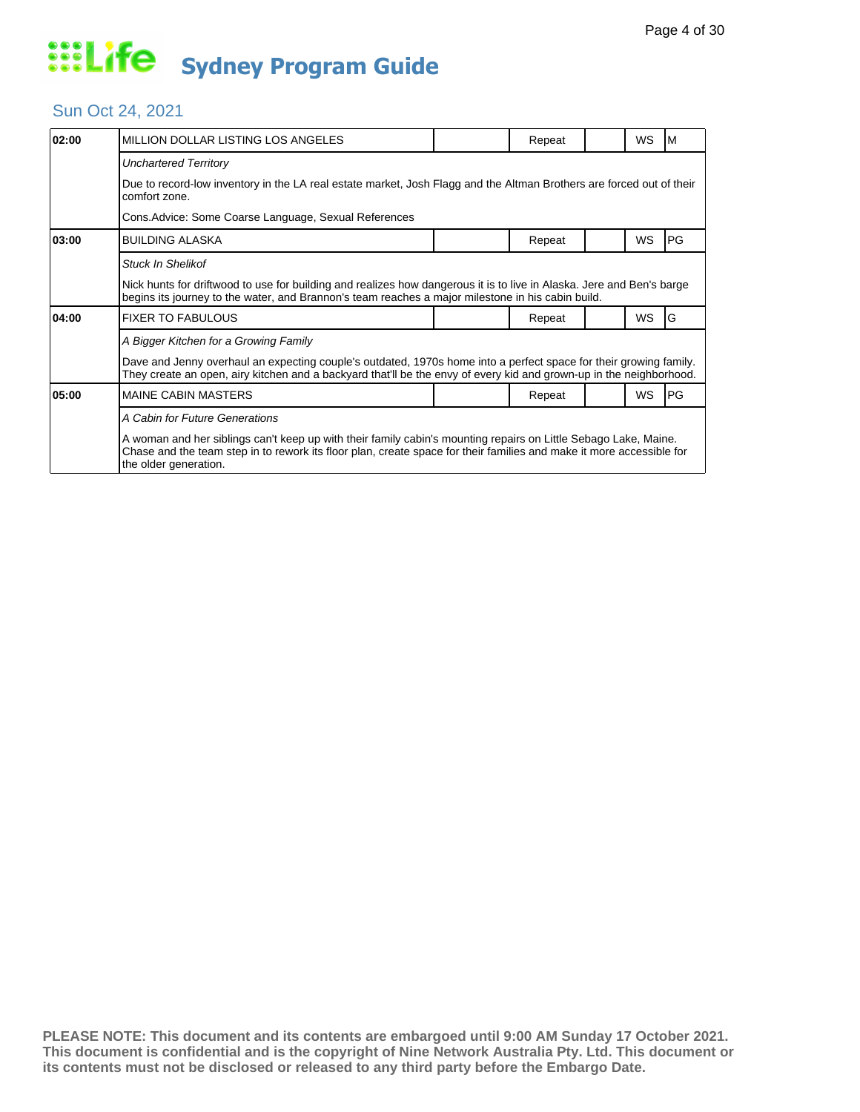#### Sun Oct 24, 2021

| 02:00 | MILLION DOLLAR LISTING LOS ANGELES                                                                                                                                                                                                                               |  | Repeat |  | <b>WS</b> | M         |  |  |  |
|-------|------------------------------------------------------------------------------------------------------------------------------------------------------------------------------------------------------------------------------------------------------------------|--|--------|--|-----------|-----------|--|--|--|
|       | <b>Unchartered Territory</b>                                                                                                                                                                                                                                     |  |        |  |           |           |  |  |  |
|       | Due to record-low inventory in the LA real estate market, Josh Flagg and the Altman Brothers are forced out of their<br>comfort zone.                                                                                                                            |  |        |  |           |           |  |  |  |
|       | Cons.Advice: Some Coarse Language, Sexual References                                                                                                                                                                                                             |  |        |  |           |           |  |  |  |
| 03:00 | <b>BUILDING ALASKA</b>                                                                                                                                                                                                                                           |  | Repeat |  | WS        | PG        |  |  |  |
|       | <b>Stuck In Shelikof</b>                                                                                                                                                                                                                                         |  |        |  |           |           |  |  |  |
|       | Nick hunts for driftwood to use for building and realizes how dangerous it is to live in Alaska. Jere and Ben's barge<br>begins its journey to the water, and Brannon's team reaches a major milestone in his cabin build.                                       |  |        |  |           |           |  |  |  |
| 04:00 | <b>FIXER TO FABULOUS</b>                                                                                                                                                                                                                                         |  | Repeat |  | WS        | G         |  |  |  |
|       | A Bigger Kitchen for a Growing Family                                                                                                                                                                                                                            |  |        |  |           |           |  |  |  |
|       | Dave and Jenny overhaul an expecting couple's outdated, 1970s home into a perfect space for their growing family.<br>They create an open, airy kitchen and a backyard that'll be the envy of every kid and grown-up in the neighborhood.                         |  |        |  |           |           |  |  |  |
| 05:00 | <b>MAINE CABIN MASTERS</b>                                                                                                                                                                                                                                       |  | Repeat |  | <b>WS</b> | <b>PG</b> |  |  |  |
|       | A Cabin for Future Generations                                                                                                                                                                                                                                   |  |        |  |           |           |  |  |  |
|       | A woman and her siblings can't keep up with their family cabin's mounting repairs on Little Sebago Lake, Maine.<br>Chase and the team step in to rework its floor plan, create space for their families and make it more accessible for<br>the older generation. |  |        |  |           |           |  |  |  |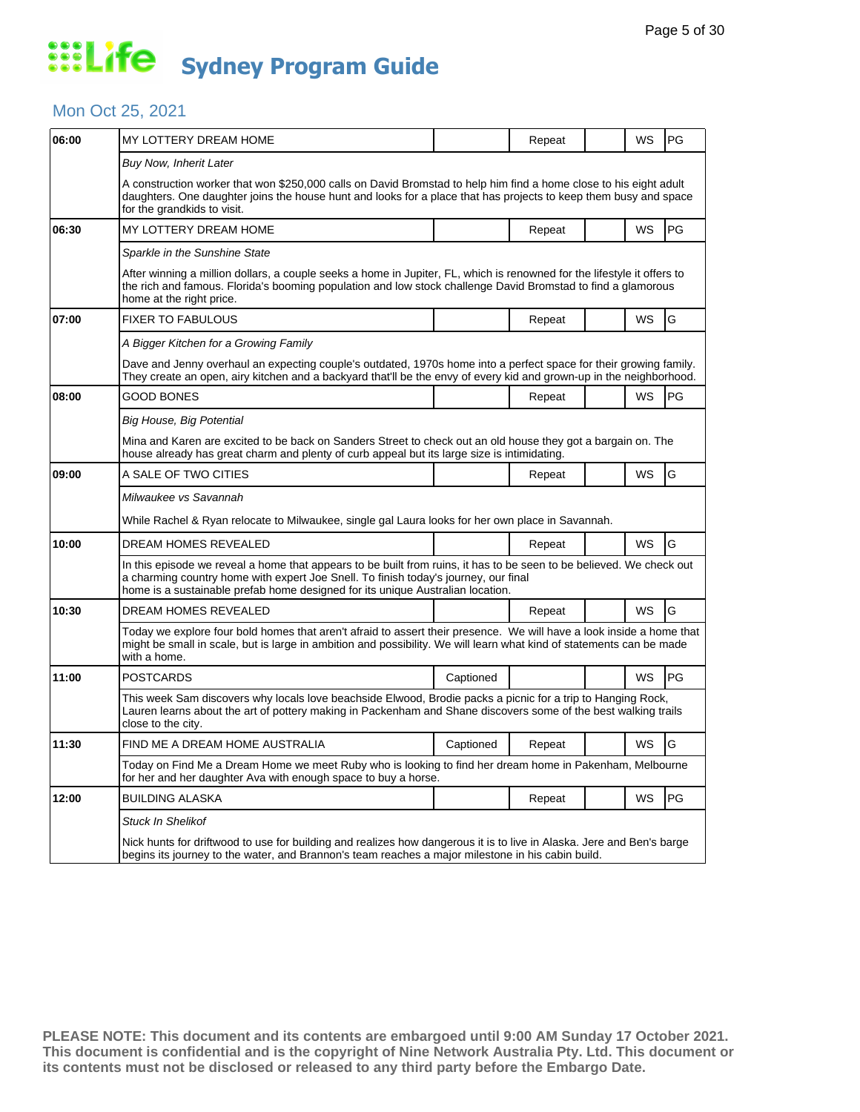#### Mon Oct 25, 2021

| 06:00 | MY LOTTERY DREAM HOME                                                                                                                                                                                                                                                                         |           | Repeat |  | WS        | <b>PG</b> |  |  |
|-------|-----------------------------------------------------------------------------------------------------------------------------------------------------------------------------------------------------------------------------------------------------------------------------------------------|-----------|--------|--|-----------|-----------|--|--|
|       | <b>Buy Now, Inherit Later</b>                                                                                                                                                                                                                                                                 |           |        |  |           |           |  |  |
|       | A construction worker that won \$250,000 calls on David Bromstad to help him find a home close to his eight adult<br>daughters. One daughter joins the house hunt and looks for a place that has projects to keep them busy and space<br>for the grandkids to visit.                          |           |        |  |           |           |  |  |
| 06:30 | MY LOTTERY DREAM HOME                                                                                                                                                                                                                                                                         |           | Repeat |  | <b>WS</b> | <b>PG</b> |  |  |
|       | Sparkle in the Sunshine State                                                                                                                                                                                                                                                                 |           |        |  |           |           |  |  |
|       | After winning a million dollars, a couple seeks a home in Jupiter, FL, which is renowned for the lifestyle it offers to<br>the rich and famous. Florida's booming population and low stock challenge David Bromstad to find a glamorous<br>home at the right price.                           |           |        |  |           |           |  |  |
| 07:00 | <b>FIXER TO FABULOUS</b>                                                                                                                                                                                                                                                                      |           | Repeat |  | WS        | G         |  |  |
|       | A Bigger Kitchen for a Growing Family                                                                                                                                                                                                                                                         |           |        |  |           |           |  |  |
|       | Dave and Jenny overhaul an expecting couple's outdated, 1970s home into a perfect space for their growing family.<br>They create an open, airy kitchen and a backyard that'll be the envy of every kid and grown-up in the neighborhood.                                                      |           |        |  |           |           |  |  |
| 08:00 | GOOD BONES                                                                                                                                                                                                                                                                                    |           | Repeat |  | WS        | <b>PG</b> |  |  |
|       | Big House, Big Potential                                                                                                                                                                                                                                                                      |           |        |  |           |           |  |  |
|       | Mina and Karen are excited to be back on Sanders Street to check out an old house they got a bargain on. The<br>house already has great charm and plenty of curb appeal but its large size is intimidating.                                                                                   |           |        |  |           |           |  |  |
| 09:00 | A SALE OF TWO CITIES                                                                                                                                                                                                                                                                          |           | Repeat |  | WS        | G         |  |  |
|       | Milwaukee vs Savannah                                                                                                                                                                                                                                                                         |           |        |  |           |           |  |  |
|       | While Rachel & Ryan relocate to Milwaukee, single gal Laura looks for her own place in Savannah.                                                                                                                                                                                              |           |        |  |           |           |  |  |
| 10:00 | <b>DREAM HOMES REVEALED</b>                                                                                                                                                                                                                                                                   |           | Repeat |  | <b>WS</b> | G         |  |  |
|       | In this episode we reveal a home that appears to be built from ruins, it has to be seen to be believed. We check out<br>a charming country home with expert Joe Snell. To finish today's journey, our final<br>home is a sustainable prefab home designed for its unique Australian location. |           |        |  |           |           |  |  |
| 10:30 | DREAM HOMES REVEALED                                                                                                                                                                                                                                                                          |           | Repeat |  | WS        | G         |  |  |
|       | Today we explore four bold homes that aren't afraid to assert their presence. We will have a look inside a home that<br>might be small in scale, but is large in ambition and possibility. We will learn what kind of statements can be made<br>with a home.                                  |           |        |  |           |           |  |  |
| 11:00 | <b>POSTCARDS</b>                                                                                                                                                                                                                                                                              | Captioned |        |  | WS        | <b>PG</b> |  |  |
|       | This week Sam discovers why locals love beachside Elwood, Brodie packs a picnic for a trip to Hanging Rock,<br>Lauren learns about the art of pottery making in Packenham and Shane discovers some of the best walking trails<br>close to the city.                                           |           |        |  |           |           |  |  |
| 11:30 | FIND ME A DREAM HOME AUSTRALIA                                                                                                                                                                                                                                                                | Captioned | Repeat |  | WS        | G         |  |  |
|       | Today on Find Me a Dream Home we meet Ruby who is looking to find her dream home in Pakenham, Melbourne<br>for her and her daughter Ava with enough space to buy a horse.                                                                                                                     |           |        |  |           |           |  |  |
| 12:00 | <b>BUILDING ALASKA</b>                                                                                                                                                                                                                                                                        |           | Repeat |  | WS        | PG        |  |  |
|       | <b>Stuck In Shelikof</b>                                                                                                                                                                                                                                                                      |           |        |  |           |           |  |  |
|       | Nick hunts for driftwood to use for building and realizes how dangerous it is to live in Alaska. Jere and Ben's barge<br>begins its journey to the water, and Brannon's team reaches a major milestone in his cabin build.                                                                    |           |        |  |           |           |  |  |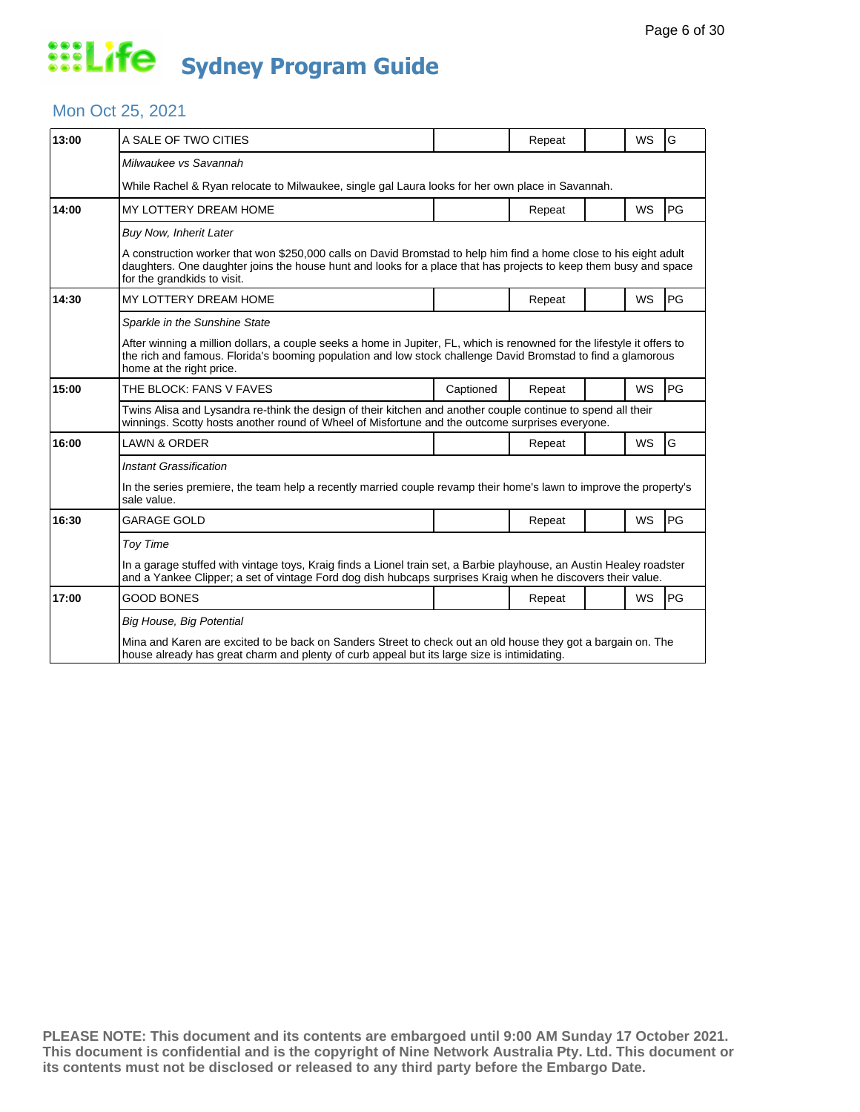#### Mon Oct 25, 2021

| 13:00 | A SALE OF TWO CITIES                                                                                                                                                                                                                                                 |           | Repeat |  | <b>WS</b> | G         |  |  |
|-------|----------------------------------------------------------------------------------------------------------------------------------------------------------------------------------------------------------------------------------------------------------------------|-----------|--------|--|-----------|-----------|--|--|
|       | Milwaukee vs Savannah                                                                                                                                                                                                                                                |           |        |  |           |           |  |  |
|       | While Rachel & Ryan relocate to Milwaukee, single gal Laura looks for her own place in Savannah.                                                                                                                                                                     |           |        |  |           |           |  |  |
| 14:00 | MY LOTTERY DREAM HOME                                                                                                                                                                                                                                                |           | Repeat |  | <b>WS</b> | <b>PG</b> |  |  |
|       | <b>Buy Now, Inherit Later</b>                                                                                                                                                                                                                                        |           |        |  |           |           |  |  |
|       | A construction worker that won \$250,000 calls on David Bromstad to help him find a home close to his eight adult<br>daughters. One daughter joins the house hunt and looks for a place that has projects to keep them busy and space<br>for the grandkids to visit. |           |        |  |           |           |  |  |
| 14:30 | MY LOTTERY DREAM HOME                                                                                                                                                                                                                                                |           | Repeat |  | <b>WS</b> | <b>PG</b> |  |  |
|       | Sparkle in the Sunshine State                                                                                                                                                                                                                                        |           |        |  |           |           |  |  |
|       | After winning a million dollars, a couple seeks a home in Jupiter, FL, which is renowned for the lifestyle it offers to<br>the rich and famous. Florida's booming population and low stock challenge David Bromstad to find a glamorous<br>home at the right price.  |           |        |  |           |           |  |  |
| 15:00 | THE BLOCK: FANS V FAVES                                                                                                                                                                                                                                              | Captioned | Repeat |  | WS        | PG        |  |  |
|       | Twins Alisa and Lysandra re-think the design of their kitchen and another couple continue to spend all their<br>winnings. Scotty hosts another round of Wheel of Misfortune and the outcome surprises everyone.                                                      |           |        |  |           |           |  |  |
| 16:00 | <b>LAWN &amp; ORDER</b>                                                                                                                                                                                                                                              |           | Repeat |  | WS        | G         |  |  |
|       | <b>Instant Grassification</b>                                                                                                                                                                                                                                        |           |        |  |           |           |  |  |
|       | In the series premiere, the team help a recently married couple revamp their home's lawn to improve the property's<br>sale value.                                                                                                                                    |           |        |  |           |           |  |  |
| 16:30 | GARAGE GOLD                                                                                                                                                                                                                                                          |           | Repeat |  | WS        | <b>PG</b> |  |  |
|       | <b>Toy Time</b>                                                                                                                                                                                                                                                      |           |        |  |           |           |  |  |
|       | In a garage stuffed with vintage toys, Kraig finds a Lionel train set, a Barbie playhouse, an Austin Healey roadster<br>and a Yankee Clipper; a set of vintage Ford dog dish hubcaps surprises Kraig when he discovers their value.                                  |           |        |  |           |           |  |  |
| 17:00 | GOOD BONES                                                                                                                                                                                                                                                           |           | Repeat |  | <b>WS</b> | <b>PG</b> |  |  |
|       | Big House, Big Potential                                                                                                                                                                                                                                             |           |        |  |           |           |  |  |
|       | Mina and Karen are excited to be back on Sanders Street to check out an old house they got a bargain on. The<br>house already has great charm and plenty of curb appeal but its large size is intimidating.                                                          |           |        |  |           |           |  |  |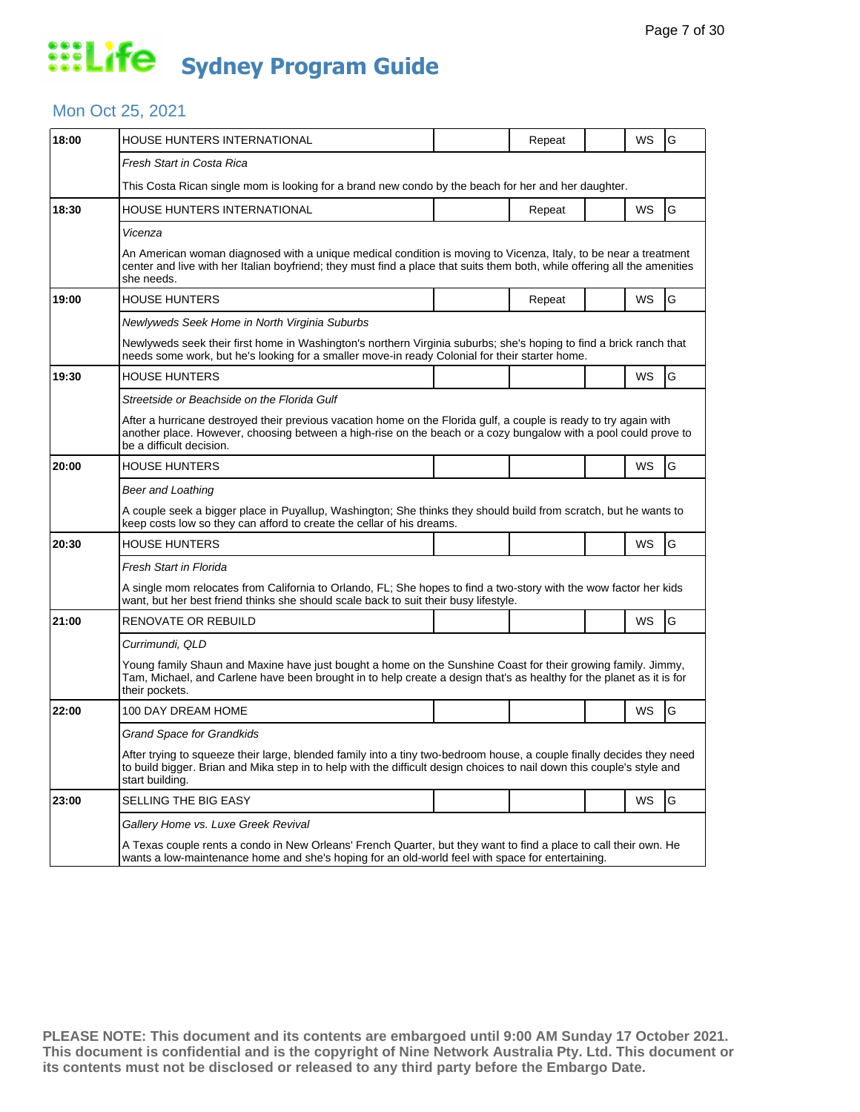### Mon Oct 25, 2021

| 18:00 | HOUSE HUNTERS INTERNATIONAL                                                                                                                                                                                                                                        |  | Repeat |  | WS        | G |  |  |
|-------|--------------------------------------------------------------------------------------------------------------------------------------------------------------------------------------------------------------------------------------------------------------------|--|--------|--|-----------|---|--|--|
|       | Fresh Start in Costa Rica                                                                                                                                                                                                                                          |  |        |  |           |   |  |  |
|       | This Costa Rican single mom is looking for a brand new condo by the beach for her and her daughter.                                                                                                                                                                |  |        |  |           |   |  |  |
| 18:30 | HOUSE HUNTERS INTERNATIONAL                                                                                                                                                                                                                                        |  | Repeat |  | WS        | G |  |  |
|       | Vicenza                                                                                                                                                                                                                                                            |  |        |  |           |   |  |  |
|       | An American woman diagnosed with a unique medical condition is moving to Vicenza, Italy, to be near a treatment<br>center and live with her Italian boyfriend; they must find a place that suits them both, while offering all the amenities<br>she needs.         |  |        |  |           |   |  |  |
| 19:00 | <b>HOUSE HUNTERS</b>                                                                                                                                                                                                                                               |  | Repeat |  | WS        | G |  |  |
|       | Newlyweds Seek Home in North Virginia Suburbs                                                                                                                                                                                                                      |  |        |  |           |   |  |  |
|       | Newlyweds seek their first home in Washington's northern Virginia suburbs; she's hoping to find a brick ranch that<br>needs some work, but he's looking for a smaller move-in ready Colonial for their starter home.                                               |  |        |  |           |   |  |  |
| 19:30 | HOUSE HUNTERS                                                                                                                                                                                                                                                      |  |        |  | WS        | G |  |  |
|       | Streetside or Beachside on the Florida Gulf                                                                                                                                                                                                                        |  |        |  |           |   |  |  |
|       | After a hurricane destroyed their previous vacation home on the Florida gulf, a couple is ready to try again with<br>another place. However, choosing between a high-rise on the beach or a cozy bungalow with a pool could prove to<br>be a difficult decision.   |  |        |  |           |   |  |  |
| 20:00 | <b>HOUSE HUNTERS</b>                                                                                                                                                                                                                                               |  |        |  | <b>WS</b> | G |  |  |
|       | Beer and Loathing                                                                                                                                                                                                                                                  |  |        |  |           |   |  |  |
|       | A couple seek a bigger place in Puyallup, Washington; She thinks they should build from scratch, but he wants to<br>keep costs low so they can afford to create the cellar of his dreams.                                                                          |  |        |  |           |   |  |  |
| 20:30 | <b>HOUSE HUNTERS</b>                                                                                                                                                                                                                                               |  |        |  | WS        | G |  |  |
|       | Fresh Start in Florida                                                                                                                                                                                                                                             |  |        |  |           |   |  |  |
|       | A single mom relocates from California to Orlando, FL; She hopes to find a two-story with the wow factor her kids<br>want, but her best friend thinks she should scale back to suit their busy lifestyle.                                                          |  |        |  |           |   |  |  |
| 21:00 | RENOVATE OR REBUILD                                                                                                                                                                                                                                                |  |        |  | WS        | G |  |  |
|       | Currimundi, QLD                                                                                                                                                                                                                                                    |  |        |  |           |   |  |  |
|       | Young family Shaun and Maxine have just bought a home on the Sunshine Coast for their growing family. Jimmy,<br>Tam, Michael, and Carlene have been brought in to help create a design that's as healthy for the planet as it is for<br>their pockets.             |  |        |  |           |   |  |  |
| 22:00 | 100 DAY DREAM HOME                                                                                                                                                                                                                                                 |  |        |  | <b>WS</b> | G |  |  |
|       | Grand Space for Grandkids                                                                                                                                                                                                                                          |  |        |  |           |   |  |  |
|       | After trying to squeeze their large, blended family into a tiny two-bedroom house, a couple finally decides they need<br>to build bigger. Brian and Mika step in to help with the difficult design choices to nail down this couple's style and<br>start building. |  |        |  |           |   |  |  |
| 23:00 | SELLING THE BIG EASY                                                                                                                                                                                                                                               |  |        |  | WS        | G |  |  |
|       | Gallery Home vs. Luxe Greek Revival                                                                                                                                                                                                                                |  |        |  |           |   |  |  |
|       | A Texas couple rents a condo in New Orleans' French Quarter, but they want to find a place to call their own. He<br>wants a low-maintenance home and she's hoping for an old-world feel with space for entertaining.                                               |  |        |  |           |   |  |  |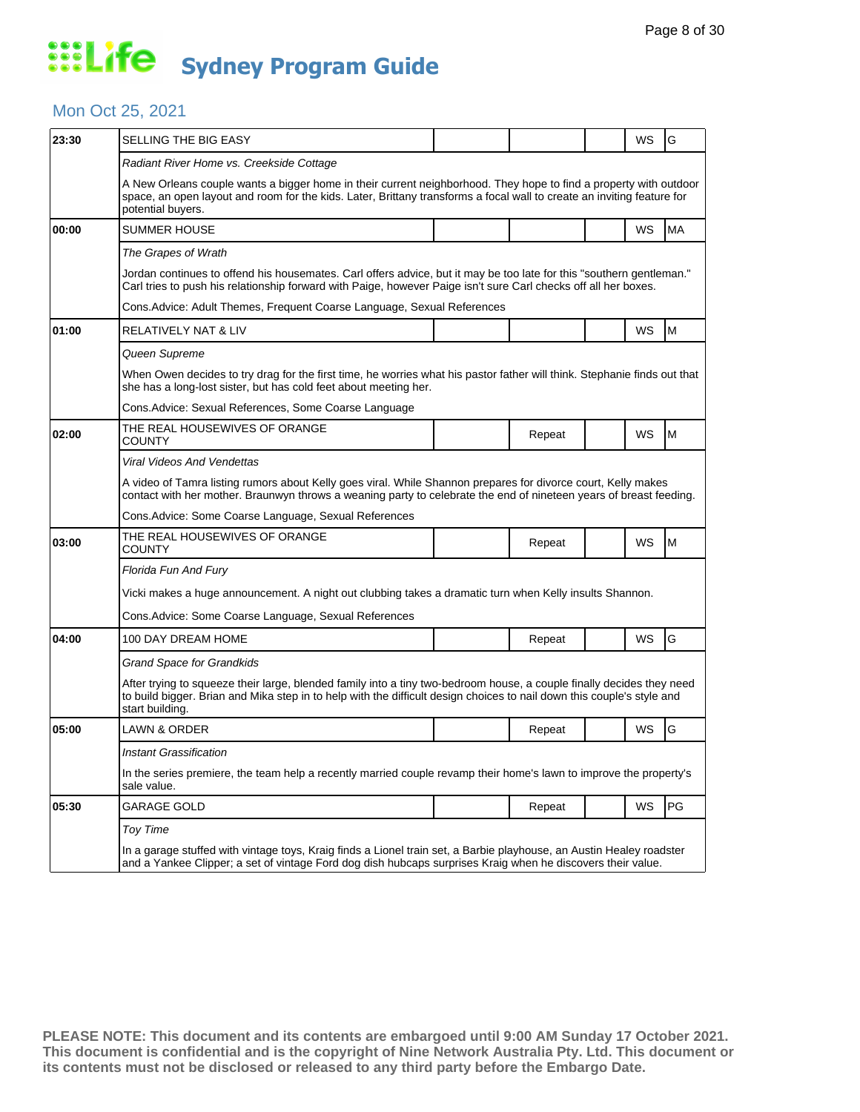#### Mon Oct 25, 2021

| 23:30 | SELLING THE BIG EASY                                                                                                                                                                                                                                               |  |        |  | WS | G  |  |  |  |
|-------|--------------------------------------------------------------------------------------------------------------------------------------------------------------------------------------------------------------------------------------------------------------------|--|--------|--|----|----|--|--|--|
|       | Radiant River Home vs. Creekside Cottage                                                                                                                                                                                                                           |  |        |  |    |    |  |  |  |
|       | A New Orleans couple wants a bigger home in their current neighborhood. They hope to find a property with outdoor<br>space, an open layout and room for the kids. Later, Brittany transforms a focal wall to create an inviting feature for<br>potential buyers.   |  |        |  |    |    |  |  |  |
| 00:00 | SUMMER HOUSE                                                                                                                                                                                                                                                       |  |        |  | WS | MA |  |  |  |
|       | The Grapes of Wrath                                                                                                                                                                                                                                                |  |        |  |    |    |  |  |  |
|       | Jordan continues to offend his housemates. Carl offers advice, but it may be too late for this "southern gentleman."<br>Carl tries to push his relationship forward with Paige, however Paige isn't sure Carl checks off all her boxes.                            |  |        |  |    |    |  |  |  |
|       | Cons. Advice: Adult Themes, Frequent Coarse Language, Sexual References                                                                                                                                                                                            |  |        |  |    |    |  |  |  |
| 01:00 | <b>RELATIVELY NAT &amp; LIV</b>                                                                                                                                                                                                                                    |  |        |  | WS | M  |  |  |  |
|       | Queen Supreme                                                                                                                                                                                                                                                      |  |        |  |    |    |  |  |  |
|       | When Owen decides to try drag for the first time, he worries what his pastor father will think. Stephanie finds out that<br>she has a long-lost sister, but has cold feet about meeting her.                                                                       |  |        |  |    |    |  |  |  |
|       | Cons.Advice: Sexual References, Some Coarse Language                                                                                                                                                                                                               |  |        |  |    |    |  |  |  |
| 02:00 | THE REAL HOUSEWIVES OF ORANGE<br>COUNTY                                                                                                                                                                                                                            |  | Repeat |  | WS | M  |  |  |  |
|       | Viral Videos And Vendettas                                                                                                                                                                                                                                         |  |        |  |    |    |  |  |  |
|       | A video of Tamra listing rumors about Kelly goes viral. While Shannon prepares for divorce court, Kelly makes<br>contact with her mother. Braunwyn throws a weaning party to celebrate the end of nineteen years of breast feeding.                                |  |        |  |    |    |  |  |  |
|       | Cons. Advice: Some Coarse Language, Sexual References                                                                                                                                                                                                              |  |        |  |    |    |  |  |  |
| 03:00 | THE REAL HOUSEWIVES OF ORANGE<br><b>COUNTY</b>                                                                                                                                                                                                                     |  | Repeat |  | WS | M  |  |  |  |
|       | Florida Fun And Fury                                                                                                                                                                                                                                               |  |        |  |    |    |  |  |  |
|       | Vicki makes a huge announcement. A night out clubbing takes a dramatic turn when Kelly insults Shannon.                                                                                                                                                            |  |        |  |    |    |  |  |  |
|       | Cons. Advice: Some Coarse Language, Sexual References                                                                                                                                                                                                              |  |        |  |    |    |  |  |  |
| 04:00 | 100 DAY DREAM HOME                                                                                                                                                                                                                                                 |  | Repeat |  | WS | G  |  |  |  |
|       | <b>Grand Space for Grandkids</b>                                                                                                                                                                                                                                   |  |        |  |    |    |  |  |  |
|       | After trying to squeeze their large, blended family into a tiny two-bedroom house, a couple finally decides they need<br>to build bigger. Brian and Mika step in to help with the difficult design choices to nail down this couple's style and<br>start building. |  |        |  |    |    |  |  |  |
| 05:00 | LAWN & ORDER                                                                                                                                                                                                                                                       |  | Repeat |  | WS | G  |  |  |  |
|       | Instant Grassification                                                                                                                                                                                                                                             |  |        |  |    |    |  |  |  |
|       | In the series premiere, the team help a recently married couple revamp their home's lawn to improve the property's<br>sale value.                                                                                                                                  |  |        |  |    |    |  |  |  |
| 05:30 | GARAGE GOLD                                                                                                                                                                                                                                                        |  | Repeat |  | WS | PG |  |  |  |
|       | Toy Time                                                                                                                                                                                                                                                           |  |        |  |    |    |  |  |  |
|       | In a garage stuffed with vintage toys, Kraig finds a Lionel train set, a Barbie playhouse, an Austin Healey roadster<br>and a Yankee Clipper; a set of vintage Ford dog dish hubcaps surprises Kraig when he discovers their value.                                |  |        |  |    |    |  |  |  |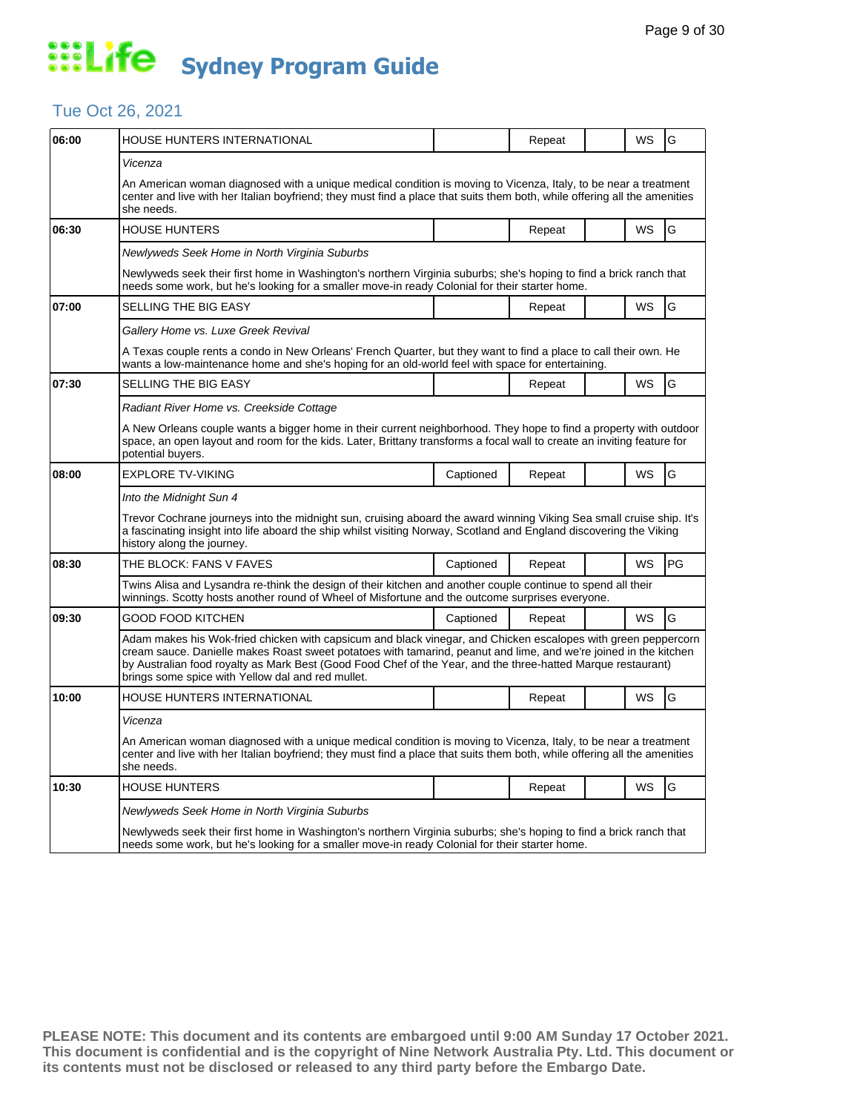### Tue Oct 26, 2021

| 06:00 | HOUSE HUNTERS INTERNATIONAL                                                                                                                                                                                                                                                                                                                                                                            |           | Repeat |  | WS        | G  |  |  |
|-------|--------------------------------------------------------------------------------------------------------------------------------------------------------------------------------------------------------------------------------------------------------------------------------------------------------------------------------------------------------------------------------------------------------|-----------|--------|--|-----------|----|--|--|
|       | Vicenza                                                                                                                                                                                                                                                                                                                                                                                                |           |        |  |           |    |  |  |
|       | An American woman diagnosed with a unique medical condition is moving to Vicenza, Italy, to be near a treatment<br>center and live with her Italian boyfriend; they must find a place that suits them both, while offering all the amenities<br>she needs.                                                                                                                                             |           |        |  |           |    |  |  |
| 06:30 | <b>HOUSE HUNTERS</b>                                                                                                                                                                                                                                                                                                                                                                                   |           | Repeat |  | WS        | G  |  |  |
|       | Newlyweds Seek Home in North Virginia Suburbs                                                                                                                                                                                                                                                                                                                                                          |           |        |  |           |    |  |  |
|       | Newlyweds seek their first home in Washington's northern Virginia suburbs; she's hoping to find a brick ranch that<br>needs some work, but he's looking for a smaller move-in ready Colonial for their starter home.                                                                                                                                                                                   |           |        |  |           |    |  |  |
| 07:00 | SELLING THE BIG EASY                                                                                                                                                                                                                                                                                                                                                                                   |           | Repeat |  | WS        | G  |  |  |
|       | Gallery Home vs. Luxe Greek Revival                                                                                                                                                                                                                                                                                                                                                                    |           |        |  |           |    |  |  |
|       | A Texas couple rents a condo in New Orleans' French Quarter, but they want to find a place to call their own. He<br>wants a low-maintenance home and she's hoping for an old-world feel with space for entertaining.                                                                                                                                                                                   |           |        |  |           |    |  |  |
| 07:30 | SELLING THE BIG EASY                                                                                                                                                                                                                                                                                                                                                                                   |           | Repeat |  | WS        | G  |  |  |
|       | Radiant River Home vs. Creekside Cottage                                                                                                                                                                                                                                                                                                                                                               |           |        |  |           |    |  |  |
|       | A New Orleans couple wants a bigger home in their current neighborhood. They hope to find a property with outdoor<br>space, an open layout and room for the kids. Later, Brittany transforms a focal wall to create an inviting feature for<br>potential buyers.                                                                                                                                       |           |        |  |           |    |  |  |
| 08:00 | <b>EXPLORE TV-VIKING</b>                                                                                                                                                                                                                                                                                                                                                                               | Captioned | Repeat |  | <b>WS</b> | G  |  |  |
|       | Into the Midnight Sun 4<br>Trevor Cochrane journeys into the midnight sun, cruising aboard the award winning Viking Sea small cruise ship. It's<br>a fascinating insight into life aboard the ship whilst visiting Norway, Scotland and England discovering the Viking<br>history along the journey.                                                                                                   |           |        |  |           |    |  |  |
| 08:30 | THE BLOCK: FANS V FAVES                                                                                                                                                                                                                                                                                                                                                                                | Captioned | Repeat |  | WS        | PG |  |  |
|       | Twins Alisa and Lysandra re-think the design of their kitchen and another couple continue to spend all their<br>winnings. Scotty hosts another round of Wheel of Misfortune and the outcome surprises everyone.                                                                                                                                                                                        |           |        |  |           |    |  |  |
| 09:30 | GOOD FOOD KITCHEN                                                                                                                                                                                                                                                                                                                                                                                      | Captioned | Repeat |  | WS        | G  |  |  |
|       | Adam makes his Wok-fried chicken with capsicum and black vinegar, and Chicken escalopes with green peppercorn<br>cream sauce. Danielle makes Roast sweet potatoes with tamarind, peanut and lime, and we're joined in the kitchen<br>by Australian food royalty as Mark Best (Good Food Chef of the Year, and the three-hatted Marque restaurant)<br>brings some spice with Yellow dal and red mullet. |           |        |  |           |    |  |  |
| 10:00 | HOUSE HUNTERS INTERNATIONAL                                                                                                                                                                                                                                                                                                                                                                            |           | Repeat |  | WS        | G  |  |  |
|       | Vicenza                                                                                                                                                                                                                                                                                                                                                                                                |           |        |  |           |    |  |  |
|       | An American woman diagnosed with a unique medical condition is moving to Vicenza, Italy, to be near a treatment<br>center and live with her Italian boyfriend; they must find a place that suits them both, while offering all the amenities<br>she needs.                                                                                                                                             |           |        |  |           |    |  |  |
| 10:30 | <b>HOUSE HUNTERS</b>                                                                                                                                                                                                                                                                                                                                                                                   |           | Repeat |  | WS        | G  |  |  |
|       | Newlyweds Seek Home in North Virginia Suburbs                                                                                                                                                                                                                                                                                                                                                          |           |        |  |           |    |  |  |
|       | Newlyweds seek their first home in Washington's northern Virginia suburbs; she's hoping to find a brick ranch that<br>needs some work, but he's looking for a smaller move-in ready Colonial for their starter home.                                                                                                                                                                                   |           |        |  |           |    |  |  |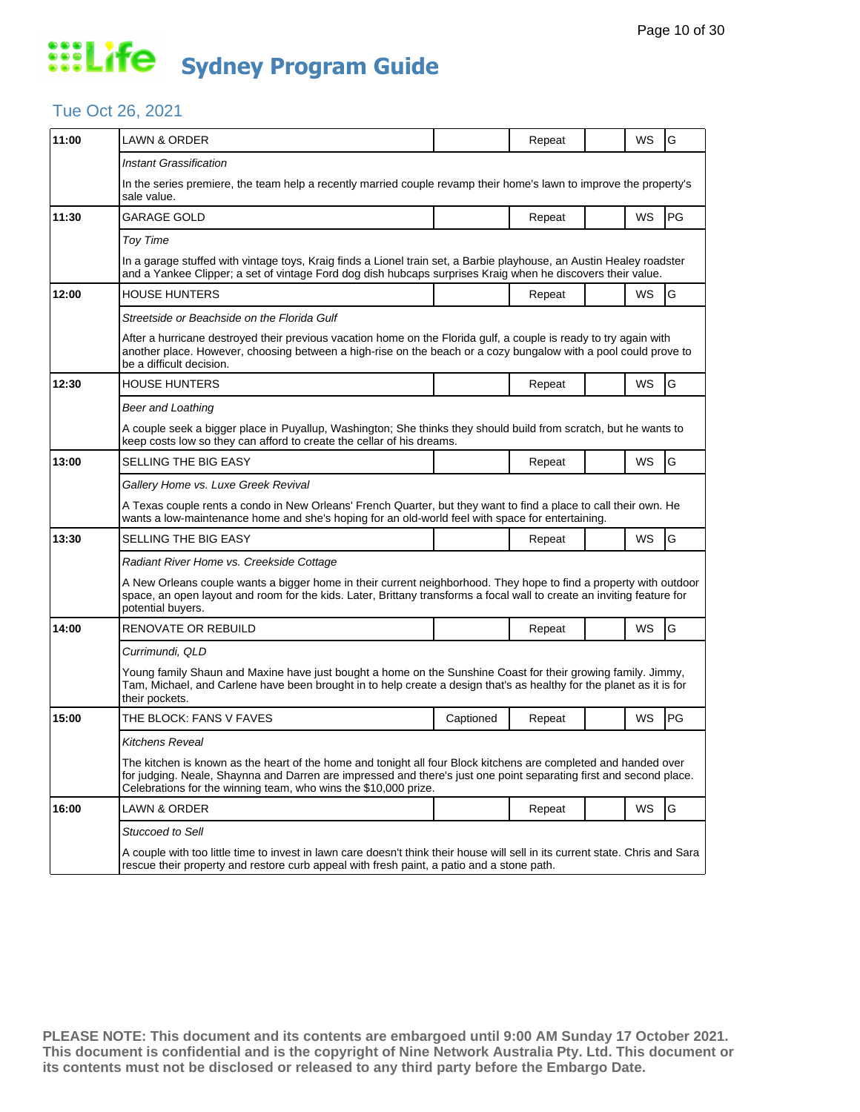### Tue Oct 26, 2021

| 11:00 | <b>LAWN &amp; ORDER</b>                                                                                                                                                                                                                                                                                  |           | Repeat |  | WS        | G         |  |  |
|-------|----------------------------------------------------------------------------------------------------------------------------------------------------------------------------------------------------------------------------------------------------------------------------------------------------------|-----------|--------|--|-----------|-----------|--|--|
|       | <b>Instant Grassification</b>                                                                                                                                                                                                                                                                            |           |        |  |           |           |  |  |
|       | In the series premiere, the team help a recently married couple revamp their home's lawn to improve the property's<br>sale value.                                                                                                                                                                        |           |        |  |           |           |  |  |
| 11:30 | <b>GARAGE GOLD</b>                                                                                                                                                                                                                                                                                       |           | Repeat |  | <b>WS</b> | PG        |  |  |
|       | Toy Time                                                                                                                                                                                                                                                                                                 |           |        |  |           |           |  |  |
|       | In a garage stuffed with vintage toys, Kraig finds a Lionel train set, a Barbie playhouse, an Austin Healey roadster<br>and a Yankee Clipper; a set of vintage Ford dog dish hubcaps surprises Kraig when he discovers their value.                                                                      |           |        |  |           |           |  |  |
| 12:00 | <b>HOUSE HUNTERS</b>                                                                                                                                                                                                                                                                                     |           | Repeat |  | WS        | G         |  |  |
|       | Streetside or Beachside on the Florida Gulf                                                                                                                                                                                                                                                              |           |        |  |           |           |  |  |
|       | After a hurricane destroyed their previous vacation home on the Florida gulf, a couple is ready to try again with<br>another place. However, choosing between a high-rise on the beach or a cozy bungalow with a pool could prove to<br>be a difficult decision.                                         |           |        |  |           |           |  |  |
| 12:30 | <b>HOUSE HUNTERS</b>                                                                                                                                                                                                                                                                                     |           | Repeat |  | WS        | G         |  |  |
|       | <b>Beer and Loathing</b>                                                                                                                                                                                                                                                                                 |           |        |  |           |           |  |  |
|       | A couple seek a bigger place in Puyallup, Washington; She thinks they should build from scratch, but he wants to<br>keep costs low so they can afford to create the cellar of his dreams.                                                                                                                |           |        |  |           |           |  |  |
| 13:00 | SELLING THE BIG EASY                                                                                                                                                                                                                                                                                     |           | Repeat |  | WS        | G         |  |  |
|       | Gallery Home vs. Luxe Greek Revival                                                                                                                                                                                                                                                                      |           |        |  |           |           |  |  |
|       | A Texas couple rents a condo in New Orleans' French Quarter, but they want to find a place to call their own. He<br>wants a low-maintenance home and she's hoping for an old-world feel with space for entertaining.                                                                                     |           |        |  |           |           |  |  |
| 13:30 | SELLING THE BIG EASY                                                                                                                                                                                                                                                                                     |           | Repeat |  | WS        | G         |  |  |
|       | Radiant River Home vs. Creekside Cottage                                                                                                                                                                                                                                                                 |           |        |  |           |           |  |  |
|       | A New Orleans couple wants a bigger home in their current neighborhood. They hope to find a property with outdoor<br>space, an open layout and room for the kids. Later, Brittany transforms a focal wall to create an inviting feature for<br>potential buyers.                                         |           |        |  |           |           |  |  |
| 14:00 | <b>RENOVATE OR REBUILD</b>                                                                                                                                                                                                                                                                               |           | Repeat |  | WS        | G         |  |  |
|       | Currimundi, QLD                                                                                                                                                                                                                                                                                          |           |        |  |           |           |  |  |
|       | Young family Shaun and Maxine have just bought a home on the Sunshine Coast for their growing family. Jimmy,<br>Tam, Michael, and Carlene have been brought in to help create a design that's as healthy for the planet as it is for<br>their pockets.                                                   |           |        |  |           |           |  |  |
| 15:00 | THE BLOCK: FANS V FAVES                                                                                                                                                                                                                                                                                  | Captioned | Repeat |  | WS        | <b>PG</b> |  |  |
|       | Kitchens Reveal                                                                                                                                                                                                                                                                                          |           |        |  |           |           |  |  |
|       | The kitchen is known as the heart of the home and tonight all four Block kitchens are completed and handed over<br>for judging. Neale, Shaynna and Darren are impressed and there's just one point separating first and second place.<br>Celebrations for the winning team, who wins the \$10,000 prize. |           |        |  |           |           |  |  |
| 16:00 | LAWN & ORDER                                                                                                                                                                                                                                                                                             |           | Repeat |  | WS        | G         |  |  |
|       | <b>Stuccoed to Sell</b>                                                                                                                                                                                                                                                                                  |           |        |  |           |           |  |  |
|       | A couple with too little time to invest in lawn care doesn't think their house will sell in its current state. Chris and Sara<br>rescue their property and restore curb appeal with fresh paint, a patio and a stone path.                                                                               |           |        |  |           |           |  |  |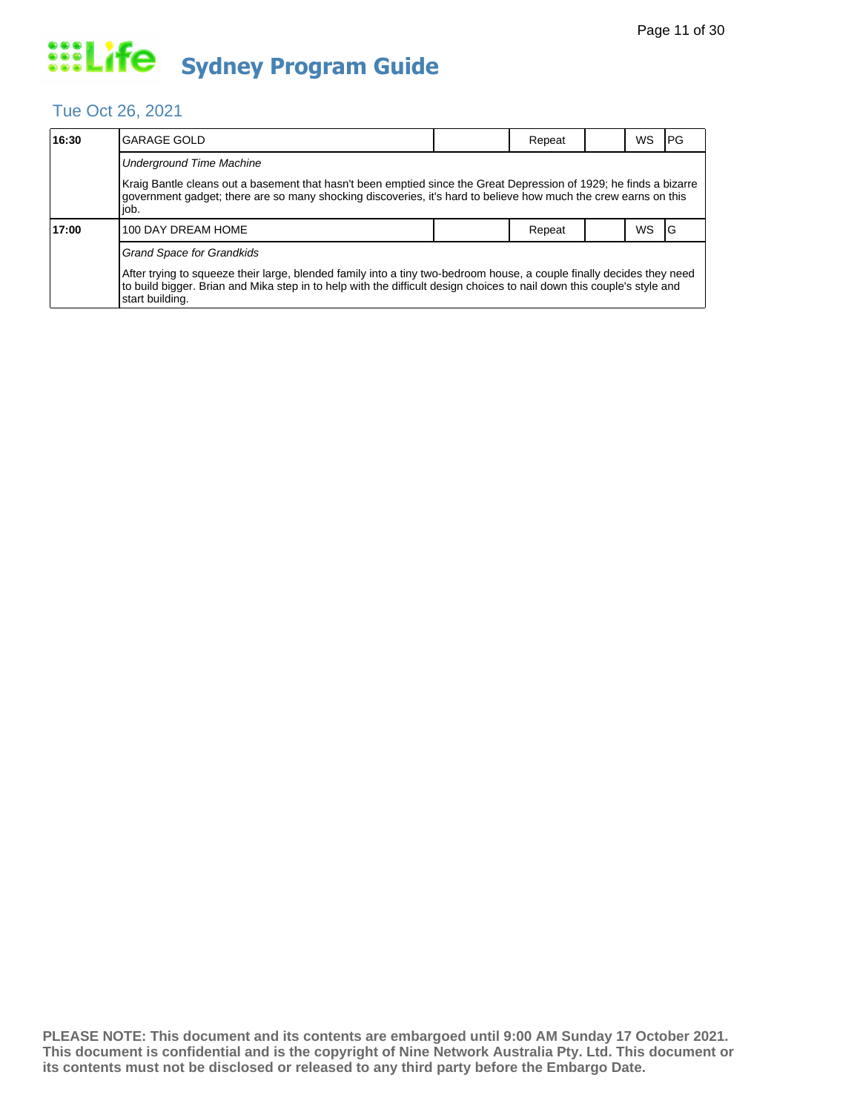### Tue Oct 26, 2021

| 16:30 | <b>GARAGE GOLD</b>                                                                                                                                                                                                                                                                                     |  | Repeat |  | WS | IPG. |  |  |  |
|-------|--------------------------------------------------------------------------------------------------------------------------------------------------------------------------------------------------------------------------------------------------------------------------------------------------------|--|--------|--|----|------|--|--|--|
|       | <b>Underground Time Machine</b>                                                                                                                                                                                                                                                                        |  |        |  |    |      |  |  |  |
|       | Kraig Bantle cleans out a basement that hasn't been emptied since the Great Depression of 1929; he finds a bizarre<br>government gadget; there are so many shocking discoveries, it's hard to believe how much the crew earns on this<br>job.                                                          |  |        |  |    |      |  |  |  |
| 17:00 | 100 DAY DREAM HOME                                                                                                                                                                                                                                                                                     |  | Repeat |  | WS | IG   |  |  |  |
|       | <b>Grand Space for Grandkids</b><br>After trying to squeeze their large, blended family into a tiny two-bedroom house, a couple finally decides they need<br>to build bigger. Brian and Mika step in to help with the difficult design choices to nail down this couple's style and<br>start building. |  |        |  |    |      |  |  |  |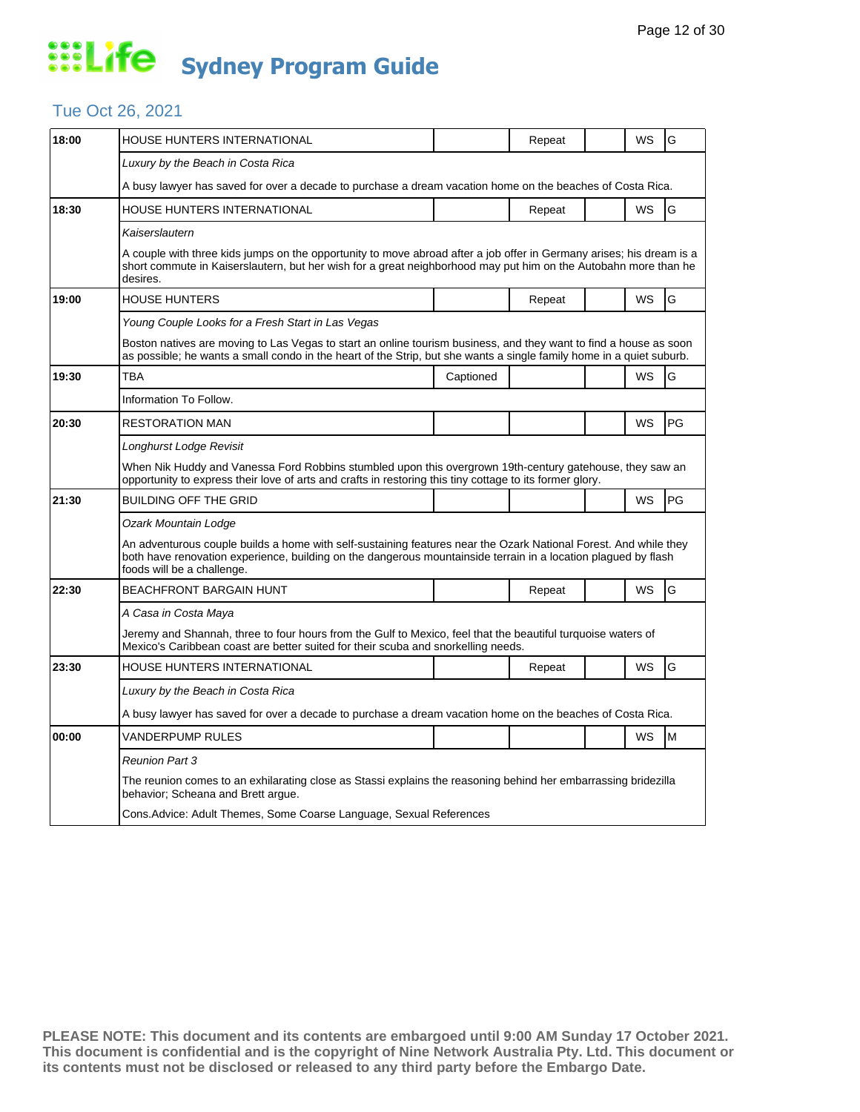### Tue Oct 26, 2021

| 18:00 | HOUSE HUNTERS INTERNATIONAL                                                                                                                                                                                                                                      |                                                                                                                                                                                                                                         | Repeat |  | WS | G  |  |  |  |
|-------|------------------------------------------------------------------------------------------------------------------------------------------------------------------------------------------------------------------------------------------------------------------|-----------------------------------------------------------------------------------------------------------------------------------------------------------------------------------------------------------------------------------------|--------|--|----|----|--|--|--|
|       | Luxury by the Beach in Costa Rica                                                                                                                                                                                                                                |                                                                                                                                                                                                                                         |        |  |    |    |  |  |  |
|       | A busy lawyer has saved for over a decade to purchase a dream vacation home on the beaches of Costa Rica.                                                                                                                                                        |                                                                                                                                                                                                                                         |        |  |    |    |  |  |  |
| 18:30 | HOUSE HUNTERS INTERNATIONAL                                                                                                                                                                                                                                      |                                                                                                                                                                                                                                         | Repeat |  | WS | G  |  |  |  |
|       | Kaiserslautern                                                                                                                                                                                                                                                   |                                                                                                                                                                                                                                         |        |  |    |    |  |  |  |
|       | desires.                                                                                                                                                                                                                                                         | A couple with three kids jumps on the opportunity to move abroad after a job offer in Germany arises; his dream is a<br>short commute in Kaiserslautern, but her wish for a great neighborhood may put him on the Autobahn more than he |        |  |    |    |  |  |  |
| 19:00 | <b>HOUSE HUNTERS</b>                                                                                                                                                                                                                                             |                                                                                                                                                                                                                                         | Repeat |  | WS | G  |  |  |  |
|       | Young Couple Looks for a Fresh Start in Las Vegas                                                                                                                                                                                                                |                                                                                                                                                                                                                                         |        |  |    |    |  |  |  |
|       | Boston natives are moving to Las Vegas to start an online tourism business, and they want to find a house as soon<br>as possible; he wants a small condo in the heart of the Strip, but she wants a single family home in a quiet suburb.                        |                                                                                                                                                                                                                                         |        |  |    |    |  |  |  |
| 19:30 | <b>TBA</b>                                                                                                                                                                                                                                                       | Captioned                                                                                                                                                                                                                               |        |  | WS | G  |  |  |  |
|       | Information To Follow.                                                                                                                                                                                                                                           |                                                                                                                                                                                                                                         |        |  |    |    |  |  |  |
| 20:30 | RESTORATION MAN                                                                                                                                                                                                                                                  |                                                                                                                                                                                                                                         |        |  | WS | PG |  |  |  |
|       | Longhurst Lodge Revisit                                                                                                                                                                                                                                          |                                                                                                                                                                                                                                         |        |  |    |    |  |  |  |
|       | When Nik Huddy and Vanessa Ford Robbins stumbled upon this overgrown 19th-century gatehouse, they saw an<br>opportunity to express their love of arts and crafts in restoring this tiny cottage to its former glory.                                             |                                                                                                                                                                                                                                         |        |  |    |    |  |  |  |
| 21:30 | <b>BUILDING OFF THE GRID</b>                                                                                                                                                                                                                                     |                                                                                                                                                                                                                                         |        |  | WS | PG |  |  |  |
|       | Ozark Mountain Lodge                                                                                                                                                                                                                                             |                                                                                                                                                                                                                                         |        |  |    |    |  |  |  |
|       | An adventurous couple builds a home with self-sustaining features near the Ozark National Forest. And while they<br>both have renovation experience, building on the dangerous mountainside terrain in a location plagued by flash<br>foods will be a challenge. |                                                                                                                                                                                                                                         |        |  |    |    |  |  |  |
| 22:30 | <b>BEACHFRONT BARGAIN HUNT</b>                                                                                                                                                                                                                                   |                                                                                                                                                                                                                                         | Repeat |  | WS | G  |  |  |  |
|       | A Casa in Costa Maya                                                                                                                                                                                                                                             |                                                                                                                                                                                                                                         |        |  |    |    |  |  |  |
|       | Jeremy and Shannah, three to four hours from the Gulf to Mexico, feel that the beautiful turquoise waters of<br>Mexico's Caribbean coast are better suited for their scuba and snorkelling needs.                                                                |                                                                                                                                                                                                                                         |        |  |    |    |  |  |  |
| 23:30 | <b>HOUSE HUNTERS INTERNATIONAL</b>                                                                                                                                                                                                                               |                                                                                                                                                                                                                                         | Repeat |  | WS | G  |  |  |  |
|       | Luxury by the Beach in Costa Rica                                                                                                                                                                                                                                |                                                                                                                                                                                                                                         |        |  |    |    |  |  |  |
|       | A busy lawyer has saved for over a decade to purchase a dream vacation home on the beaches of Costa Rica.                                                                                                                                                        |                                                                                                                                                                                                                                         |        |  |    |    |  |  |  |
| 00:00 | VANDERPUMP RULES                                                                                                                                                                                                                                                 |                                                                                                                                                                                                                                         |        |  | WS | M  |  |  |  |
|       | <b>Reunion Part 3</b>                                                                                                                                                                                                                                            |                                                                                                                                                                                                                                         |        |  |    |    |  |  |  |
|       |                                                                                                                                                                                                                                                                  |                                                                                                                                                                                                                                         |        |  |    |    |  |  |  |
|       | The reunion comes to an exhilarating close as Stassi explains the reasoning behind her embarrassing bridezilla<br>behavior; Scheana and Brett argue.                                                                                                             |                                                                                                                                                                                                                                         |        |  |    |    |  |  |  |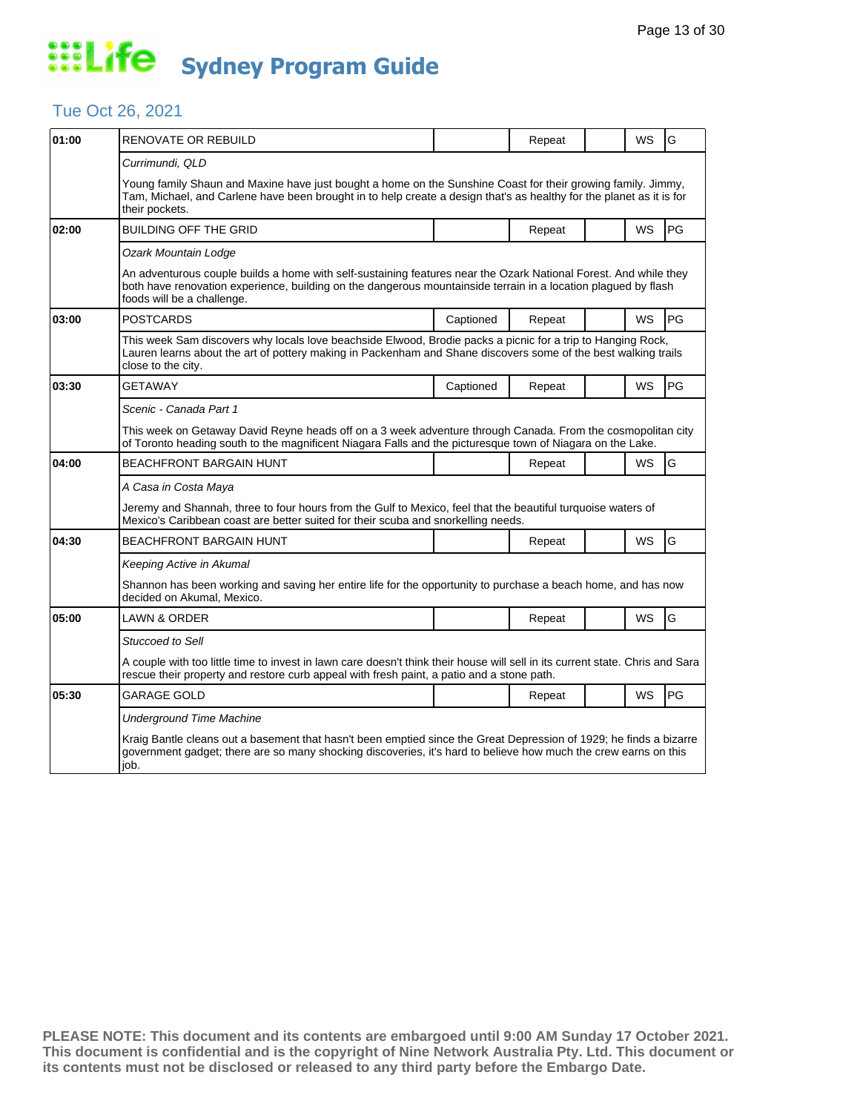### Tue Oct 26, 2021

| 01:00 | RENOVATE OR REBUILD                                                                                                                                                                                                                                              |           | Repeat |  | WS        | G         |  |  |
|-------|------------------------------------------------------------------------------------------------------------------------------------------------------------------------------------------------------------------------------------------------------------------|-----------|--------|--|-----------|-----------|--|--|
|       | Currimundi, QLD                                                                                                                                                                                                                                                  |           |        |  |           |           |  |  |
|       | Young family Shaun and Maxine have just bought a home on the Sunshine Coast for their growing family. Jimmy,<br>Tam, Michael, and Carlene have been brought in to help create a design that's as healthy for the planet as it is for<br>their pockets.           |           |        |  |           |           |  |  |
| 02:00 | <b>BUILDING OFF THE GRID</b>                                                                                                                                                                                                                                     |           | Repeat |  | <b>WS</b> | <b>PG</b> |  |  |
|       | Ozark Mountain Lodge                                                                                                                                                                                                                                             |           |        |  |           |           |  |  |
|       | An adventurous couple builds a home with self-sustaining features near the Ozark National Forest. And while they<br>both have renovation experience, building on the dangerous mountainside terrain in a location plagued by flash<br>foods will be a challenge. |           |        |  |           |           |  |  |
| 03:00 | <b>POSTCARDS</b>                                                                                                                                                                                                                                                 | Captioned | Repeat |  | <b>WS</b> | PG        |  |  |
|       | This week Sam discovers why locals love beachside Elwood, Brodie packs a picnic for a trip to Hanging Rock,<br>Lauren learns about the art of pottery making in Packenham and Shane discovers some of the best walking trails<br>close to the city.              |           |        |  |           |           |  |  |
| 03:30 | GETAWAY                                                                                                                                                                                                                                                          | Captioned | Repeat |  | WS        | PG        |  |  |
|       | Scenic - Canada Part 1                                                                                                                                                                                                                                           |           |        |  |           |           |  |  |
|       | This week on Getaway David Reyne heads off on a 3 week adventure through Canada. From the cosmopolitan city<br>of Toronto heading south to the magnificent Niagara Falls and the picturesque town of Niagara on the Lake.                                        |           |        |  |           |           |  |  |
| 04:00 | <b>BEACHFRONT BARGAIN HUNT</b>                                                                                                                                                                                                                                   |           | Repeat |  | <b>WS</b> | G         |  |  |
|       | A Casa in Costa Maya                                                                                                                                                                                                                                             |           |        |  |           |           |  |  |
|       | Jeremy and Shannah, three to four hours from the Gulf to Mexico, feel that the beautiful turquoise waters of<br>Mexico's Caribbean coast are better suited for their scuba and snorkelling needs.                                                                |           |        |  |           |           |  |  |
| 04:30 | <b>BEACHFRONT BARGAIN HUNT</b>                                                                                                                                                                                                                                   |           | Repeat |  | <b>WS</b> | G         |  |  |
|       | Keeping Active in Akumal                                                                                                                                                                                                                                         |           |        |  |           |           |  |  |
|       | Shannon has been working and saving her entire life for the opportunity to purchase a beach home, and has now<br>decided on Akumal, Mexico.                                                                                                                      |           |        |  |           |           |  |  |
| 05:00 | <b>LAWN &amp; ORDER</b>                                                                                                                                                                                                                                          |           | Repeat |  | <b>WS</b> | G         |  |  |
|       | <b>Stuccoed to Sell</b>                                                                                                                                                                                                                                          |           |        |  |           |           |  |  |
|       | A couple with too little time to invest in lawn care doesn't think their house will sell in its current state. Chris and Sara<br>rescue their property and restore curb appeal with fresh paint, a patio and a stone path.                                       |           |        |  |           |           |  |  |
| 05:30 | GARAGE GOLD                                                                                                                                                                                                                                                      |           | Repeat |  | <b>WS</b> | <b>PG</b> |  |  |
|       | <b>Underground Time Machine</b>                                                                                                                                                                                                                                  |           |        |  |           |           |  |  |
|       | Kraig Bantle cleans out a basement that hasn't been emptied since the Great Depression of 1929; he finds a bizarre<br>government gadget; there are so many shocking discoveries, it's hard to believe how much the crew earns on this<br>job.                    |           |        |  |           |           |  |  |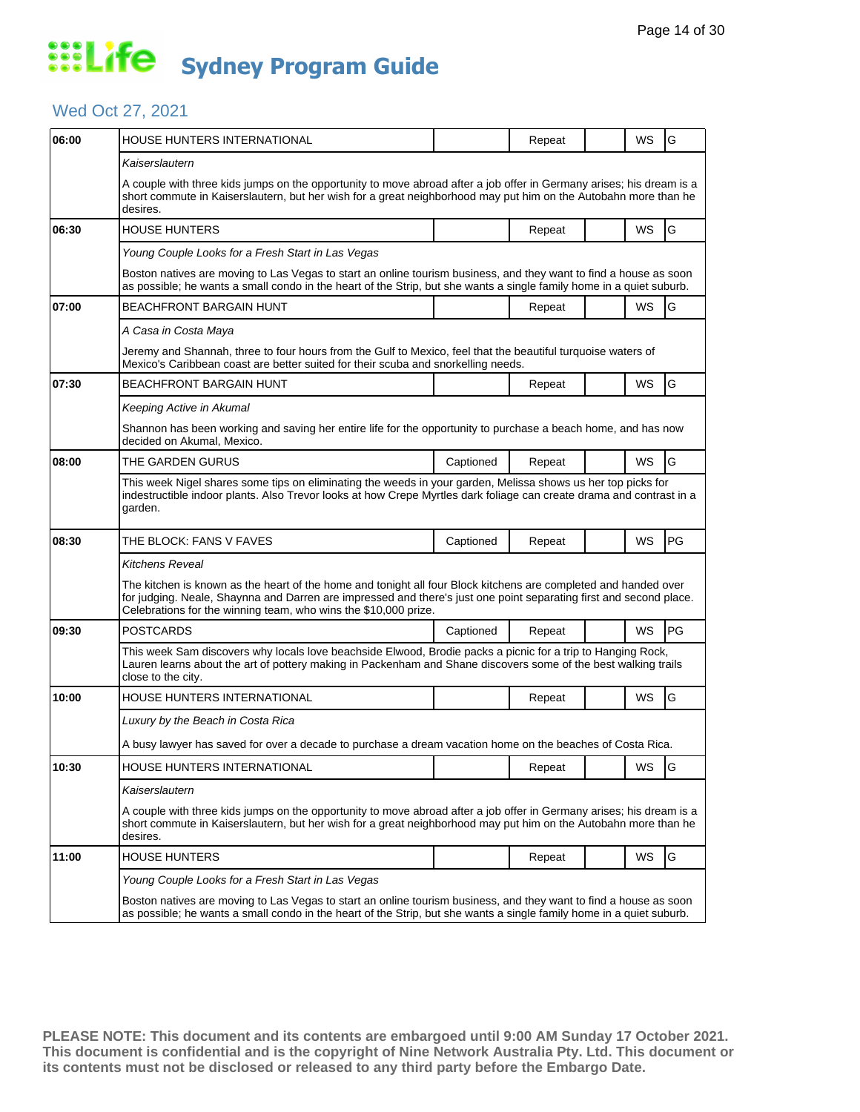### Wed Oct 27, 2021

| 06:00 | HOUSE HUNTERS INTERNATIONAL                                                                                                                                                                                                                                                                              |           | Repeat |  | WS | G  |  |  |
|-------|----------------------------------------------------------------------------------------------------------------------------------------------------------------------------------------------------------------------------------------------------------------------------------------------------------|-----------|--------|--|----|----|--|--|
|       | Kaiserslautern                                                                                                                                                                                                                                                                                           |           |        |  |    |    |  |  |
|       | A couple with three kids jumps on the opportunity to move abroad after a job offer in Germany arises; his dream is a<br>short commute in Kaiserslautern, but her wish for a great neighborhood may put him on the Autobahn more than he<br>desires.                                                      |           |        |  |    |    |  |  |
| 06:30 | <b>HOUSE HUNTERS</b>                                                                                                                                                                                                                                                                                     |           | Repeat |  | WS | G  |  |  |
|       | Young Couple Looks for a Fresh Start in Las Vegas                                                                                                                                                                                                                                                        |           |        |  |    |    |  |  |
|       | Boston natives are moving to Las Vegas to start an online tourism business, and they want to find a house as soon<br>as possible; he wants a small condo in the heart of the Strip, but she wants a single family home in a quiet suburb.                                                                |           |        |  |    |    |  |  |
| 07:00 | <b>BEACHFRONT BARGAIN HUNT</b>                                                                                                                                                                                                                                                                           |           | Repeat |  | WS | G  |  |  |
|       | A Casa in Costa Maya                                                                                                                                                                                                                                                                                     |           |        |  |    |    |  |  |
|       | Jeremy and Shannah, three to four hours from the Gulf to Mexico, feel that the beautiful turquoise waters of<br>Mexico's Caribbean coast are better suited for their scuba and snorkelling needs.                                                                                                        |           |        |  |    |    |  |  |
| 07:30 | <b>BEACHFRONT BARGAIN HUNT</b>                                                                                                                                                                                                                                                                           |           | Repeat |  | WS | G  |  |  |
|       | Keeping Active in Akumal                                                                                                                                                                                                                                                                                 |           |        |  |    |    |  |  |
|       | Shannon has been working and saving her entire life for the opportunity to purchase a beach home, and has now<br>decided on Akumal, Mexico.                                                                                                                                                              |           |        |  |    |    |  |  |
| 08:00 | THE GARDEN GURUS                                                                                                                                                                                                                                                                                         | Captioned | Repeat |  | WS | G  |  |  |
|       | This week Nigel shares some tips on eliminating the weeds in your garden, Melissa shows us her top picks for<br>indestructible indoor plants. Also Trevor looks at how Crepe Myrtles dark foliage can create drama and contrast in a<br>garden.                                                          |           |        |  |    |    |  |  |
| 08:30 | THE BLOCK: FANS V FAVES                                                                                                                                                                                                                                                                                  | Captioned | Repeat |  | WS | PG |  |  |
|       | Kitchens Reveal                                                                                                                                                                                                                                                                                          |           |        |  |    |    |  |  |
|       | The kitchen is known as the heart of the home and tonight all four Block kitchens are completed and handed over<br>for judging. Neale, Shaynna and Darren are impressed and there's just one point separating first and second place.<br>Celebrations for the winning team, who wins the \$10,000 prize. |           |        |  |    |    |  |  |
| 09:30 | POSTCARDS                                                                                                                                                                                                                                                                                                | Captioned | Repeat |  | WS | PG |  |  |
|       | This week Sam discovers why locals love beachside Elwood, Brodie packs a picnic for a trip to Hanging Rock,<br>Lauren learns about the art of pottery making in Packenham and Shane discovers some of the best walking trails<br>close to the city.                                                      |           |        |  |    |    |  |  |
| 10:00 | HOUSE HUNTERS INTERNATIONAL                                                                                                                                                                                                                                                                              |           | Repeat |  | WS | G  |  |  |
|       | Luxury by the Beach in Costa Rica                                                                                                                                                                                                                                                                        |           |        |  |    |    |  |  |
|       | A busy lawyer has saved for over a decade to purchase a dream vacation home on the beaches of Costa Rica.                                                                                                                                                                                                |           |        |  |    |    |  |  |
| 10:30 | HOUSE HUNTERS INTERNATIONAL                                                                                                                                                                                                                                                                              |           | Repeat |  | WS | G  |  |  |
|       | Kaiserslautern                                                                                                                                                                                                                                                                                           |           |        |  |    |    |  |  |
|       | A couple with three kids jumps on the opportunity to move abroad after a job offer in Germany arises; his dream is a<br>short commute in Kaiserslautern, but her wish for a great neighborhood may put him on the Autobahn more than he<br>desires.                                                      |           |        |  |    |    |  |  |
| 11:00 | <b>HOUSE HUNTERS</b>                                                                                                                                                                                                                                                                                     |           | Repeat |  | WS | G  |  |  |
|       | Young Couple Looks for a Fresh Start in Las Vegas                                                                                                                                                                                                                                                        |           |        |  |    |    |  |  |
|       | Boston natives are moving to Las Vegas to start an online tourism business, and they want to find a house as soon<br>as possible; he wants a small condo in the heart of the Strip, but she wants a single family home in a quiet suburb.                                                                |           |        |  |    |    |  |  |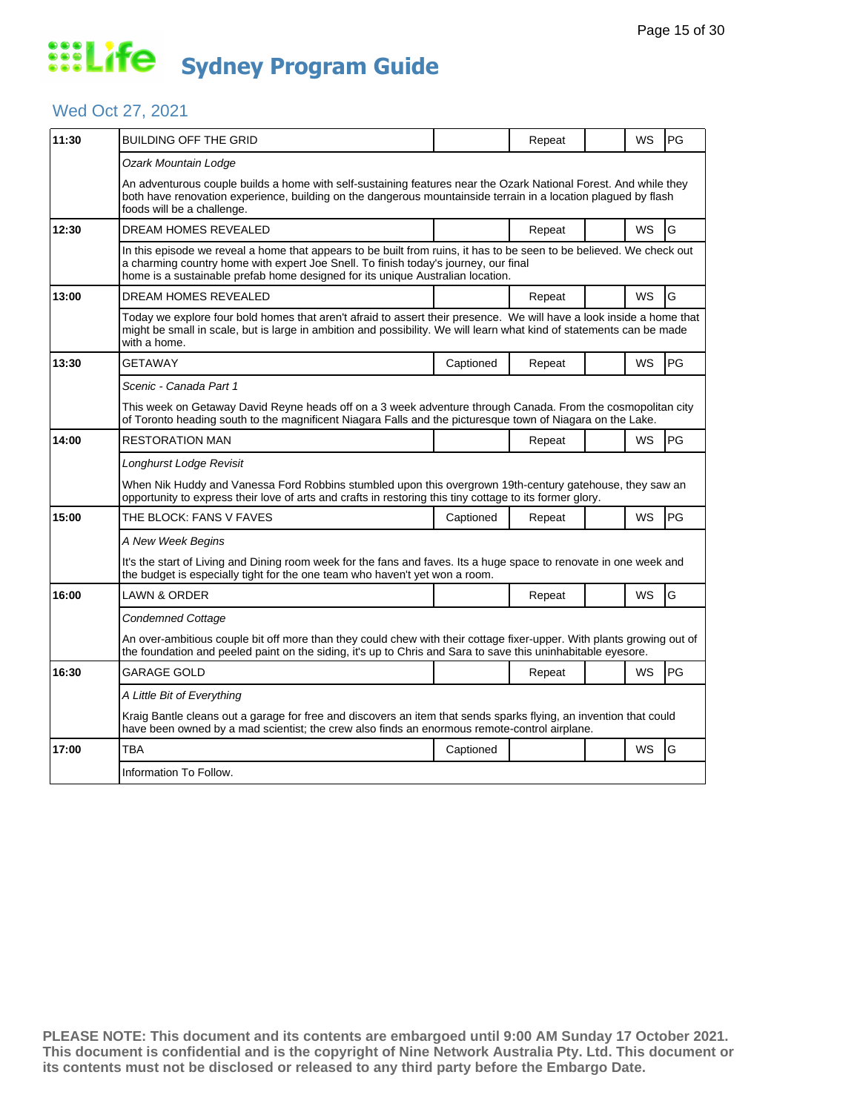### Wed Oct 27, 2021

| 11:30 | BUILDING OFF THE GRID                                                                                                                                                                                                                                            |                                                                                                                                                                                                                                                                                               | Repeat |  | WS        | PG |  |  |
|-------|------------------------------------------------------------------------------------------------------------------------------------------------------------------------------------------------------------------------------------------------------------------|-----------------------------------------------------------------------------------------------------------------------------------------------------------------------------------------------------------------------------------------------------------------------------------------------|--------|--|-----------|----|--|--|
|       | Ozark Mountain Lodge                                                                                                                                                                                                                                             |                                                                                                                                                                                                                                                                                               |        |  |           |    |  |  |
|       | An adventurous couple builds a home with self-sustaining features near the Ozark National Forest. And while they<br>both have renovation experience, building on the dangerous mountainside terrain in a location plagued by flash<br>foods will be a challenge. |                                                                                                                                                                                                                                                                                               |        |  |           |    |  |  |
| 12:30 | <b>DREAM HOMES REVEALED</b>                                                                                                                                                                                                                                      |                                                                                                                                                                                                                                                                                               | Repeat |  | <b>WS</b> | G  |  |  |
|       |                                                                                                                                                                                                                                                                  | In this episode we reveal a home that appears to be built from ruins, it has to be seen to be believed. We check out<br>a charming country home with expert Joe Snell. To finish today's journey, our final<br>home is a sustainable prefab home designed for its unique Australian location. |        |  |           |    |  |  |
| 13:00 | <b>DREAM HOMES REVEALED</b>                                                                                                                                                                                                                                      |                                                                                                                                                                                                                                                                                               | Repeat |  | WS        | G  |  |  |
|       | Today we explore four bold homes that aren't afraid to assert their presence. We will have a look inside a home that<br>might be small in scale, but is large in ambition and possibility. We will learn what kind of statements can be made<br>with a home.     |                                                                                                                                                                                                                                                                                               |        |  |           |    |  |  |
| 13:30 | GETAWAY                                                                                                                                                                                                                                                          | Captioned                                                                                                                                                                                                                                                                                     | Repeat |  | WS        | PG |  |  |
|       | Scenic - Canada Part 1                                                                                                                                                                                                                                           |                                                                                                                                                                                                                                                                                               |        |  |           |    |  |  |
|       |                                                                                                                                                                                                                                                                  | This week on Getaway David Reyne heads off on a 3 week adventure through Canada. From the cosmopolitan city<br>of Toronto heading south to the magnificent Niagara Falls and the picturesque town of Niagara on the Lake.                                                                     |        |  |           |    |  |  |
| 14:00 | <b>RESTORATION MAN</b>                                                                                                                                                                                                                                           |                                                                                                                                                                                                                                                                                               | Repeat |  | <b>WS</b> | PG |  |  |
|       | Longhurst Lodge Revisit                                                                                                                                                                                                                                          |                                                                                                                                                                                                                                                                                               |        |  |           |    |  |  |
|       | When Nik Huddy and Vanessa Ford Robbins stumbled upon this overgrown 19th-century gatehouse, they saw an<br>opportunity to express their love of arts and crafts in restoring this tiny cottage to its former glory.                                             |                                                                                                                                                                                                                                                                                               |        |  |           |    |  |  |
| 15:00 | THE BLOCK: FANS V FAVES                                                                                                                                                                                                                                          | Captioned                                                                                                                                                                                                                                                                                     | Repeat |  | WS        | PG |  |  |
|       | A New Week Begins                                                                                                                                                                                                                                                |                                                                                                                                                                                                                                                                                               |        |  |           |    |  |  |
|       | It's the start of Living and Dining room week for the fans and faves. Its a huge space to renovate in one week and<br>the budget is especially tight for the one team who haven't yet won a room.                                                                |                                                                                                                                                                                                                                                                                               |        |  |           |    |  |  |
| 16:00 | LAWN & ORDER                                                                                                                                                                                                                                                     |                                                                                                                                                                                                                                                                                               | Repeat |  | WS        | G  |  |  |
|       | Condemned Cottage                                                                                                                                                                                                                                                |                                                                                                                                                                                                                                                                                               |        |  |           |    |  |  |
|       | An over-ambitious couple bit off more than they could chew with their cottage fixer-upper. With plants growing out of<br>the foundation and peeled paint on the siding, it's up to Chris and Sara to save this uninhabitable eyesore.                            |                                                                                                                                                                                                                                                                                               |        |  |           |    |  |  |
| 16:30 | GARAGE GOLD                                                                                                                                                                                                                                                      |                                                                                                                                                                                                                                                                                               | Repeat |  | WS        | PG |  |  |
|       | A Little Bit of Everything                                                                                                                                                                                                                                       |                                                                                                                                                                                                                                                                                               |        |  |           |    |  |  |
|       | Kraig Bantle cleans out a garage for free and discovers an item that sends sparks flying, an invention that could<br>have been owned by a mad scientist; the crew also finds an enormous remote-control airplane.                                                |                                                                                                                                                                                                                                                                                               |        |  |           |    |  |  |
| 17:00 | TBA                                                                                                                                                                                                                                                              | Captioned                                                                                                                                                                                                                                                                                     |        |  | WS        | G  |  |  |
|       | Information To Follow.                                                                                                                                                                                                                                           |                                                                                                                                                                                                                                                                                               |        |  |           |    |  |  |
|       |                                                                                                                                                                                                                                                                  |                                                                                                                                                                                                                                                                                               |        |  |           |    |  |  |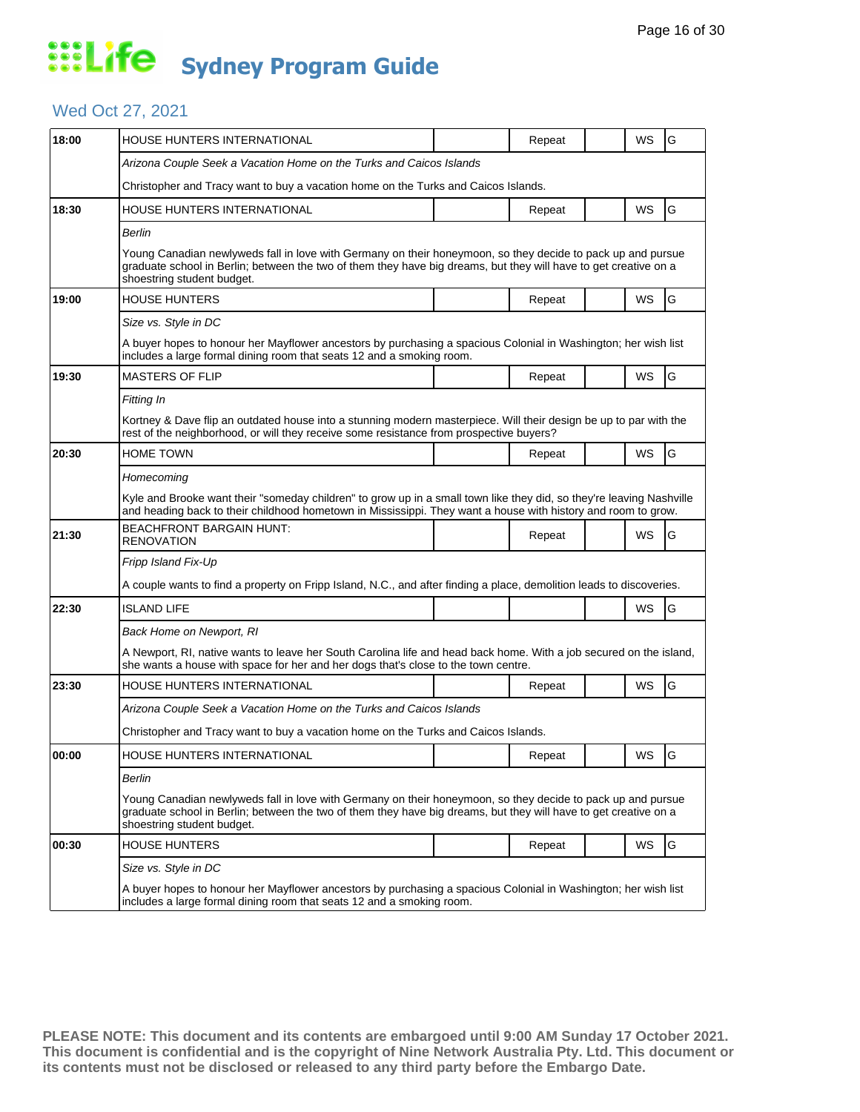### Wed Oct 27, 2021

| 18:00 | HOUSE HUNTERS INTERNATIONAL                                                                                                                                                                                                                                   |  | Repeat |  | WS        | G  |  |  |  |
|-------|---------------------------------------------------------------------------------------------------------------------------------------------------------------------------------------------------------------------------------------------------------------|--|--------|--|-----------|----|--|--|--|
|       | Arizona Couple Seek a Vacation Home on the Turks and Caicos Islands                                                                                                                                                                                           |  |        |  |           |    |  |  |  |
|       | Christopher and Tracy want to buy a vacation home on the Turks and Caicos Islands.                                                                                                                                                                            |  |        |  |           |    |  |  |  |
| 18:30 | HOUSE HUNTERS INTERNATIONAL                                                                                                                                                                                                                                   |  | Repeat |  | WS        | G  |  |  |  |
|       | Berlin                                                                                                                                                                                                                                                        |  |        |  |           |    |  |  |  |
|       | Young Canadian newlyweds fall in love with Germany on their honeymoon, so they decide to pack up and pursue<br>graduate school in Berlin; between the two of them they have big dreams, but they will have to get creative on a<br>shoestring student budget. |  |        |  |           |    |  |  |  |
| 19:00 | <b>HOUSE HUNTERS</b>                                                                                                                                                                                                                                          |  | Repeat |  | WS        | G  |  |  |  |
|       | Size vs. Style in DC                                                                                                                                                                                                                                          |  |        |  |           |    |  |  |  |
|       | A buyer hopes to honour her Mayflower ancestors by purchasing a spacious Colonial in Washington; her wish list<br>includes a large formal dining room that seats 12 and a smoking room.                                                                       |  |        |  |           |    |  |  |  |
| 19:30 | <b>MASTERS OF FLIP</b>                                                                                                                                                                                                                                        |  | Repeat |  | WS        | G  |  |  |  |
|       | Fitting In                                                                                                                                                                                                                                                    |  |        |  |           |    |  |  |  |
|       | Kortney & Dave flip an outdated house into a stunning modern masterpiece. Will their design be up to par with the<br>rest of the neighborhood, or will they receive some resistance from prospective buyers?                                                  |  |        |  |           |    |  |  |  |
| 20:30 | <b>HOME TOWN</b>                                                                                                                                                                                                                                              |  | Repeat |  | <b>WS</b> | G  |  |  |  |
|       | Homecoming                                                                                                                                                                                                                                                    |  |        |  |           |    |  |  |  |
|       | Kyle and Brooke want their "someday children" to grow up in a small town like they did, so they're leaving Nashville<br>and heading back to their childhood hometown in Mississippi. They want a house with history and room to grow.                         |  |        |  |           |    |  |  |  |
| 21:30 | <b>BEACHFRONT BARGAIN HUNT:</b><br>RENOVATION                                                                                                                                                                                                                 |  | Repeat |  | WS        | G  |  |  |  |
|       | Fripp Island Fix-Up                                                                                                                                                                                                                                           |  |        |  |           |    |  |  |  |
|       | A couple wants to find a property on Fripp Island, N.C., and after finding a place, demolition leads to discoveries.                                                                                                                                          |  |        |  |           |    |  |  |  |
| 22:30 | <b>ISLAND LIFE</b>                                                                                                                                                                                                                                            |  |        |  | WS        | G  |  |  |  |
|       | Back Home on Newport, RI                                                                                                                                                                                                                                      |  |        |  |           |    |  |  |  |
|       | A Newport, RI, native wants to leave her South Carolina life and head back home. With a job secured on the island,<br>she wants a house with space for her and her dogs that's close to the town centre.                                                      |  |        |  |           |    |  |  |  |
| 23:30 | HOUSE HUNTERS INTERNATIONAL                                                                                                                                                                                                                                   |  | Repeat |  | WS        | G  |  |  |  |
|       | Arizona Couple Seek a Vacation Home on the Turks and Caicos Islands                                                                                                                                                                                           |  |        |  |           |    |  |  |  |
|       | Christopher and Tracy want to buy a vacation home on the Turks and Caicos Islands.                                                                                                                                                                            |  |        |  |           |    |  |  |  |
| 00:00 | <b>HOUSE HUNTERS INTERNATIONAL</b>                                                                                                                                                                                                                            |  | Repeat |  | <b>WS</b> | lG |  |  |  |
|       | Berlin                                                                                                                                                                                                                                                        |  |        |  |           |    |  |  |  |
|       | Young Canadian newlyweds fall in love with Germany on their honeymoon, so they decide to pack up and pursue<br>graduate school in Berlin; between the two of them they have big dreams, but they will have to get creative on a<br>shoestring student budget. |  |        |  |           |    |  |  |  |
| 00:30 | HOUSE HUNTERS                                                                                                                                                                                                                                                 |  | Repeat |  | WS        | G  |  |  |  |
|       | Size vs. Style in DC<br>A buyer hopes to honour her Mayflower ancestors by purchasing a spacious Colonial in Washington; her wish list<br>includes a large formal dining room that seats 12 and a smoking room.                                               |  |        |  |           |    |  |  |  |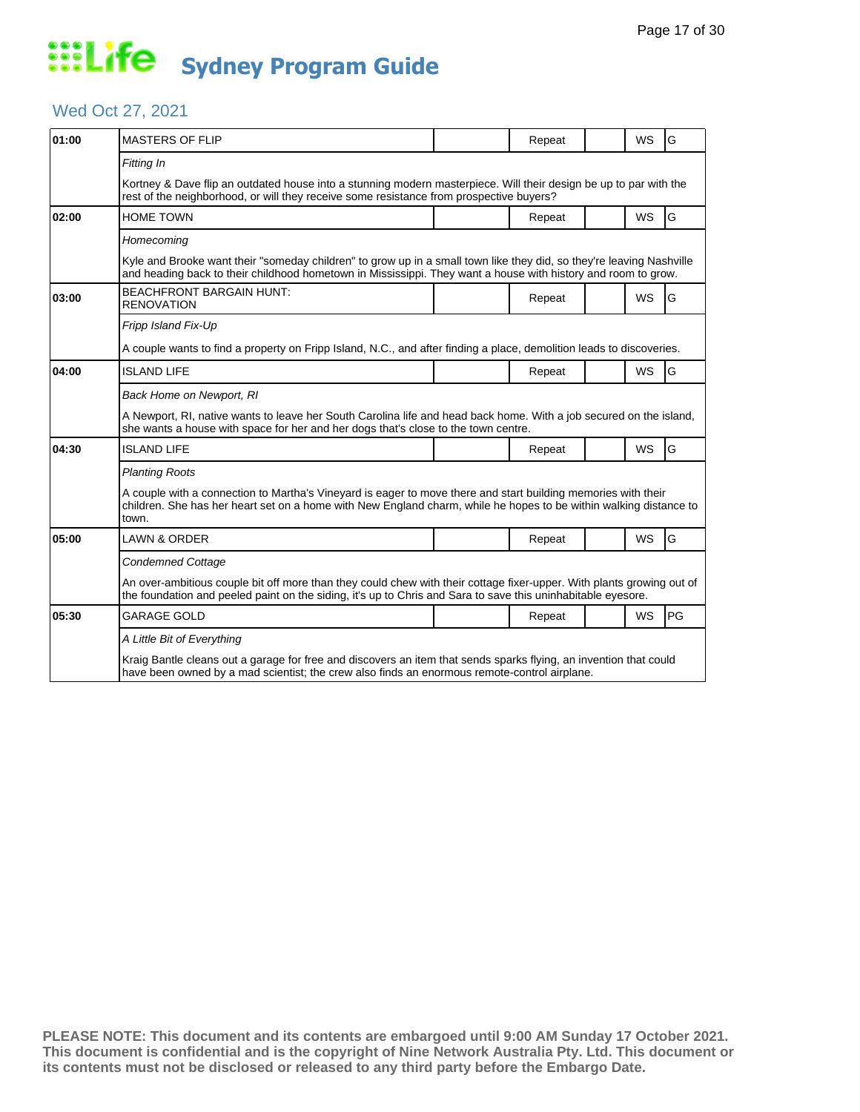### Wed Oct 27, 2021

| 01:00 | <b>MASTERS OF FLIP</b>                                                                                                                                                                                                                                               |  | Repeat |  | <b>WS</b> | G  |  |  |
|-------|----------------------------------------------------------------------------------------------------------------------------------------------------------------------------------------------------------------------------------------------------------------------|--|--------|--|-----------|----|--|--|
|       | Fitting In<br>Kortney & Dave flip an outdated house into a stunning modern masterpiece. Will their design be up to par with the<br>rest of the neighborhood, or will they receive some resistance from prospective buyers?                                           |  |        |  |           |    |  |  |
| 02:00 | <b>HOME TOWN</b>                                                                                                                                                                                                                                                     |  | Repeat |  | <b>WS</b> | G  |  |  |
|       | Homecoming<br>Kyle and Brooke want their "someday children" to grow up in a small town like they did, so they're leaving Nashville<br>and heading back to their childhood hometown in Mississippi. They want a house with history and room to grow.                  |  |        |  |           |    |  |  |
| 03:00 | <b>BEACHFRONT BARGAIN HUNT:</b><br><b>RENOVATION</b>                                                                                                                                                                                                                 |  | Repeat |  | <b>WS</b> | G  |  |  |
|       | Fripp Island Fix-Up<br>A couple wants to find a property on Fripp Island, N.C., and after finding a place, demolition leads to discoveries.                                                                                                                          |  |        |  |           |    |  |  |
| 04:00 | <b>ISLAND LIFE</b>                                                                                                                                                                                                                                                   |  | Repeat |  | <b>WS</b> | G  |  |  |
|       | Back Home on Newport, RI<br>A Newport, RI, native wants to leave her South Carolina life and head back home. With a job secured on the island,<br>she wants a house with space for her and her dogs that's close to the town centre.                                 |  |        |  |           |    |  |  |
| 04:30 | <b>ISLAND LIFE</b>                                                                                                                                                                                                                                                   |  | Repeat |  | WS        | G  |  |  |
|       | <b>Planting Roots</b><br>A couple with a connection to Martha's Vineyard is eager to move there and start building memories with their<br>children. She has her heart set on a home with New England charm, while he hopes to be within walking distance to<br>town. |  |        |  |           |    |  |  |
| 05:00 | <b>LAWN &amp; ORDER</b>                                                                                                                                                                                                                                              |  | Repeat |  | <b>WS</b> | G  |  |  |
|       | <b>Condemned Cottage</b><br>An over-ambitious couple bit off more than they could chew with their cottage fixer-upper. With plants growing out of<br>the foundation and peeled paint on the siding, it's up to Chris and Sara to save this uninhabitable eyesore.    |  |        |  |           |    |  |  |
| 05:30 | <b>GARAGE GOLD</b>                                                                                                                                                                                                                                                   |  | Repeat |  | WS        | PG |  |  |
|       | A Little Bit of Everything<br>Kraig Bantle cleans out a garage for free and discovers an item that sends sparks flying, an invention that could<br>have been owned by a mad scientist; the crew also finds an enormous remote-control airplane.                      |  |        |  |           |    |  |  |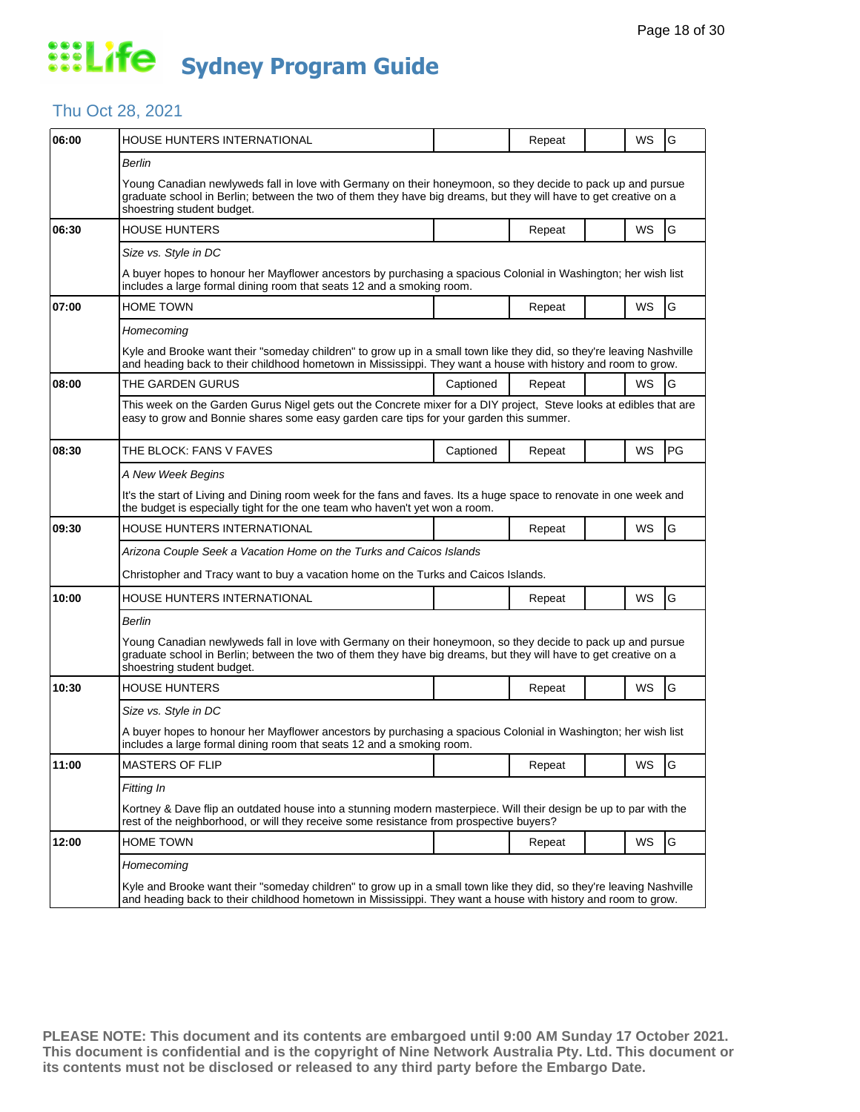### Thu Oct 28, 2021

| 06:00 | HOUSE HUNTERS INTERNATIONAL                                                                                                                                                                                                                                   |           | Repeat | WS | G  |  |  |  |
|-------|---------------------------------------------------------------------------------------------------------------------------------------------------------------------------------------------------------------------------------------------------------------|-----------|--------|----|----|--|--|--|
|       | Berlin                                                                                                                                                                                                                                                        |           |        |    |    |  |  |  |
|       | Young Canadian newlyweds fall in love with Germany on their honeymoon, so they decide to pack up and pursue<br>graduate school in Berlin; between the two of them they have big dreams, but they will have to get creative on a<br>shoestring student budget. |           |        |    |    |  |  |  |
| 06:30 | <b>HOUSE HUNTERS</b>                                                                                                                                                                                                                                          |           | Repeat | WS | G  |  |  |  |
|       | Size vs. Style in DC                                                                                                                                                                                                                                          |           |        |    |    |  |  |  |
|       | A buyer hopes to honour her Mayflower ancestors by purchasing a spacious Colonial in Washington; her wish list<br>includes a large formal dining room that seats 12 and a smoking room.                                                                       |           |        |    |    |  |  |  |
| 07:00 | HOME TOWN                                                                                                                                                                                                                                                     |           | Repeat | WS | G  |  |  |  |
|       | Homecoming                                                                                                                                                                                                                                                    |           |        |    |    |  |  |  |
|       | Kyle and Brooke want their "someday children" to grow up in a small town like they did, so they're leaving Nashville<br>and heading back to their childhood hometown in Mississippi. They want a house with history and room to grow.                         |           |        |    |    |  |  |  |
| 08:00 | THE GARDEN GURUS                                                                                                                                                                                                                                              | Captioned | Repeat | WS | G  |  |  |  |
|       | This week on the Garden Gurus Nigel gets out the Concrete mixer for a DIY project, Steve looks at edibles that are<br>easy to grow and Bonnie shares some easy garden care tips for your garden this summer.                                                  |           |        |    |    |  |  |  |
| 08:30 | THE BLOCK: FANS V FAVES                                                                                                                                                                                                                                       | Captioned | Repeat | WS | PG |  |  |  |
|       | A New Week Begins                                                                                                                                                                                                                                             |           |        |    |    |  |  |  |
|       | It's the start of Living and Dining room week for the fans and faves. Its a huge space to renovate in one week and<br>the budget is especially tight for the one team who haven't yet won a room.                                                             |           |        |    |    |  |  |  |
| 09:30 | <b>HOUSE HUNTERS INTERNATIONAL</b>                                                                                                                                                                                                                            |           | Repeat | WS | G  |  |  |  |
|       | Arizona Couple Seek a Vacation Home on the Turks and Caicos Islands                                                                                                                                                                                           |           |        |    |    |  |  |  |
|       | Christopher and Tracy want to buy a vacation home on the Turks and Caicos Islands.                                                                                                                                                                            |           |        |    |    |  |  |  |
| 10:00 | HOUSE HUNTERS INTERNATIONAL                                                                                                                                                                                                                                   |           | Repeat | WS | G  |  |  |  |
|       | Berlin                                                                                                                                                                                                                                                        |           |        |    |    |  |  |  |
|       | Young Canadian newlyweds fall in love with Germany on their honeymoon, so they decide to pack up and pursue<br>graduate school in Berlin; between the two of them they have big dreams, but they will have to get creative on a<br>shoestring student budget. |           |        |    |    |  |  |  |
| 10:30 | <b>HOUSE HUNTERS</b>                                                                                                                                                                                                                                          |           | Repeat | WS | G  |  |  |  |
|       | Size vs. Style in DC                                                                                                                                                                                                                                          |           |        |    |    |  |  |  |
|       | A buyer hopes to honour her Mayflower ancestors by purchasing a spacious Colonial in Washington; her wish list<br>includes a large formal dining room that seats 12 and a smoking room.                                                                       |           |        |    |    |  |  |  |
| 11:00 | <b>MASTERS OF FLIP</b>                                                                                                                                                                                                                                        |           | Repeat | WS | G  |  |  |  |
|       | Fitting In                                                                                                                                                                                                                                                    |           |        |    |    |  |  |  |
|       | Kortney & Dave flip an outdated house into a stunning modern masterpiece. Will their design be up to par with the<br>rest of the neighborhood, or will they receive some resistance from prospective buyers?                                                  |           |        |    |    |  |  |  |
| 12:00 | <b>HOME TOWN</b>                                                                                                                                                                                                                                              |           | Repeat | WS | G  |  |  |  |
|       | Homecoming<br>Kyle and Brooke want their "someday children" to grow up in a small town like they did, so they're leaving Nashville<br>and heading back to their childhood hometown in Mississippi. They want a house with history and room to grow.           |           |        |    |    |  |  |  |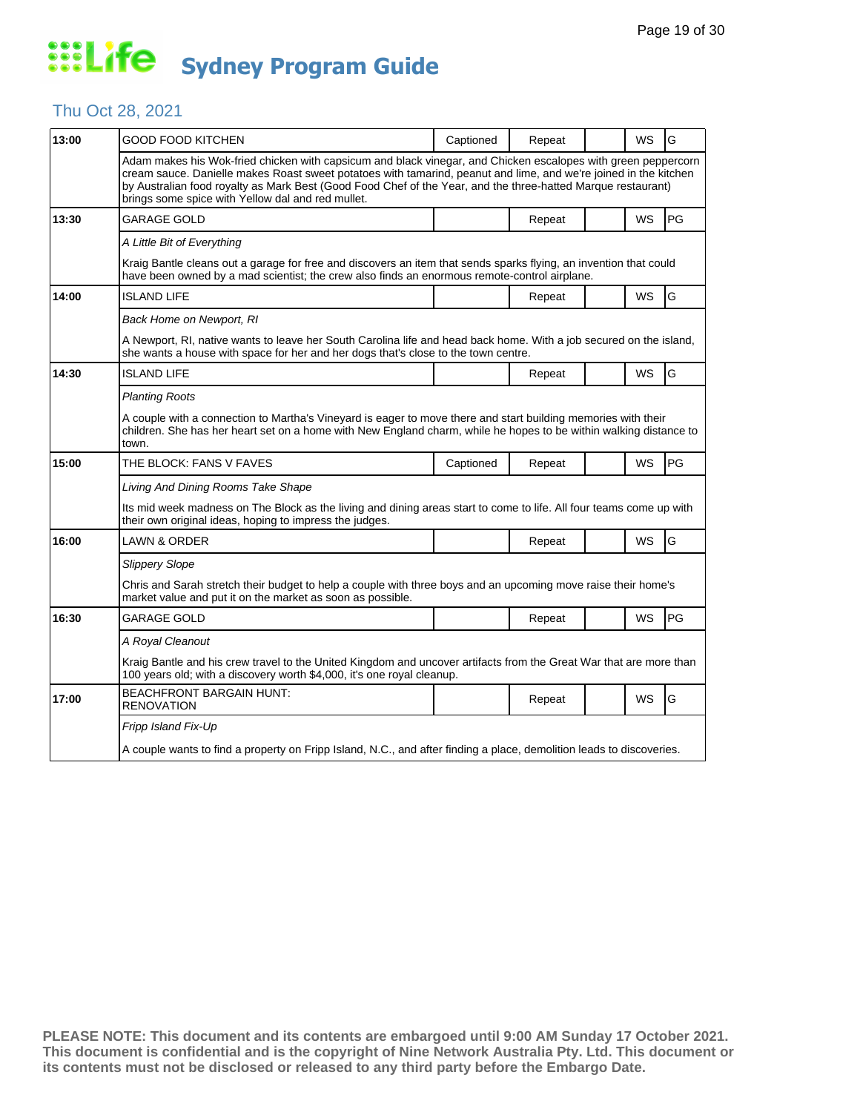### Thu Oct 28, 2021

| 13:00 | GOOD FOOD KITCHEN                                                                                                                                                                                                                                                                                                                                                                                      | Captioned | Repeat |  | WS        | G  |  |  |
|-------|--------------------------------------------------------------------------------------------------------------------------------------------------------------------------------------------------------------------------------------------------------------------------------------------------------------------------------------------------------------------------------------------------------|-----------|--------|--|-----------|----|--|--|
|       | Adam makes his Wok-fried chicken with capsicum and black vinegar, and Chicken escalopes with green peppercorn<br>cream sauce. Danielle makes Roast sweet potatoes with tamarind, peanut and lime, and we're joined in the kitchen<br>by Australian food royalty as Mark Best (Good Food Chef of the Year, and the three-hatted Marque restaurant)<br>brings some spice with Yellow dal and red mullet. |           |        |  |           |    |  |  |
| 13:30 | GARAGE GOLD                                                                                                                                                                                                                                                                                                                                                                                            |           | Repeat |  | <b>WS</b> | PG |  |  |
|       | A Little Bit of Everything                                                                                                                                                                                                                                                                                                                                                                             |           |        |  |           |    |  |  |
|       | Kraig Bantle cleans out a garage for free and discovers an item that sends sparks flying, an invention that could<br>have been owned by a mad scientist; the crew also finds an enormous remote-control airplane.                                                                                                                                                                                      |           |        |  |           |    |  |  |
| 14:00 | <b>ISLAND LIFE</b>                                                                                                                                                                                                                                                                                                                                                                                     |           | Repeat |  | WS        | G  |  |  |
|       | Back Home on Newport, RI                                                                                                                                                                                                                                                                                                                                                                               |           |        |  |           |    |  |  |
|       | A Newport, RI, native wants to leave her South Carolina life and head back home. With a job secured on the island,<br>she wants a house with space for her and her dogs that's close to the town centre.                                                                                                                                                                                               |           |        |  |           |    |  |  |
| 14:30 | <b>ISLAND LIFE</b>                                                                                                                                                                                                                                                                                                                                                                                     |           | Repeat |  | WS        | G  |  |  |
|       | <b>Planting Roots</b>                                                                                                                                                                                                                                                                                                                                                                                  |           |        |  |           |    |  |  |
|       | A couple with a connection to Martha's Vineyard is eager to move there and start building memories with their<br>children. She has her heart set on a home with New England charm, while he hopes to be within walking distance to<br>town.                                                                                                                                                            |           |        |  |           |    |  |  |
| 15:00 | THE BLOCK: FANS V FAVES                                                                                                                                                                                                                                                                                                                                                                                | Captioned | Repeat |  | <b>WS</b> | PG |  |  |
|       | Living And Dining Rooms Take Shape                                                                                                                                                                                                                                                                                                                                                                     |           |        |  |           |    |  |  |
|       | Its mid week madness on The Block as the living and dining areas start to come to life. All four teams come up with<br>their own original ideas, hoping to impress the judges.                                                                                                                                                                                                                         |           |        |  |           |    |  |  |
| 16:00 | LAWN & ORDER                                                                                                                                                                                                                                                                                                                                                                                           |           | Repeat |  | <b>WS</b> | G  |  |  |
|       | <b>Slippery Slope</b>                                                                                                                                                                                                                                                                                                                                                                                  |           |        |  |           |    |  |  |
|       | Chris and Sarah stretch their budget to help a couple with three boys and an upcoming move raise their home's<br>market value and put it on the market as soon as possible.                                                                                                                                                                                                                            |           |        |  |           |    |  |  |
| 16:30 | GARAGE GOLD                                                                                                                                                                                                                                                                                                                                                                                            |           | Repeat |  | WS        | PG |  |  |
|       | A Royal Cleanout                                                                                                                                                                                                                                                                                                                                                                                       |           |        |  |           |    |  |  |
|       | Kraig Bantle and his crew travel to the United Kingdom and uncover artifacts from the Great War that are more than<br>100 years old; with a discovery worth \$4,000, it's one royal cleanup.                                                                                                                                                                                                           |           |        |  |           |    |  |  |
| 17:00 | <b>BEACHFRONT BARGAIN HUNT:</b><br><b>RENOVATION</b>                                                                                                                                                                                                                                                                                                                                                   |           | Repeat |  | <b>WS</b> | G  |  |  |
|       | Fripp Island Fix-Up                                                                                                                                                                                                                                                                                                                                                                                    |           |        |  |           |    |  |  |
|       |                                                                                                                                                                                                                                                                                                                                                                                                        |           |        |  |           |    |  |  |
|       | A couple wants to find a property on Fripp Island, N.C., and after finding a place, demolition leads to discoveries.                                                                                                                                                                                                                                                                                   |           |        |  |           |    |  |  |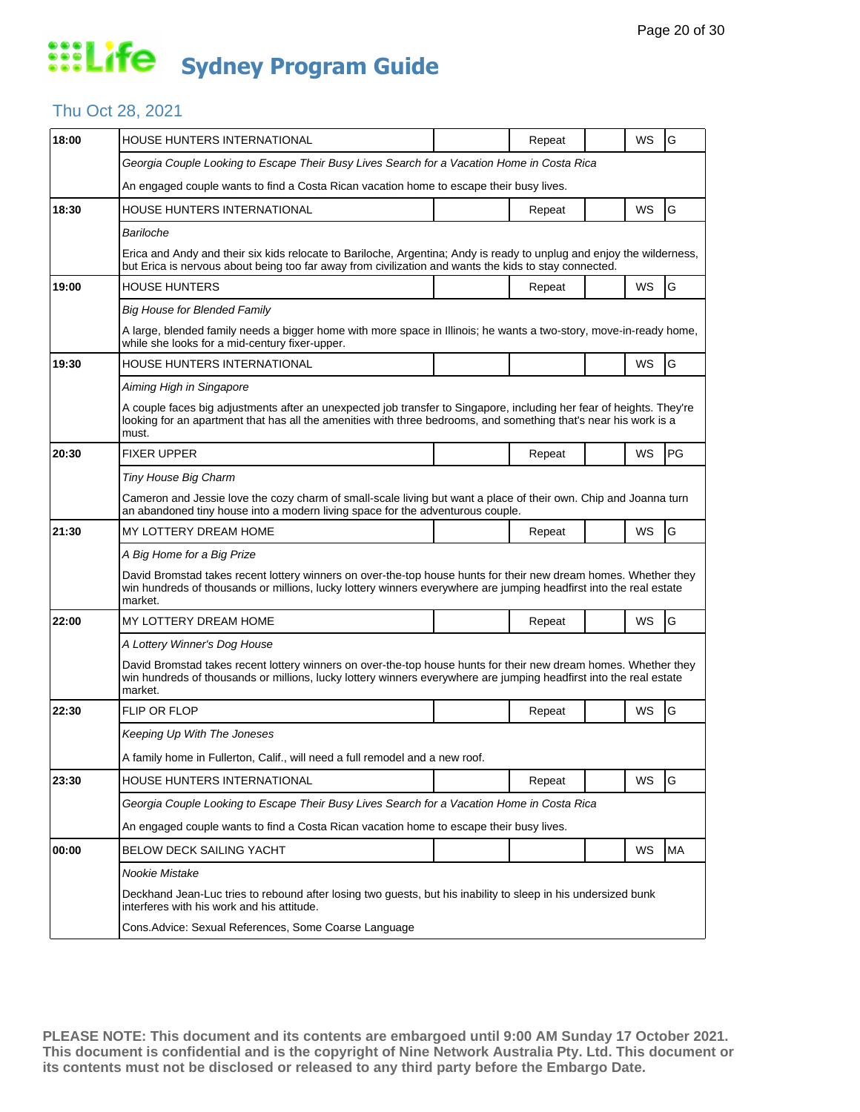### Thu Oct 28, 2021

| 18:00 | HOUSE HUNTERS INTERNATIONAL                                                                                                                                                                                                                       |  | Repeat |  | WS | G  |  |  |  |
|-------|---------------------------------------------------------------------------------------------------------------------------------------------------------------------------------------------------------------------------------------------------|--|--------|--|----|----|--|--|--|
|       | Georgia Couple Looking to Escape Their Busy Lives Search for a Vacation Home in Costa Rica                                                                                                                                                        |  |        |  |    |    |  |  |  |
|       | An engaged couple wants to find a Costa Rican vacation home to escape their busy lives.                                                                                                                                                           |  |        |  |    |    |  |  |  |
| 18:30 | HOUSE HUNTERS INTERNATIONAL                                                                                                                                                                                                                       |  | Repeat |  | WS | G  |  |  |  |
|       | Bariloche                                                                                                                                                                                                                                         |  |        |  |    |    |  |  |  |
|       | Erica and Andy and their six kids relocate to Bariloche, Argentina; Andy is ready to unplug and enjoy the wilderness,<br>but Erica is nervous about being too far away from civilization and wants the kids to stay connected.                    |  |        |  |    |    |  |  |  |
| 19:00 | <b>HOUSE HUNTERS</b>                                                                                                                                                                                                                              |  | Repeat |  | WS | G  |  |  |  |
|       | <b>Big House for Blended Family</b>                                                                                                                                                                                                               |  |        |  |    |    |  |  |  |
|       | A large, blended family needs a bigger home with more space in Illinois; he wants a two-story, move-in-ready home,<br>while she looks for a mid-century fixer-upper.                                                                              |  |        |  |    |    |  |  |  |
| 19:30 | HOUSE HUNTERS INTERNATIONAL                                                                                                                                                                                                                       |  |        |  | WS | G  |  |  |  |
|       | Aiming High in Singapore                                                                                                                                                                                                                          |  |        |  |    |    |  |  |  |
|       | A couple faces big adjustments after an unexpected job transfer to Singapore, including her fear of heights. They're<br>looking for an apartment that has all the amenities with three bedrooms, and something that's near his work is a<br>must. |  |        |  |    |    |  |  |  |
| 20:30 | <b>FIXER UPPER</b>                                                                                                                                                                                                                                |  | Repeat |  | WS | PG |  |  |  |
|       | Tiny House Big Charm                                                                                                                                                                                                                              |  |        |  |    |    |  |  |  |
|       | Cameron and Jessie love the cozy charm of small-scale living but want a place of their own. Chip and Joanna turn<br>an abandoned tiny house into a modern living space for the adventurous couple.                                                |  |        |  |    |    |  |  |  |
| 21:30 | MY LOTTERY DREAM HOME                                                                                                                                                                                                                             |  | Repeat |  | WS | G  |  |  |  |
|       | A Big Home for a Big Prize                                                                                                                                                                                                                        |  |        |  |    |    |  |  |  |
|       | David Bromstad takes recent lottery winners on over-the-top house hunts for their new dream homes. Whether they<br>win hundreds of thousands or millions, lucky lottery winners everywhere are jumping headfirst into the real estate<br>market.  |  |        |  |    |    |  |  |  |
| 22:00 | MY LOTTERY DREAM HOME                                                                                                                                                                                                                             |  | Repeat |  | WS | G  |  |  |  |
|       | A Lottery Winner's Dog House                                                                                                                                                                                                                      |  |        |  |    |    |  |  |  |
|       | David Bromstad takes recent lottery winners on over-the-top house hunts for their new dream homes. Whether they<br>win hundreds of thousands or millions, lucky lottery winners everywhere are jumping headfirst into the real estate<br>market.  |  |        |  |    |    |  |  |  |
| 22:30 | FLIP OR FLOP                                                                                                                                                                                                                                      |  | Repeat |  | WS | G  |  |  |  |
|       | Keeping Up With The Joneses                                                                                                                                                                                                                       |  |        |  |    |    |  |  |  |
|       | A family home in Fullerton, Calif., will need a full remodel and a new roof.                                                                                                                                                                      |  |        |  |    |    |  |  |  |
| 23:30 | HOUSE HUNTERS INTERNATIONAL                                                                                                                                                                                                                       |  | Repeat |  | WS | G  |  |  |  |
|       | Georgia Couple Looking to Escape Their Busy Lives Search for a Vacation Home in Costa Rica                                                                                                                                                        |  |        |  |    |    |  |  |  |
|       | An engaged couple wants to find a Costa Rican vacation home to escape their busy lives.                                                                                                                                                           |  |        |  |    |    |  |  |  |
| 00:00 | <b>BELOW DECK SAILING YACHT</b>                                                                                                                                                                                                                   |  |        |  | WS | MA |  |  |  |
|       | Nookie Mistake                                                                                                                                                                                                                                    |  |        |  |    |    |  |  |  |
|       | Deckhand Jean-Luc tries to rebound after losing two guests, but his inability to sleep in his undersized bunk<br>interferes with his work and his attitude.                                                                                       |  |        |  |    |    |  |  |  |
|       | Cons. Advice: Sexual References, Some Coarse Language                                                                                                                                                                                             |  |        |  |    |    |  |  |  |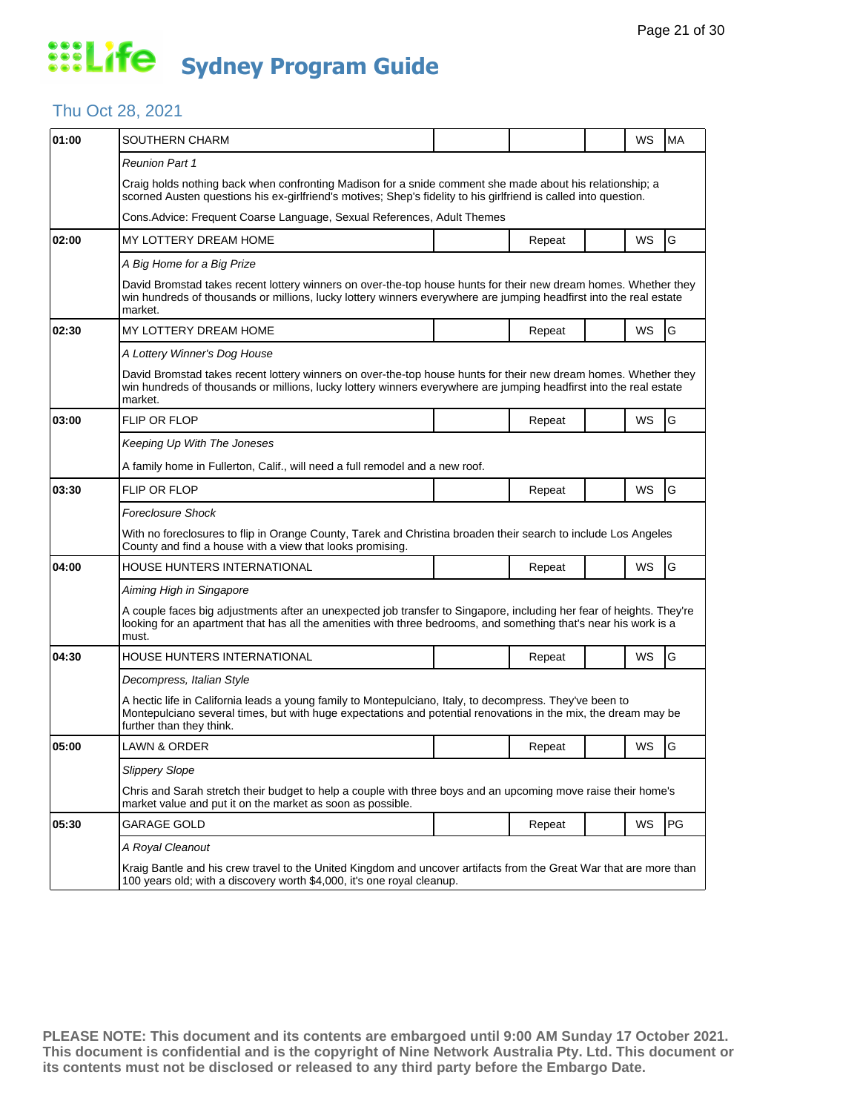### Thu Oct 28, 2021

| 01:00 | SOUTHERN CHARM                                                                                                                                                                                                                                         |  |        |  | WS | <b>MA</b> |  |  |
|-------|--------------------------------------------------------------------------------------------------------------------------------------------------------------------------------------------------------------------------------------------------------|--|--------|--|----|-----------|--|--|
|       | <b>Reunion Part 1</b>                                                                                                                                                                                                                                  |  |        |  |    |           |  |  |
|       | Craig holds nothing back when confronting Madison for a snide comment she made about his relationship; a<br>scorned Austen questions his ex-girlfriend's motives; Shep's fidelity to his girlfriend is called into question.                           |  |        |  |    |           |  |  |
|       | Cons.Advice: Frequent Coarse Language, Sexual References, Adult Themes                                                                                                                                                                                 |  |        |  |    |           |  |  |
| 02:00 | MY LOTTERY DREAM HOME                                                                                                                                                                                                                                  |  | Repeat |  | WS | G         |  |  |
|       | A Big Home for a Big Prize                                                                                                                                                                                                                             |  |        |  |    |           |  |  |
|       | David Bromstad takes recent lottery winners on over-the-top house hunts for their new dream homes. Whether they<br>win hundreds of thousands or millions, lucky lottery winners everywhere are jumping headfirst into the real estate<br>market.       |  |        |  |    |           |  |  |
| 02:30 | MY LOTTERY DREAM HOME                                                                                                                                                                                                                                  |  | Repeat |  | WS | G         |  |  |
|       | A Lottery Winner's Dog House                                                                                                                                                                                                                           |  |        |  |    |           |  |  |
|       | David Bromstad takes recent lottery winners on over-the-top house hunts for their new dream homes. Whether they<br>win hundreds of thousands or millions, lucky lottery winners everywhere are jumping headfirst into the real estate<br>market.       |  |        |  |    |           |  |  |
| 03:00 | FLIP OR FLOP                                                                                                                                                                                                                                           |  | Repeat |  | WS | G         |  |  |
|       | Keeping Up With The Joneses                                                                                                                                                                                                                            |  |        |  |    |           |  |  |
|       | A family home in Fullerton, Calif., will need a full remodel and a new roof.                                                                                                                                                                           |  |        |  |    |           |  |  |
| 03:30 | FLIP OR FLOP                                                                                                                                                                                                                                           |  | Repeat |  | WS | G         |  |  |
|       | <b>Foreclosure Shock</b>                                                                                                                                                                                                                               |  |        |  |    |           |  |  |
|       | With no foreclosures to flip in Orange County, Tarek and Christina broaden their search to include Los Angeles<br>County and find a house with a view that looks promising.                                                                            |  |        |  |    |           |  |  |
| 04:00 | HOUSE HUNTERS INTERNATIONAL                                                                                                                                                                                                                            |  | Repeat |  | WS | G         |  |  |
|       | Aiming High in Singapore                                                                                                                                                                                                                               |  |        |  |    |           |  |  |
|       | A couple faces big adjustments after an unexpected job transfer to Singapore, including her fear of heights. They're<br>looking for an apartment that has all the amenities with three bedrooms, and something that's near his work is a<br>must.      |  |        |  |    |           |  |  |
| 04:30 | HOUSE HUNTERS INTERNATIONAL                                                                                                                                                                                                                            |  | Repeat |  | WS | G         |  |  |
|       | Decompress, Italian Style                                                                                                                                                                                                                              |  |        |  |    |           |  |  |
|       | A hectic life in California leads a young family to Montepulciano, Italy, to decompress. They've been to<br>Montepulciano several times, but with huge expectations and potential renovations in the mix, the dream may be<br>further than they think. |  |        |  |    |           |  |  |
| 05:00 | LAWN & ORDER                                                                                                                                                                                                                                           |  | Repeat |  | WS | G         |  |  |
|       | <b>Slippery Slope</b>                                                                                                                                                                                                                                  |  |        |  |    |           |  |  |
|       | Chris and Sarah stretch their budget to help a couple with three boys and an upcoming move raise their home's<br>market value and put it on the market as soon as possible.                                                                            |  |        |  |    |           |  |  |
| 05:30 | <b>GARAGE GOLD</b>                                                                                                                                                                                                                                     |  | Repeat |  | WS | PG        |  |  |
|       | A Royal Cleanout                                                                                                                                                                                                                                       |  |        |  |    |           |  |  |
|       | Kraig Bantle and his crew travel to the United Kingdom and uncover artifacts from the Great War that are more than<br>100 years old; with a discovery worth \$4,000, it's one royal cleanup.                                                           |  |        |  |    |           |  |  |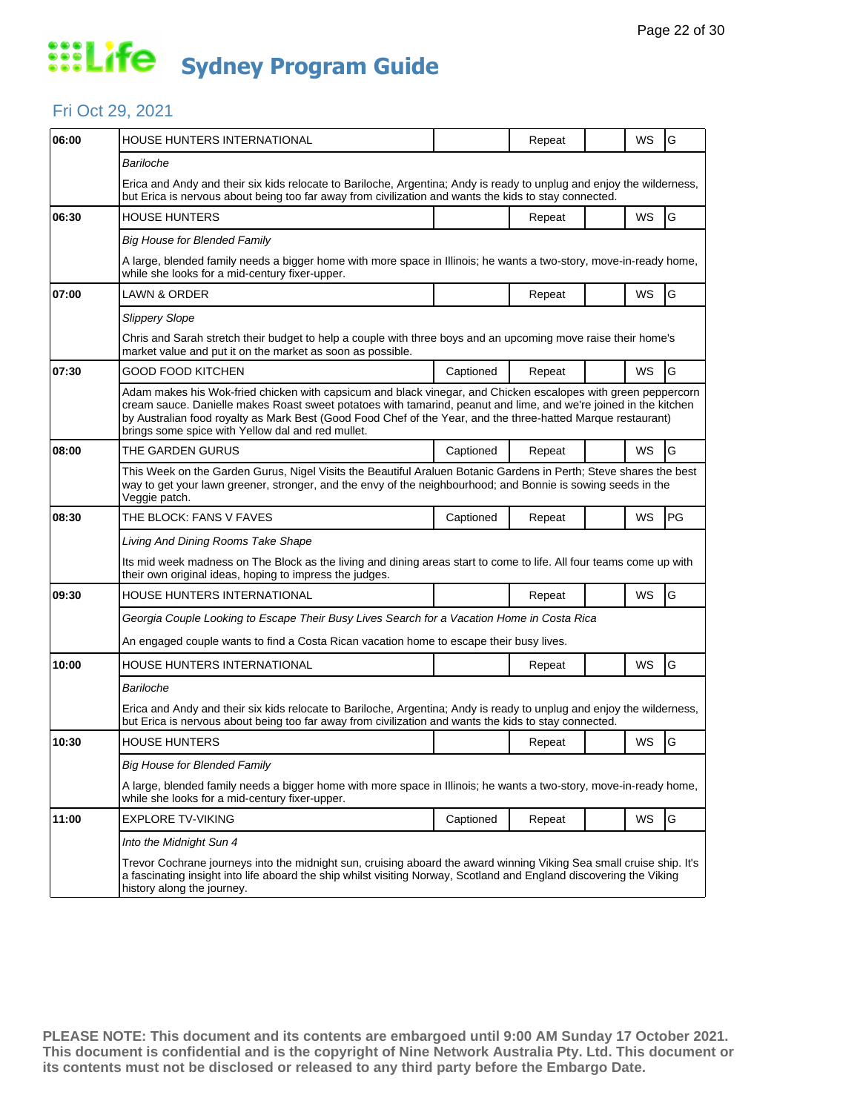#### Fri Oct 29, 2021

| 06:00 | <b>HOUSE HUNTERS INTERNATIONAL</b>                                                                                                                                                                                                                                                                                                                                                                     |           | Repeat |  | WS | G  |  |  |
|-------|--------------------------------------------------------------------------------------------------------------------------------------------------------------------------------------------------------------------------------------------------------------------------------------------------------------------------------------------------------------------------------------------------------|-----------|--------|--|----|----|--|--|
|       | Bariloche                                                                                                                                                                                                                                                                                                                                                                                              |           |        |  |    |    |  |  |
|       | Erica and Andy and their six kids relocate to Bariloche, Argentina; Andy is ready to unplug and enjoy the wilderness,<br>but Erica is nervous about being too far away from civilization and wants the kids to stay connected.                                                                                                                                                                         |           |        |  |    |    |  |  |
| 06:30 | HOUSE HUNTERS                                                                                                                                                                                                                                                                                                                                                                                          |           | Repeat |  | WS | G  |  |  |
|       | <b>Big House for Blended Family</b>                                                                                                                                                                                                                                                                                                                                                                    |           |        |  |    |    |  |  |
|       | A large, blended family needs a bigger home with more space in Illinois; he wants a two-story, move-in-ready home,<br>while she looks for a mid-century fixer-upper.                                                                                                                                                                                                                                   |           |        |  |    |    |  |  |
| 07:00 | LAWN & ORDER                                                                                                                                                                                                                                                                                                                                                                                           |           | Repeat |  | WS | G  |  |  |
|       | <b>Slippery Slope</b>                                                                                                                                                                                                                                                                                                                                                                                  |           |        |  |    |    |  |  |
|       | Chris and Sarah stretch their budget to help a couple with three boys and an upcoming move raise their home's<br>market value and put it on the market as soon as possible.                                                                                                                                                                                                                            |           |        |  |    |    |  |  |
| 07:30 | GOOD FOOD KITCHEN                                                                                                                                                                                                                                                                                                                                                                                      | Captioned | Repeat |  | WS | G  |  |  |
|       | Adam makes his Wok-fried chicken with capsicum and black vinegar, and Chicken escalopes with green peppercorn<br>cream sauce. Danielle makes Roast sweet potatoes with tamarind, peanut and lime, and we're joined in the kitchen<br>by Australian food royalty as Mark Best (Good Food Chef of the Year, and the three-hatted Marque restaurant)<br>brings some spice with Yellow dal and red mullet. |           |        |  |    |    |  |  |
| 08:00 | THE GARDEN GURUS                                                                                                                                                                                                                                                                                                                                                                                       | Captioned | Repeat |  | WS | G  |  |  |
|       | This Week on the Garden Gurus, Nigel Visits the Beautiful Araluen Botanic Gardens in Perth; Steve shares the best<br>way to get your lawn greener, stronger, and the envy of the neighbourhood; and Bonnie is sowing seeds in the<br>Veggie patch.                                                                                                                                                     |           |        |  |    |    |  |  |
| 08:30 | THE BLOCK: FANS V FAVES                                                                                                                                                                                                                                                                                                                                                                                | Captioned | Repeat |  | WS | PG |  |  |
|       | Living And Dining Rooms Take Shape                                                                                                                                                                                                                                                                                                                                                                     |           |        |  |    |    |  |  |
|       | Its mid week madness on The Block as the living and dining areas start to come to life. All four teams come up with<br>their own original ideas, hoping to impress the judges.                                                                                                                                                                                                                         |           |        |  |    |    |  |  |
| 09:30 | HOUSE HUNTERS INTERNATIONAL                                                                                                                                                                                                                                                                                                                                                                            |           | Repeat |  | WS | G  |  |  |
|       | Georgia Couple Looking to Escape Their Busy Lives Search for a Vacation Home in Costa Rica                                                                                                                                                                                                                                                                                                             |           |        |  |    |    |  |  |
|       | An engaged couple wants to find a Costa Rican vacation home to escape their busy lives.                                                                                                                                                                                                                                                                                                                |           |        |  |    |    |  |  |
| 10:00 | HOUSE HUNTERS INTERNATIONAL                                                                                                                                                                                                                                                                                                                                                                            |           | Repeat |  | WS | G  |  |  |
|       | Bariloche                                                                                                                                                                                                                                                                                                                                                                                              |           |        |  |    |    |  |  |
|       | Erica and Andy and their six kids relocate to Bariloche, Argentina; Andy is ready to unplug and enjoy the wilderness,<br>but Erica is nervous about being too far away from civilization and wants the kids to stay connected.                                                                                                                                                                         |           |        |  |    |    |  |  |
| 10:30 | <b>HOUSE HUNTERS</b>                                                                                                                                                                                                                                                                                                                                                                                   |           | Repeat |  | WS | G  |  |  |
|       | <b>Big House for Blended Family</b>                                                                                                                                                                                                                                                                                                                                                                    |           |        |  |    |    |  |  |
|       | A large, blended family needs a bigger home with more space in Illinois; he wants a two-story, move-in-ready home,<br>while she looks for a mid-century fixer-upper.                                                                                                                                                                                                                                   |           |        |  |    |    |  |  |
| 11:00 | <b>EXPLORE TV-VIKING</b>                                                                                                                                                                                                                                                                                                                                                                               | Captioned | Repeat |  | WS | G  |  |  |
|       | Into the Midnight Sun 4                                                                                                                                                                                                                                                                                                                                                                                |           |        |  |    |    |  |  |
|       | Trevor Cochrane journeys into the midnight sun, cruising aboard the award winning Viking Sea small cruise ship. It's<br>a fascinating insight into life aboard the ship whilst visiting Norway, Scotland and England discovering the Viking<br>history along the journey.                                                                                                                              |           |        |  |    |    |  |  |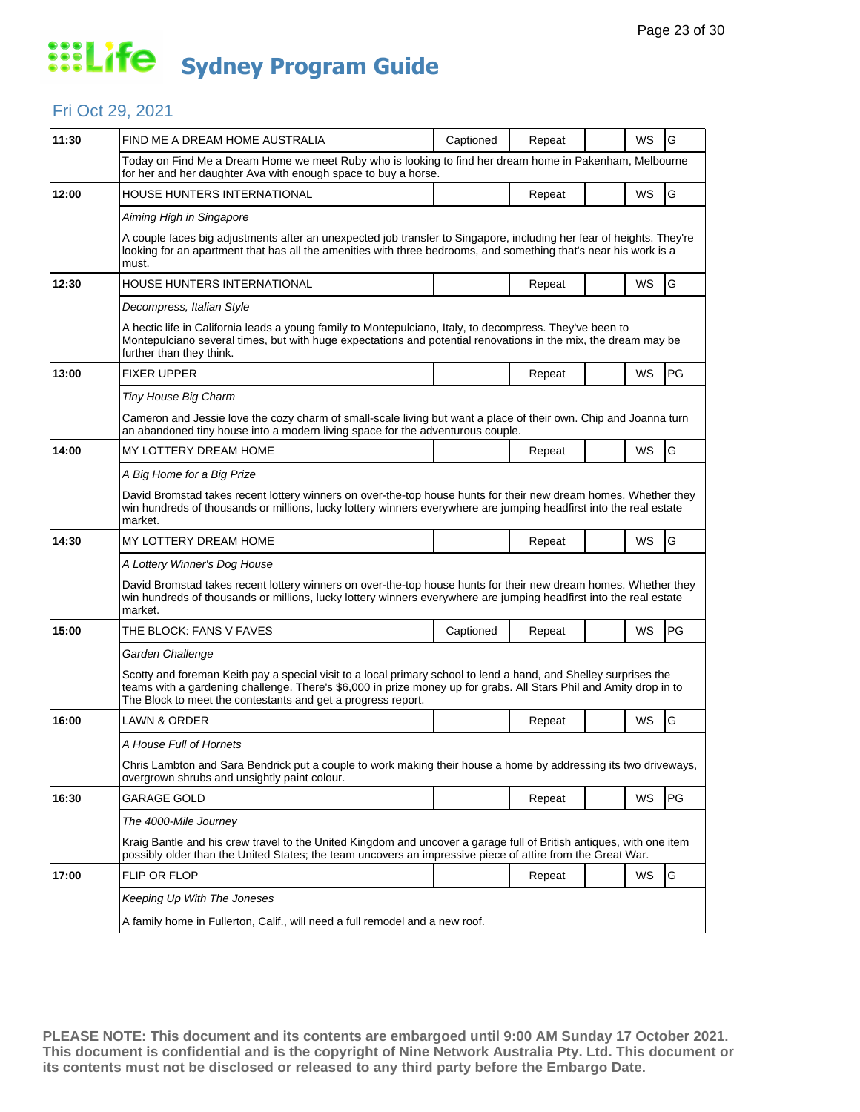#### Fri Oct 29, 2021

| 11:30 | FIND ME A DREAM HOME AUSTRALIA                                                                                                                                                                                                                                                                         | Captioned | Repeat |  | WS        | G  |  |  |
|-------|--------------------------------------------------------------------------------------------------------------------------------------------------------------------------------------------------------------------------------------------------------------------------------------------------------|-----------|--------|--|-----------|----|--|--|
|       | Today on Find Me a Dream Home we meet Ruby who is looking to find her dream home in Pakenham, Melbourne<br>for her and her daughter Ava with enough space to buy a horse.                                                                                                                              |           |        |  |           |    |  |  |
| 12:00 | HOUSE HUNTERS INTERNATIONAL                                                                                                                                                                                                                                                                            |           | Repeat |  | WS        | G  |  |  |
|       | Aiming High in Singapore                                                                                                                                                                                                                                                                               |           |        |  |           |    |  |  |
|       | A couple faces big adjustments after an unexpected job transfer to Singapore, including her fear of heights. They're<br>looking for an apartment that has all the amenities with three bedrooms, and something that's near his work is a<br>must.                                                      |           |        |  |           |    |  |  |
| 12:30 | HOUSE HUNTERS INTERNATIONAL                                                                                                                                                                                                                                                                            |           | Repeat |  | WS        | G  |  |  |
|       | Decompress, Italian Style                                                                                                                                                                                                                                                                              |           |        |  |           |    |  |  |
|       | A hectic life in California leads a young family to Montepulciano, Italy, to decompress. They've been to<br>Montepulciano several times, but with huge expectations and potential renovations in the mix, the dream may be<br>further than they think.                                                 |           |        |  |           |    |  |  |
| 13:00 | <b>FIXER UPPER</b>                                                                                                                                                                                                                                                                                     |           | Repeat |  | <b>WS</b> | PG |  |  |
|       | Tiny House Big Charm                                                                                                                                                                                                                                                                                   |           |        |  |           |    |  |  |
|       | Cameron and Jessie love the cozy charm of small-scale living but want a place of their own. Chip and Joanna turn<br>an abandoned tiny house into a modern living space for the adventurous couple.                                                                                                     |           |        |  |           |    |  |  |
| 14:00 | MY LOTTERY DREAM HOME                                                                                                                                                                                                                                                                                  |           | Repeat |  | WS        | G  |  |  |
|       | A Big Home for a Big Prize                                                                                                                                                                                                                                                                             |           |        |  |           |    |  |  |
|       | David Bromstad takes recent lottery winners on over-the-top house hunts for their new dream homes. Whether they<br>win hundreds of thousands or millions, lucky lottery winners everywhere are jumping headfirst into the real estate<br>market.                                                       |           |        |  |           |    |  |  |
| 14:30 | MY LOTTERY DREAM HOME                                                                                                                                                                                                                                                                                  |           | Repeat |  | WS        | G  |  |  |
|       | A Lottery Winner's Dog House                                                                                                                                                                                                                                                                           |           |        |  |           |    |  |  |
|       | David Bromstad takes recent lottery winners on over-the-top house hunts for their new dream homes. Whether they<br>win hundreds of thousands or millions, lucky lottery winners everywhere are jumping headfirst into the real estate<br>market.                                                       |           |        |  |           |    |  |  |
| 15:00 | THE BLOCK: FANS V FAVES                                                                                                                                                                                                                                                                                | Captioned | Repeat |  | WS        | PG |  |  |
|       | Garden Challenge                                                                                                                                                                                                                                                                                       |           |        |  |           |    |  |  |
|       | Scotty and foreman Keith pay a special visit to a local primary school to lend a hand, and Shelley surprises the<br>teams with a gardening challenge. There's \$6,000 in prize money up for grabs. All Stars Phil and Amity drop in to<br>The Block to meet the contestants and get a progress report. |           |        |  |           |    |  |  |
| 16:00 | <b>LAWN &amp; ORDER</b>                                                                                                                                                                                                                                                                                |           | Repeat |  | WS        | G  |  |  |
|       | A House Full of Hornets                                                                                                                                                                                                                                                                                |           |        |  |           |    |  |  |
|       | Chris Lambton and Sara Bendrick put a couple to work making their house a home by addressing its two driveways,<br>overgrown shrubs and unsightly paint colour.                                                                                                                                        |           |        |  |           |    |  |  |
| 16:30 | <b>GARAGE GOLD</b>                                                                                                                                                                                                                                                                                     |           | Repeat |  | <b>WS</b> | PG |  |  |
|       | The 4000-Mile Journey                                                                                                                                                                                                                                                                                  |           |        |  |           |    |  |  |
|       | Kraig Bantle and his crew travel to the United Kingdom and uncover a garage full of British antiques, with one item<br>possibly older than the United States; the team uncovers an impressive piece of attire from the Great War.                                                                      |           |        |  |           |    |  |  |
| 17:00 | FLIP OR FLOP                                                                                                                                                                                                                                                                                           |           | Repeat |  | WS        | G  |  |  |
|       | Keeping Up With The Joneses                                                                                                                                                                                                                                                                            |           |        |  |           |    |  |  |
|       | A family home in Fullerton, Calif., will need a full remodel and a new roof.                                                                                                                                                                                                                           |           |        |  |           |    |  |  |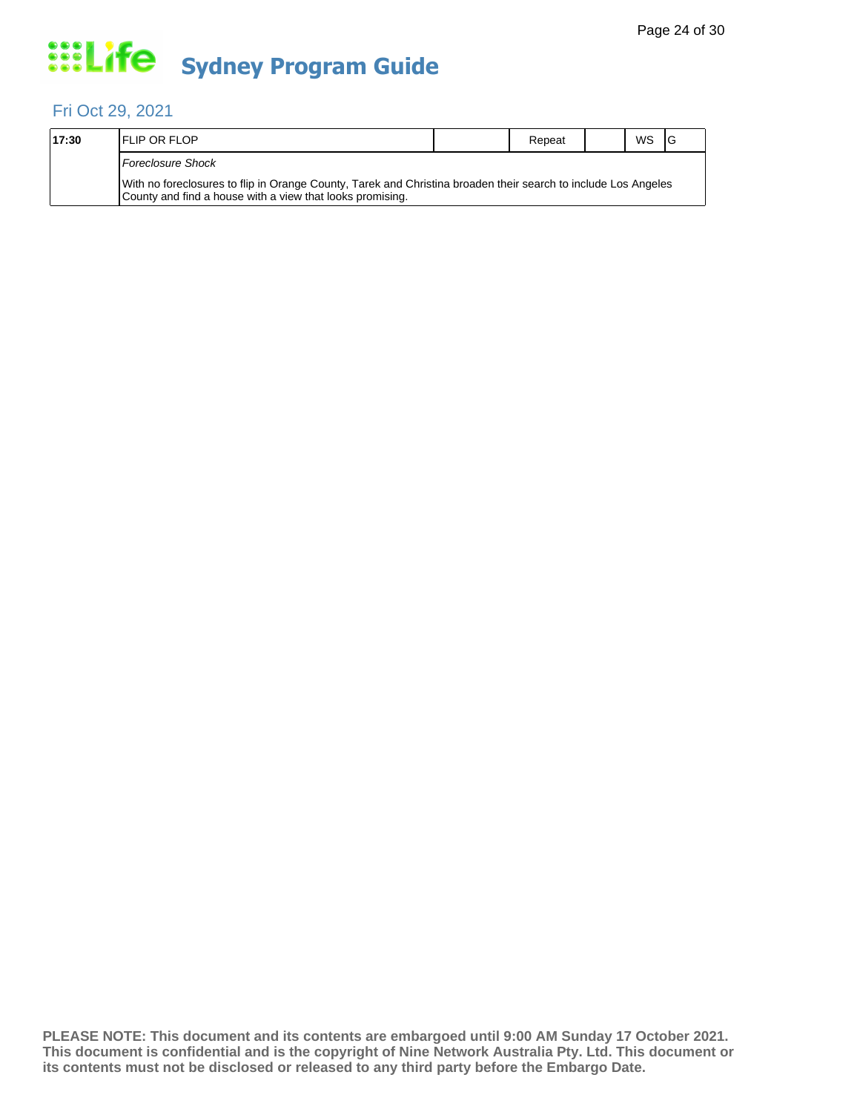#### Fri Oct 29, 2021

| 17:30 | <b>IFLIP OR FLOP</b>                                                                                                                                                        | Repeat | <b>WS</b> | 1G |
|-------|-----------------------------------------------------------------------------------------------------------------------------------------------------------------------------|--------|-----------|----|
|       | Foreclosure Shock                                                                                                                                                           |        |           |    |
|       | With no foreclosures to flip in Orange County, Tarek and Christina broaden their search to include Los Angeles<br>County and find a house with a view that looks promising. |        |           |    |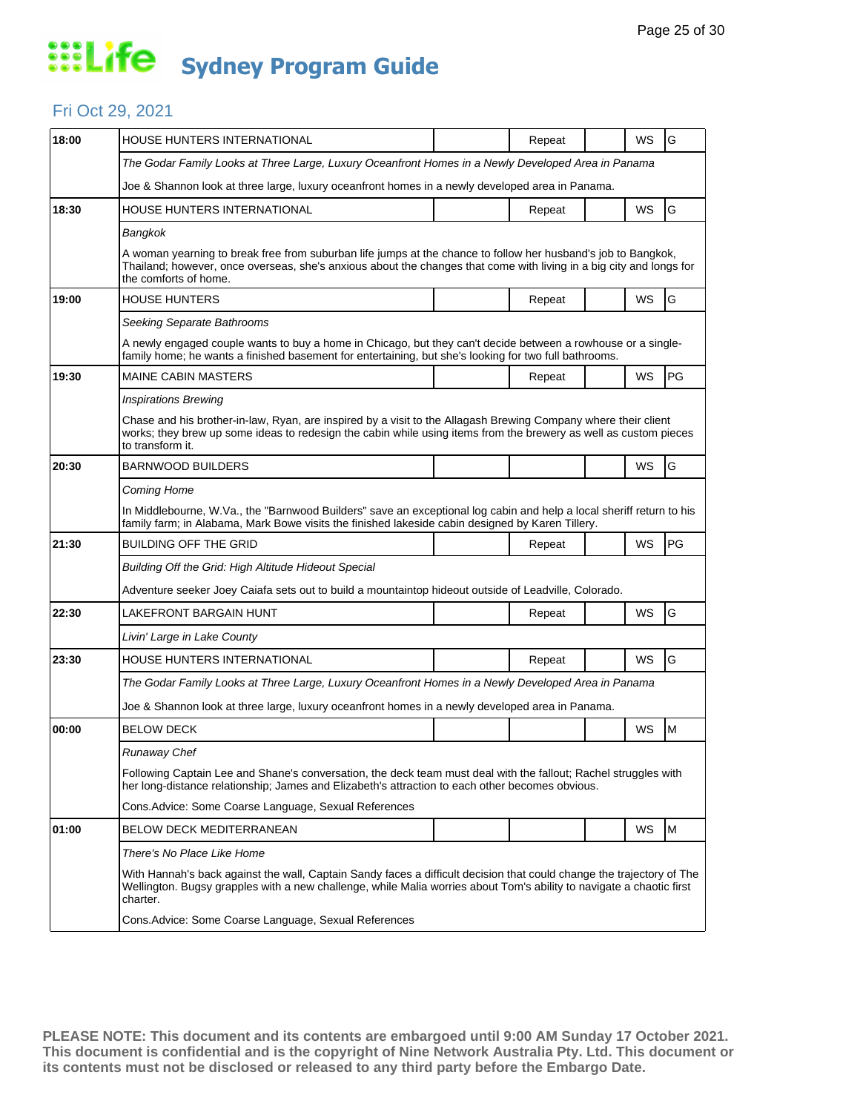#### Fri Oct 29, 2021

| 18:00 | HOUSE HUNTERS INTERNATIONAL                                                                                                                                                                                                                                   |  | Repeat |  | WS | G  |  |  |
|-------|---------------------------------------------------------------------------------------------------------------------------------------------------------------------------------------------------------------------------------------------------------------|--|--------|--|----|----|--|--|
|       | The Godar Family Looks at Three Large, Luxury Oceanfront Homes in a Newly Developed Area in Panama                                                                                                                                                            |  |        |  |    |    |  |  |
|       | Joe & Shannon look at three large, luxury oceanfront homes in a newly developed area in Panama.                                                                                                                                                               |  |        |  |    |    |  |  |
| 18:30 | <b>HOUSE HUNTERS INTERNATIONAL</b>                                                                                                                                                                                                                            |  | Repeat |  | WS | G  |  |  |
|       | Bangkok                                                                                                                                                                                                                                                       |  |        |  |    |    |  |  |
|       | A woman yearning to break free from suburban life jumps at the chance to follow her husband's job to Bangkok,<br>Thailand; however, once overseas, she's anxious about the changes that come with living in a big city and longs for<br>the comforts of home. |  |        |  |    |    |  |  |
| 19:00 | <b>HOUSE HUNTERS</b>                                                                                                                                                                                                                                          |  | Repeat |  | WS | G  |  |  |
|       | Seeking Separate Bathrooms                                                                                                                                                                                                                                    |  |        |  |    |    |  |  |
|       | A newly engaged couple wants to buy a home in Chicago, but they can't decide between a rowhouse or a single-<br>family home, he wants a finished basement for entertaining, but she's looking for two full bathrooms.                                         |  |        |  |    |    |  |  |
| 19:30 | <b>MAINE CABIN MASTERS</b>                                                                                                                                                                                                                                    |  | Repeat |  | WS | PG |  |  |
|       | <b>Inspirations Brewing</b>                                                                                                                                                                                                                                   |  |        |  |    |    |  |  |
|       | Chase and his brother-in-law, Ryan, are inspired by a visit to the Allagash Brewing Company where their client<br>works; they brew up some ideas to redesign the cabin while using items from the brewery as well as custom pieces<br>to transform it.        |  |        |  |    |    |  |  |
| 20:30 | <b>BARNWOOD BUILDERS</b>                                                                                                                                                                                                                                      |  |        |  | WS | G  |  |  |
|       | Coming Home                                                                                                                                                                                                                                                   |  |        |  |    |    |  |  |
|       | In Middlebourne, W.Va., the "Barnwood Builders" save an exceptional log cabin and help a local sheriff return to his<br>family farm; in Alabama, Mark Bowe visits the finished lakeside cabin designed by Karen Tillery.                                      |  |        |  |    |    |  |  |
| 21:30 | <b>BUILDING OFF THE GRID</b>                                                                                                                                                                                                                                  |  | Repeat |  | WS | PG |  |  |
|       | Building Off the Grid: High Altitude Hideout Special                                                                                                                                                                                                          |  |        |  |    |    |  |  |
|       | Adventure seeker Joey Caiafa sets out to build a mountaintop hideout outside of Leadville, Colorado.                                                                                                                                                          |  |        |  |    |    |  |  |
| 22:30 | LAKEFRONT BARGAIN HUNT                                                                                                                                                                                                                                        |  | Repeat |  | WS | G  |  |  |
|       | Livin' Large in Lake County                                                                                                                                                                                                                                   |  |        |  |    |    |  |  |
| 23:30 | HOUSE HUNTERS INTERNATIONAL                                                                                                                                                                                                                                   |  | Repeat |  | WS | G  |  |  |
|       | The Godar Family Looks at Three Large, Luxury Oceanfront Homes in a Newly Developed Area in Panama                                                                                                                                                            |  |        |  |    |    |  |  |
|       | Joe & Shannon look at three large, luxury oceanfront homes in a newly developed area in Panama.                                                                                                                                                               |  |        |  |    |    |  |  |
| 00:00 | <b>BELOW DECK</b>                                                                                                                                                                                                                                             |  |        |  | WS | M  |  |  |
|       | Runaway Chef                                                                                                                                                                                                                                                  |  |        |  |    |    |  |  |
|       | Following Captain Lee and Shane's conversation, the deck team must deal with the fallout; Rachel struggles with<br>her long-distance relationship; James and Elizabeth's attraction to each other becomes obvious.                                            |  |        |  |    |    |  |  |
|       | Cons. Advice: Some Coarse Language, Sexual References                                                                                                                                                                                                         |  |        |  |    |    |  |  |
| 01:00 | <b>BELOW DECK MEDITERRANEAN</b>                                                                                                                                                                                                                               |  |        |  | WS | M  |  |  |
|       | There's No Place Like Home                                                                                                                                                                                                                                    |  |        |  |    |    |  |  |
|       | With Hannah's back against the wall, Captain Sandy faces a difficult decision that could change the trajectory of The<br>Wellington. Bugsy grapples with a new challenge, while Malia worries about Tom's ability to navigate a chaotic first<br>charter.     |  |        |  |    |    |  |  |
|       | Cons. Advice: Some Coarse Language, Sexual References                                                                                                                                                                                                         |  |        |  |    |    |  |  |
|       |                                                                                                                                                                                                                                                               |  |        |  |    |    |  |  |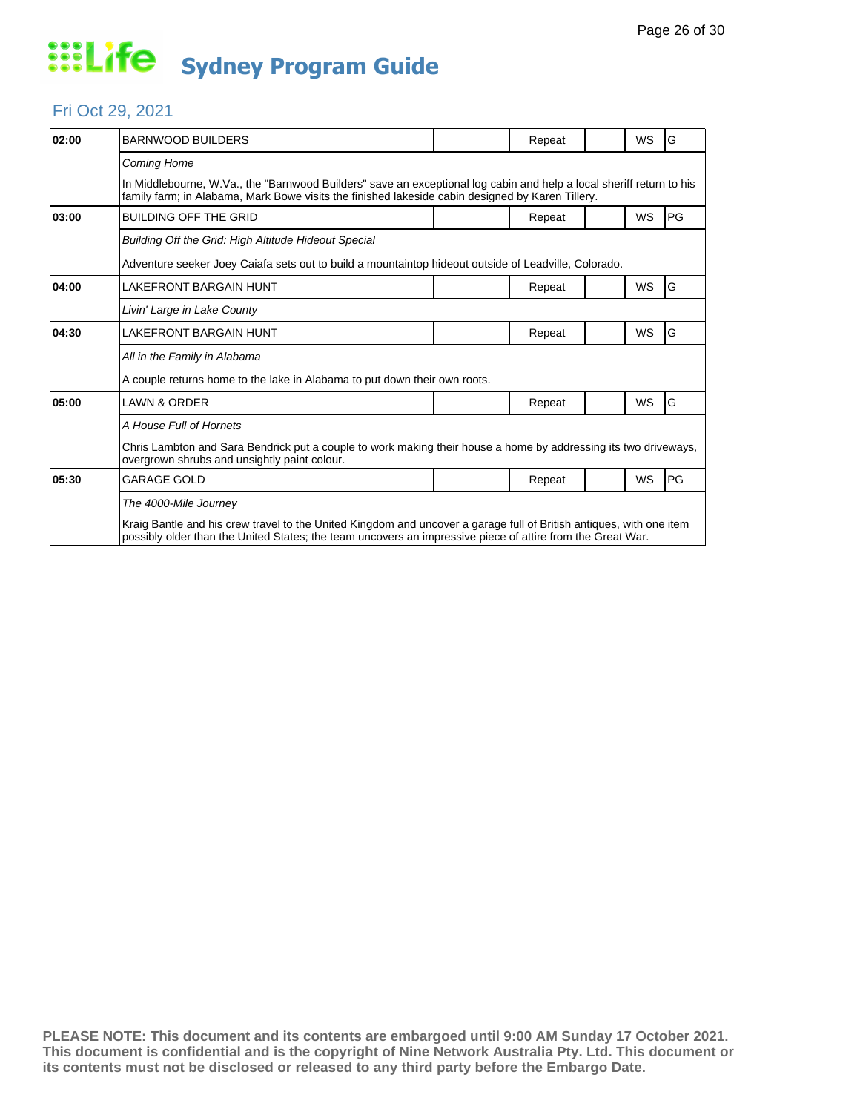#### Fri Oct 29, 2021

| 02:00 | <b>BARNWOOD BUILDERS</b>                                                                                                                                                                                                          |                                                                                                      | Repeat |  | <b>WS</b> | G  |  |  |
|-------|-----------------------------------------------------------------------------------------------------------------------------------------------------------------------------------------------------------------------------------|------------------------------------------------------------------------------------------------------|--------|--|-----------|----|--|--|
|       | <b>Coming Home</b>                                                                                                                                                                                                                |                                                                                                      |        |  |           |    |  |  |
|       | In Middlebourne, W.Va., the "Barnwood Builders" save an exceptional log cabin and help a local sheriff return to his<br>family farm; in Alabama, Mark Bowe visits the finished lakeside cabin designed by Karen Tillery.          |                                                                                                      |        |  |           |    |  |  |
| 03:00 | <b>BUILDING OFF THE GRID</b>                                                                                                                                                                                                      |                                                                                                      | Repeat |  | <b>WS</b> | PG |  |  |
|       | Building Off the Grid: High Altitude Hideout Special                                                                                                                                                                              |                                                                                                      |        |  |           |    |  |  |
|       |                                                                                                                                                                                                                                   | Adventure seeker Joey Caiafa sets out to build a mountaintop hideout outside of Leadville, Colorado. |        |  |           |    |  |  |
| 04:00 | LAKEFRONT BARGAIN HUNT                                                                                                                                                                                                            |                                                                                                      | Repeat |  | WS        | G  |  |  |
|       | Livin' Large in Lake County                                                                                                                                                                                                       |                                                                                                      |        |  |           |    |  |  |
| 04:30 | <b>LAKEFRONT BARGAIN HUNT</b>                                                                                                                                                                                                     |                                                                                                      | Repeat |  | WS        | G  |  |  |
|       | All in the Family in Alabama                                                                                                                                                                                                      |                                                                                                      |        |  |           |    |  |  |
|       | A couple returns home to the lake in Alabama to put down their own roots.                                                                                                                                                         |                                                                                                      |        |  |           |    |  |  |
| 05:00 | <b>LAWN &amp; ORDER</b>                                                                                                                                                                                                           |                                                                                                      | Repeat |  | <b>WS</b> | G  |  |  |
|       | A House Full of Hornets                                                                                                                                                                                                           |                                                                                                      |        |  |           |    |  |  |
|       | Chris Lambton and Sara Bendrick put a couple to work making their house a home by addressing its two driveways,<br>overgrown shrubs and unsightly paint colour.                                                                   |                                                                                                      |        |  |           |    |  |  |
| 05:30 | <b>GARAGE GOLD</b>                                                                                                                                                                                                                |                                                                                                      | Repeat |  | WS        | PG |  |  |
|       | The 4000-Mile Journey                                                                                                                                                                                                             |                                                                                                      |        |  |           |    |  |  |
|       | Kraig Bantle and his crew travel to the United Kingdom and uncover a garage full of British antiques, with one item<br>possibly older than the United States; the team uncovers an impressive piece of attire from the Great War. |                                                                                                      |        |  |           |    |  |  |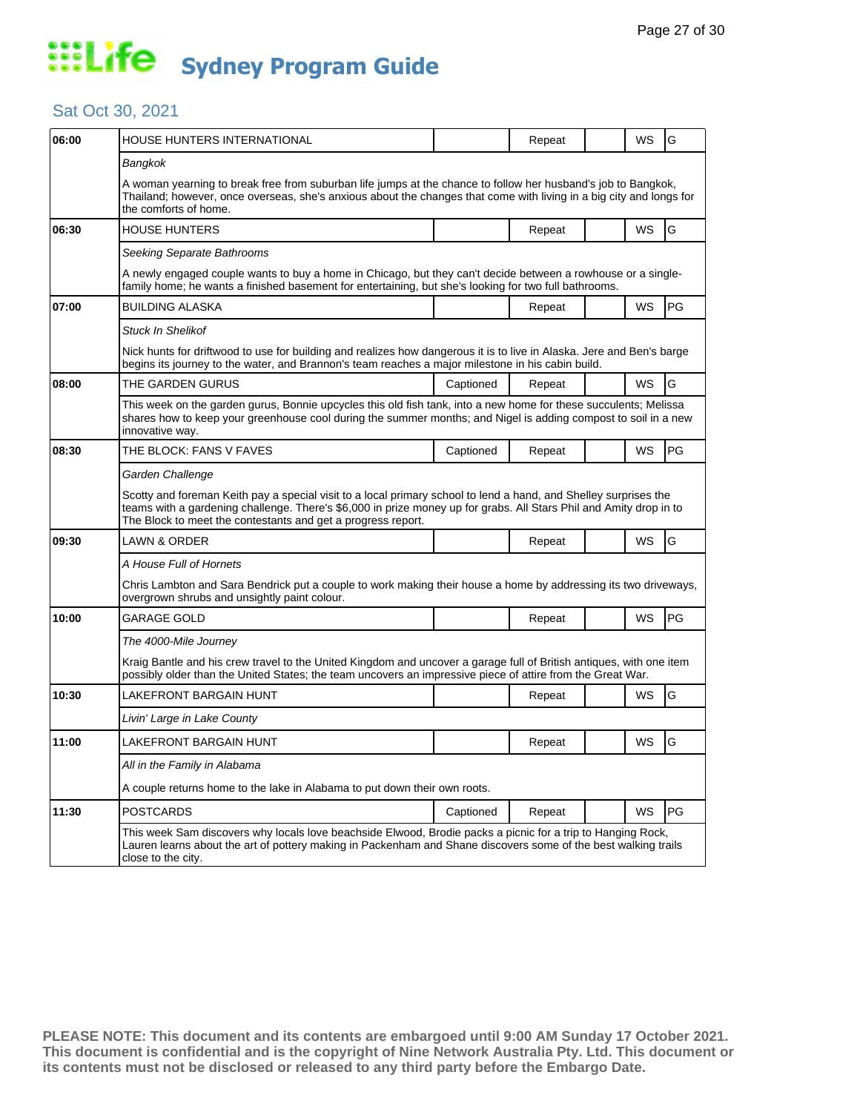#### Sat Oct 30, 2021

| 06:00 | <b>HOUSE HUNTERS INTERNATIONAL</b>                                                                                                                                                                                                                                                                     |           | Repeat |  | WS        | G  |  |
|-------|--------------------------------------------------------------------------------------------------------------------------------------------------------------------------------------------------------------------------------------------------------------------------------------------------------|-----------|--------|--|-----------|----|--|
|       | Bangkok                                                                                                                                                                                                                                                                                                |           |        |  |           |    |  |
|       | A woman yearning to break free from suburban life jumps at the chance to follow her husband's job to Bangkok,<br>Thailand; however, once overseas, she's anxious about the changes that come with living in a big city and longs for<br>the comforts of home.                                          |           |        |  |           |    |  |
| 06:30 | <b>HOUSE HUNTERS</b>                                                                                                                                                                                                                                                                                   |           | Repeat |  | <b>WS</b> | G  |  |
|       | Seeking Separate Bathrooms                                                                                                                                                                                                                                                                             |           |        |  |           |    |  |
|       | A newly engaged couple wants to buy a home in Chicago, but they can't decide between a rowhouse or a single-<br>family home; he wants a finished basement for entertaining, but she's looking for two full bathrooms.                                                                                  |           |        |  |           |    |  |
| 07:00 | <b>BUILDING ALASKA</b>                                                                                                                                                                                                                                                                                 |           | Repeat |  | <b>WS</b> | PG |  |
|       | <b>Stuck In Shelikof</b>                                                                                                                                                                                                                                                                               |           |        |  |           |    |  |
|       | Nick hunts for driftwood to use for building and realizes how dangerous it is to live in Alaska. Jere and Ben's barge<br>begins its journey to the water, and Brannon's team reaches a major milestone in his cabin build.                                                                             |           |        |  |           |    |  |
| 08:00 | THE GARDEN GURUS                                                                                                                                                                                                                                                                                       | Captioned | Repeat |  | WS        | G  |  |
|       | This week on the garden gurus, Bonnie upcycles this old fish tank, into a new home for these succulents; Melissa<br>shares how to keep your greenhouse cool during the summer months; and Nigel is adding compost to soil in a new<br>innovative way.                                                  |           |        |  |           |    |  |
| 08:30 | THE BLOCK: FANS V FAVES                                                                                                                                                                                                                                                                                | Captioned | Repeat |  | WS        | PG |  |
|       | Garden Challenge                                                                                                                                                                                                                                                                                       |           |        |  |           |    |  |
|       | Scotty and foreman Keith pay a special visit to a local primary school to lend a hand, and Shelley surprises the<br>teams with a gardening challenge. There's \$6,000 in prize money up for grabs. All Stars Phil and Amity drop in to<br>The Block to meet the contestants and get a progress report. |           |        |  |           |    |  |
| 09:30 | LAWN & ORDER                                                                                                                                                                                                                                                                                           |           | Repeat |  | <b>WS</b> | G  |  |
|       | A House Full of Hornets                                                                                                                                                                                                                                                                                |           |        |  |           |    |  |
|       | Chris Lambton and Sara Bendrick put a couple to work making their house a home by addressing its two driveways,<br>overgrown shrubs and unsightly paint colour.                                                                                                                                        |           |        |  |           |    |  |
| 10:00 | GARAGE GOLD                                                                                                                                                                                                                                                                                            |           | Repeat |  | WS        | PG |  |
|       | The 4000-Mile Journey                                                                                                                                                                                                                                                                                  |           |        |  |           |    |  |
|       | Kraig Bantle and his crew travel to the United Kingdom and uncover a garage full of British antiques, with one item<br>possibly older than the United States; the team uncovers an impressive piece of attire from the Great War.                                                                      |           |        |  |           |    |  |
| 10:30 | LAKEFRONT BARGAIN HUNT                                                                                                                                                                                                                                                                                 |           | Repeat |  | WS        | G  |  |
|       | Livin' Large in Lake County                                                                                                                                                                                                                                                                            |           |        |  |           |    |  |
| 11:00 | LAKEFRONT BARGAIN HUNT                                                                                                                                                                                                                                                                                 |           | Repeat |  | WS        | G  |  |
|       | All in the Family in Alabama                                                                                                                                                                                                                                                                           |           |        |  |           |    |  |
|       | A couple returns home to the lake in Alabama to put down their own roots.                                                                                                                                                                                                                              |           |        |  |           |    |  |
| 11:30 | <b>POSTCARDS</b>                                                                                                                                                                                                                                                                                       | Captioned | Repeat |  | <b>WS</b> | PG |  |
|       | This week Sam discovers why locals love beachside Elwood, Brodie packs a picnic for a trip to Hanging Rock,<br>Lauren learns about the art of pottery making in Packenham and Shane discovers some of the best walking trails<br>close to the city.                                                    |           |        |  |           |    |  |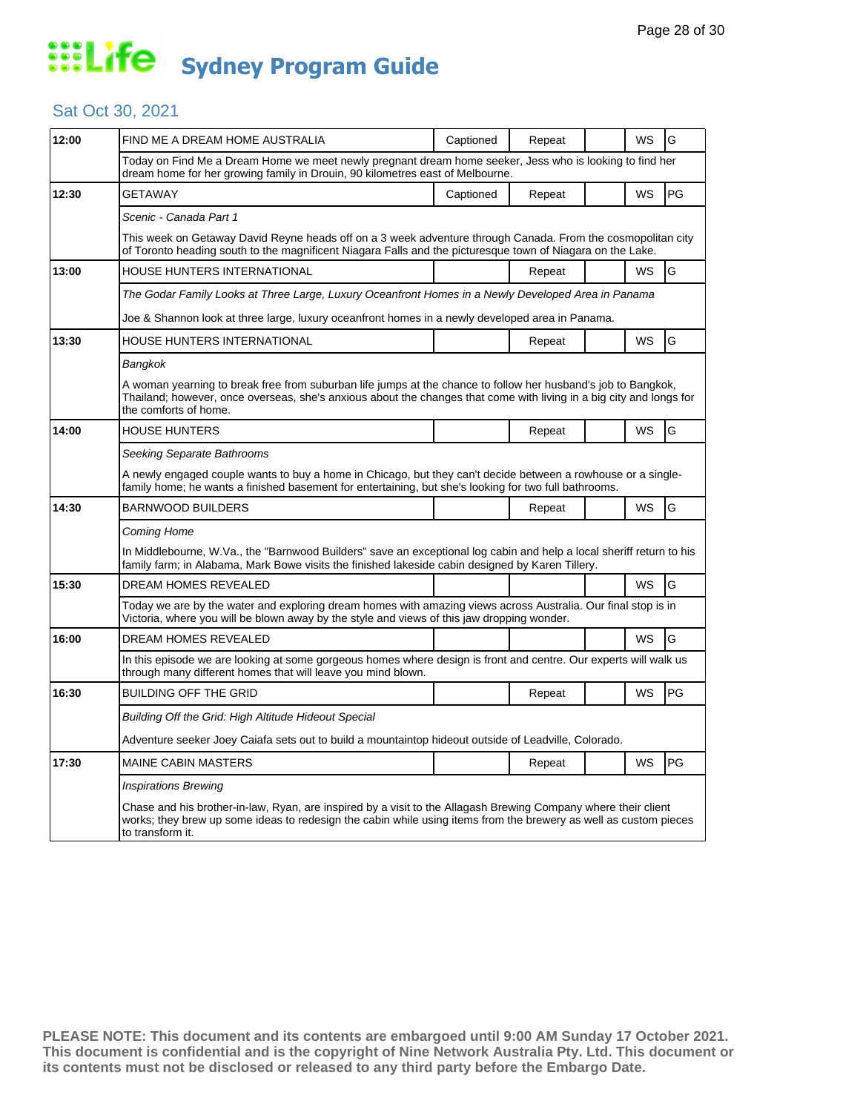#### Sat Oct 30, 2021

| 12:00 | FIND ME A DREAM HOME AUSTRALIA                                                                                                                                                                                                                                | Captioned | Repeat |  | WS        | G  |  |  |
|-------|---------------------------------------------------------------------------------------------------------------------------------------------------------------------------------------------------------------------------------------------------------------|-----------|--------|--|-----------|----|--|--|
|       | Today on Find Me a Dream Home we meet newly pregnant dream home seeker, Jess who is looking to find her<br>dream home for her growing family in Drouin, 90 kilometres east of Melbourne.                                                                      |           |        |  |           |    |  |  |
| 12:30 | GETAWAY                                                                                                                                                                                                                                                       | Captioned | Repeat |  | WS        | PG |  |  |
|       | Scenic - Canada Part 1                                                                                                                                                                                                                                        |           |        |  |           |    |  |  |
|       | This week on Getaway David Reyne heads off on a 3 week adventure through Canada. From the cosmopolitan city<br>of Toronto heading south to the magnificent Niagara Falls and the picturesque town of Niagara on the Lake.                                     |           |        |  |           |    |  |  |
| 13:00 | HOUSE HUNTERS INTERNATIONAL                                                                                                                                                                                                                                   |           | Repeat |  | WS        | G  |  |  |
|       | The Godar Family Looks at Three Large, Luxury Oceanfront Homes in a Newly Developed Area in Panama                                                                                                                                                            |           |        |  |           |    |  |  |
|       | Joe & Shannon look at three large, luxury oceanfront homes in a newly developed area in Panama.                                                                                                                                                               |           |        |  |           |    |  |  |
| 13:30 | HOUSE HUNTERS INTERNATIONAL                                                                                                                                                                                                                                   |           | Repeat |  | <b>WS</b> | G  |  |  |
|       | Bangkok                                                                                                                                                                                                                                                       |           |        |  |           |    |  |  |
|       | A woman yearning to break free from suburban life jumps at the chance to follow her husband's job to Bangkok,<br>Thailand; however, once overseas, she's anxious about the changes that come with living in a big city and longs for<br>the comforts of home. |           |        |  |           |    |  |  |
| 14:00 | <b>HOUSE HUNTERS</b>                                                                                                                                                                                                                                          |           | Repeat |  | WS        | G  |  |  |
|       | Seeking Separate Bathrooms                                                                                                                                                                                                                                    |           |        |  |           |    |  |  |
|       | A newly engaged couple wants to buy a home in Chicago, but they can't decide between a rowhouse or a single-<br>family home; he wants a finished basement for entertaining, but she's looking for two full bathrooms.                                         |           |        |  |           |    |  |  |
| 14:30 | <b>BARNWOOD BUILDERS</b>                                                                                                                                                                                                                                      |           | Repeat |  | <b>WS</b> | G  |  |  |
|       | Coming Home                                                                                                                                                                                                                                                   |           |        |  |           |    |  |  |
|       | In Middlebourne, W.Va., the "Barnwood Builders" save an exceptional log cabin and help a local sheriff return to his<br>family farm; in Alabama, Mark Bowe visits the finished lakeside cabin designed by Karen Tillery.                                      |           |        |  |           |    |  |  |
| 15:30 | DREAM HOMES REVEALED                                                                                                                                                                                                                                          |           |        |  | WS        | G  |  |  |
|       | Today we are by the water and exploring dream homes with amazing views across Australia. Our final stop is in<br>Victoria, where you will be blown away by the style and views of this jaw dropping wonder.                                                   |           |        |  |           |    |  |  |
| 16:00 | DREAM HOMES REVEALED                                                                                                                                                                                                                                          |           |        |  | WS        | G  |  |  |
|       | In this episode we are looking at some gorgeous homes where design is front and centre. Our experts will walk us<br>through many different homes that will leave you mind blown.                                                                              |           |        |  |           |    |  |  |
| 16:30 | <b>BUILDING OFF THE GRID</b>                                                                                                                                                                                                                                  |           | Repeat |  | <b>WS</b> | PG |  |  |
|       | Building Off the Grid: High Altitude Hideout Special                                                                                                                                                                                                          |           |        |  |           |    |  |  |
|       | Adventure seeker Joey Caiafa sets out to build a mountaintop hideout outside of Leadville, Colorado.                                                                                                                                                          |           |        |  |           |    |  |  |
| 17:30 | <b>MAINE CABIN MASTERS</b>                                                                                                                                                                                                                                    |           | Repeat |  | WS        | PG |  |  |
|       | <b>Inspirations Brewing</b>                                                                                                                                                                                                                                   |           |        |  |           |    |  |  |
|       | Chase and his brother-in-law, Ryan, are inspired by a visit to the Allagash Brewing Company where their client<br>works; they brew up some ideas to redesign the cabin while using items from the brewery as well as custom pieces<br>to transform it.        |           |        |  |           |    |  |  |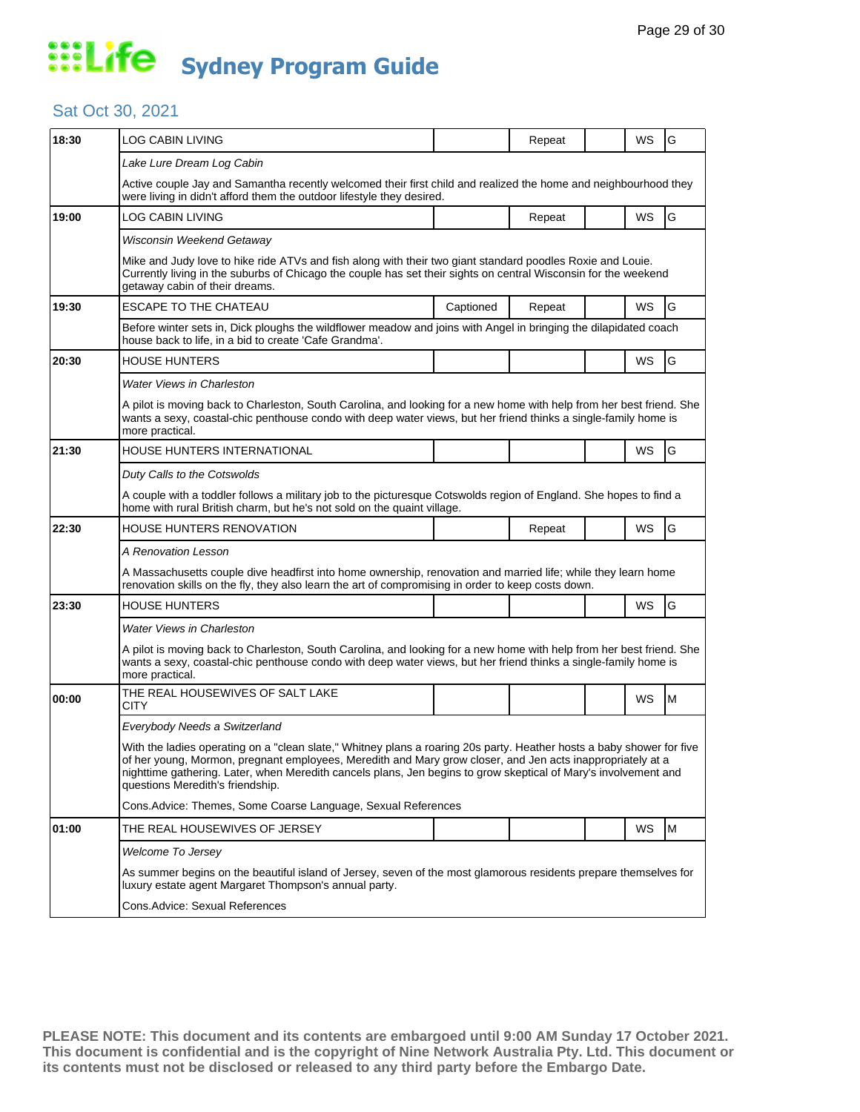#### Sat Oct 30, 2021

| 18:30 | <b>LOG CABIN LIVING</b>                                                                                                                                                                                                                                                                                                                                                                    |           | Repeat |  | WS        | G |  |
|-------|--------------------------------------------------------------------------------------------------------------------------------------------------------------------------------------------------------------------------------------------------------------------------------------------------------------------------------------------------------------------------------------------|-----------|--------|--|-----------|---|--|
|       | Lake Lure Dream Log Cabin                                                                                                                                                                                                                                                                                                                                                                  |           |        |  |           |   |  |
|       | Active couple Jay and Samantha recently welcomed their first child and realized the home and neighbourhood they<br>were living in didn't afford them the outdoor lifestyle they desired.                                                                                                                                                                                                   |           |        |  |           |   |  |
| 19:00 | LOG CABIN LIVING                                                                                                                                                                                                                                                                                                                                                                           |           | Repeat |  | WS        | G |  |
|       | Wisconsin Weekend Getaway                                                                                                                                                                                                                                                                                                                                                                  |           |        |  |           |   |  |
|       | Mike and Judy love to hike ride ATVs and fish along with their two giant standard poodles Roxie and Louie.<br>Currently living in the suburbs of Chicago the couple has set their sights on central Wisconsin for the weekend<br>getaway cabin of their dreams.                                                                                                                            |           |        |  |           |   |  |
| 19:30 | ESCAPE TO THE CHATEAU                                                                                                                                                                                                                                                                                                                                                                      | Captioned | Repeat |  | WS        | G |  |
|       | Before winter sets in, Dick ploughs the wildflower meadow and joins with Angel in bringing the dilapidated coach<br>house back to life, in a bid to create 'Cafe Grandma'.                                                                                                                                                                                                                 |           |        |  |           |   |  |
| 20:30 | HOUSE HUNTERS                                                                                                                                                                                                                                                                                                                                                                              |           |        |  | WS        | G |  |
|       | <b>Water Views in Charleston</b>                                                                                                                                                                                                                                                                                                                                                           |           |        |  |           |   |  |
|       | A pilot is moving back to Charleston, South Carolina, and looking for a new home with help from her best friend. She<br>wants a sexy, coastal-chic penthouse condo with deep water views, but her friend thinks a single-family home is<br>more practical.                                                                                                                                 |           |        |  |           |   |  |
| 21:30 | HOUSE HUNTERS INTERNATIONAL                                                                                                                                                                                                                                                                                                                                                                |           |        |  | WS        | G |  |
|       | Duty Calls to the Cotswolds                                                                                                                                                                                                                                                                                                                                                                |           |        |  |           |   |  |
|       | A couple with a toddler follows a military job to the picturesque Cotswolds region of England. She hopes to find a<br>home with rural British charm, but he's not sold on the quaint village.                                                                                                                                                                                              |           |        |  |           |   |  |
| 22:30 | HOUSE HUNTERS RENOVATION                                                                                                                                                                                                                                                                                                                                                                   |           | Repeat |  | <b>WS</b> | G |  |
|       | A Renovation Lesson                                                                                                                                                                                                                                                                                                                                                                        |           |        |  |           |   |  |
|       | A Massachusetts couple dive headfirst into home ownership, renovation and married life; while they learn home<br>renovation skills on the fly, they also learn the art of compromising in order to keep costs down.                                                                                                                                                                        |           |        |  |           |   |  |
| 23:30 | HOUSE HUNTERS                                                                                                                                                                                                                                                                                                                                                                              |           |        |  | WS        | G |  |
|       | <b>Water Views in Charleston</b>                                                                                                                                                                                                                                                                                                                                                           |           |        |  |           |   |  |
|       | A pilot is moving back to Charleston, South Carolina, and looking for a new home with help from her best friend. She<br>wants a sexy, coastal-chic penthouse condo with deep water views, but her friend thinks a single-family home is<br>more practical.                                                                                                                                 |           |        |  |           |   |  |
| 00:00 | THE REAL HOUSEWIVES OF SALT LAKE<br>CITY                                                                                                                                                                                                                                                                                                                                                   |           |        |  | WS        | M |  |
|       | Everybody Needs a Switzerland                                                                                                                                                                                                                                                                                                                                                              |           |        |  |           |   |  |
|       | With the ladies operating on a "clean slate," Whitney plans a roaring 20s party. Heather hosts a baby shower for five<br>of her young, Mormon, pregnant employees, Meredith and Mary grow closer, and Jen acts inappropriately at a<br>nighttime gathering. Later, when Meredith cancels plans, Jen begins to grow skeptical of Mary's involvement and<br>questions Meredith's friendship. |           |        |  |           |   |  |
|       | Cons.Advice: Themes, Some Coarse Language, Sexual References                                                                                                                                                                                                                                                                                                                               |           |        |  |           |   |  |
| 01:00 | THE REAL HOUSEWIVES OF JERSEY                                                                                                                                                                                                                                                                                                                                                              |           |        |  | <b>WS</b> | M |  |
|       | Welcome To Jersey                                                                                                                                                                                                                                                                                                                                                                          |           |        |  |           |   |  |
|       | As summer begins on the beautiful island of Jersey, seven of the most glamorous residents prepare themselves for<br>luxury estate agent Margaret Thompson's annual party.                                                                                                                                                                                                                  |           |        |  |           |   |  |
|       | Cons.Advice: Sexual References                                                                                                                                                                                                                                                                                                                                                             |           |        |  |           |   |  |